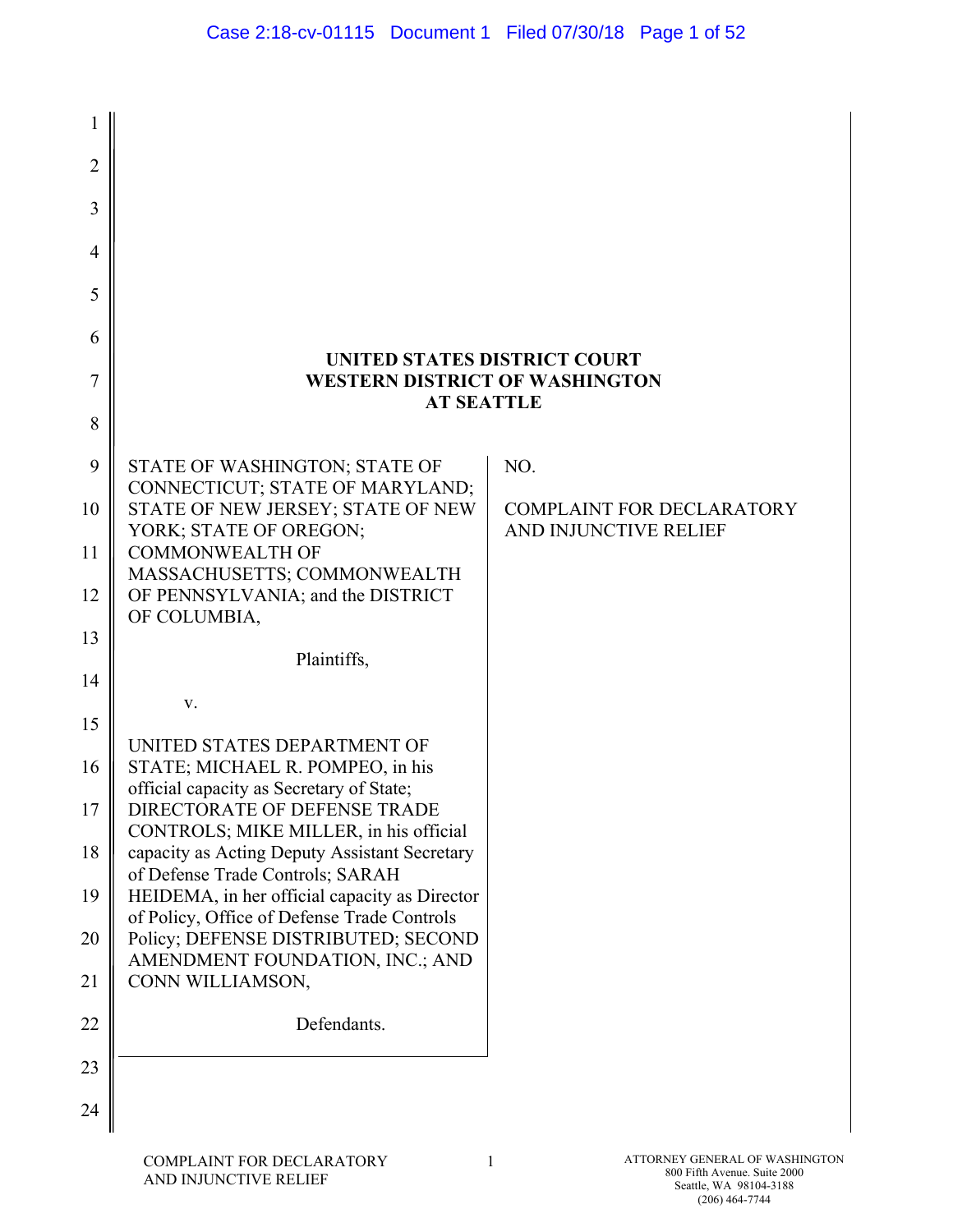| 1              |                                                                                              |                                                           |
|----------------|----------------------------------------------------------------------------------------------|-----------------------------------------------------------|
| $\overline{2}$ |                                                                                              |                                                           |
| 3              |                                                                                              |                                                           |
| $\overline{4}$ |                                                                                              |                                                           |
| 5              |                                                                                              |                                                           |
| 6              | UNITED STATES DISTRICT COURT                                                                 |                                                           |
| 7              | <b>WESTERN DISTRICT OF WASHINGTON</b><br><b>AT SEATTLE</b>                                   |                                                           |
| 8              |                                                                                              |                                                           |
| 9              | STATE OF WASHINGTON; STATE OF<br>CONNECTICUT; STATE OF MARYLAND;                             | NO.                                                       |
| 10             | STATE OF NEW JERSEY; STATE OF NEW<br>YORK; STATE OF OREGON;                                  | <b>COMPLAINT FOR DECLARATORY</b><br>AND INJUNCTIVE RELIEF |
| 11             | <b>COMMONWEALTH OF</b><br>MASSACHUSETTS; COMMONWEALTH                                        |                                                           |
| 12             | OF PENNSYLVANIA; and the DISTRICT<br>OF COLUMBIA,                                            |                                                           |
| 13             | Plaintiffs,                                                                                  |                                                           |
| 14             | V.                                                                                           |                                                           |
| 15             | UNITED STATES DEPARTMENT OF                                                                  |                                                           |
| 16             | STATE; MICHAEL R. POMPEO, in his<br>official capacity as Secretary of State;                 |                                                           |
| 17             | DIRECTORATE OF DEFENSE TRADE<br>CONTROLS; MIKE MILLER, in his official                       |                                                           |
| 18             | capacity as Acting Deputy Assistant Secretary<br>of Defense Trade Controls; SARAH            |                                                           |
| 19             | HEIDEMA, in her official capacity as Director<br>of Policy, Office of Defense Trade Controls |                                                           |
| 20             | Policy; DEFENSE DISTRIBUTED; SECOND<br>AMENDMENT FOUNDATION, INC.; AND                       |                                                           |
| 21             | CONN WILLIAMSON,                                                                             |                                                           |
| 22             | Defendants.                                                                                  |                                                           |
| 23             |                                                                                              |                                                           |
| 24             |                                                                                              |                                                           |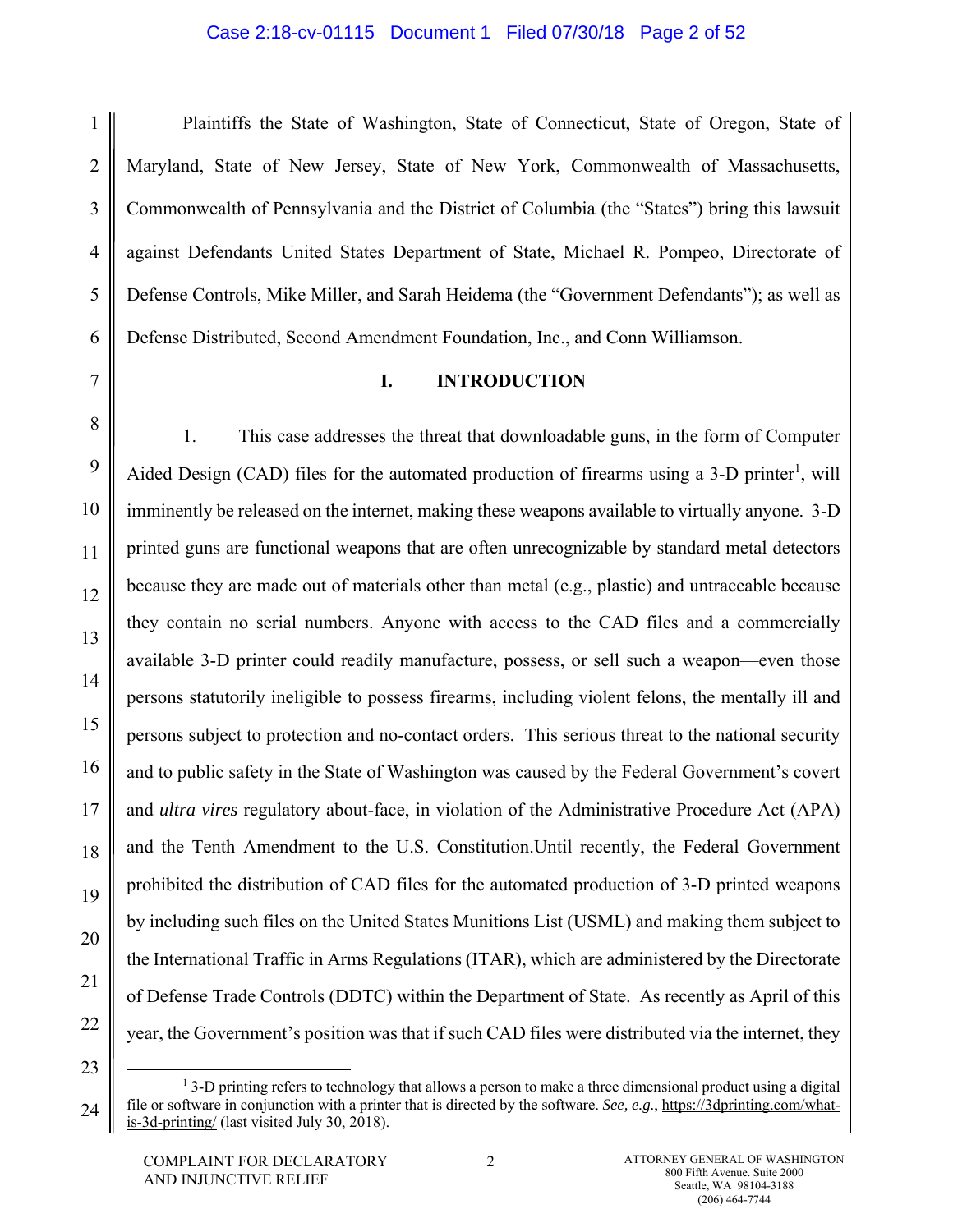#### Case 2:18-cv-01115 Document 1 Filed 07/30/18 Page 2 of 52

1

Plaintiffs the State of Washington, State of Connecticut, State of Oregon, State of Maryland, State of New Jersey, State of New York, Commonwealth of Massachusetts, Commonwealth of Pennsylvania and the District of Columbia (the "States") bring this lawsuit against Defendants United States Department of State, Michael R. Pompeo, Directorate of Defense Controls, Mike Miller, and Sarah Heidema (the "Government Defendants"); as well as Defense Distributed, Second Amendment Foundation, Inc., and Conn Williamson.

#### **I. INTRODUCTION**

1. This case addresses the threat that downloadable guns, in the form of Computer Aided Design (CAD) files for the automated production of firearms using a 3-D printer<sup>1</sup>, will imminently be released on the internet, making these weapons available to virtually anyone. 3-D printed guns are functional weapons that are often unrecognizable by standard metal detectors because they are made out of materials other than metal (e.g., plastic) and untraceable because they contain no serial numbers. Anyone with access to the CAD files and a commercially available 3-D printer could readily manufacture, possess, or sell such a weapon—even those persons statutorily ineligible to possess firearms, including violent felons, the mentally ill and persons subject to protection and no-contact orders. This serious threat to the national security and to public safety in the State of Washington was caused by the Federal Government's covert and *ultra vires* regulatory about-face, in violation of the Administrative Procedure Act (APA) and the Tenth Amendment to the U.S. Constitution.Until recently, the Federal Government prohibited the distribution of CAD files for the automated production of 3-D printed weapons by including such files on the United States Munitions List (USML) and making them subject to the International Traffic in Arms Regulations (ITAR), which are administered by the Directorate of Defense Trade Controls (DDTC) within the Department of State. As recently as April of this year, the Government's position was that if such CAD files were distributed via the internet, they

<sup>&</sup>lt;u>1</u>  $13$ -D printing refers to technology that allows a person to make a three dimensional product using a digital file or software in conjunction with a printer that is directed by the software. *See, e.g.*, https://3dprinting.com/whatis-3d-printing/ (last visited July 30, 2018).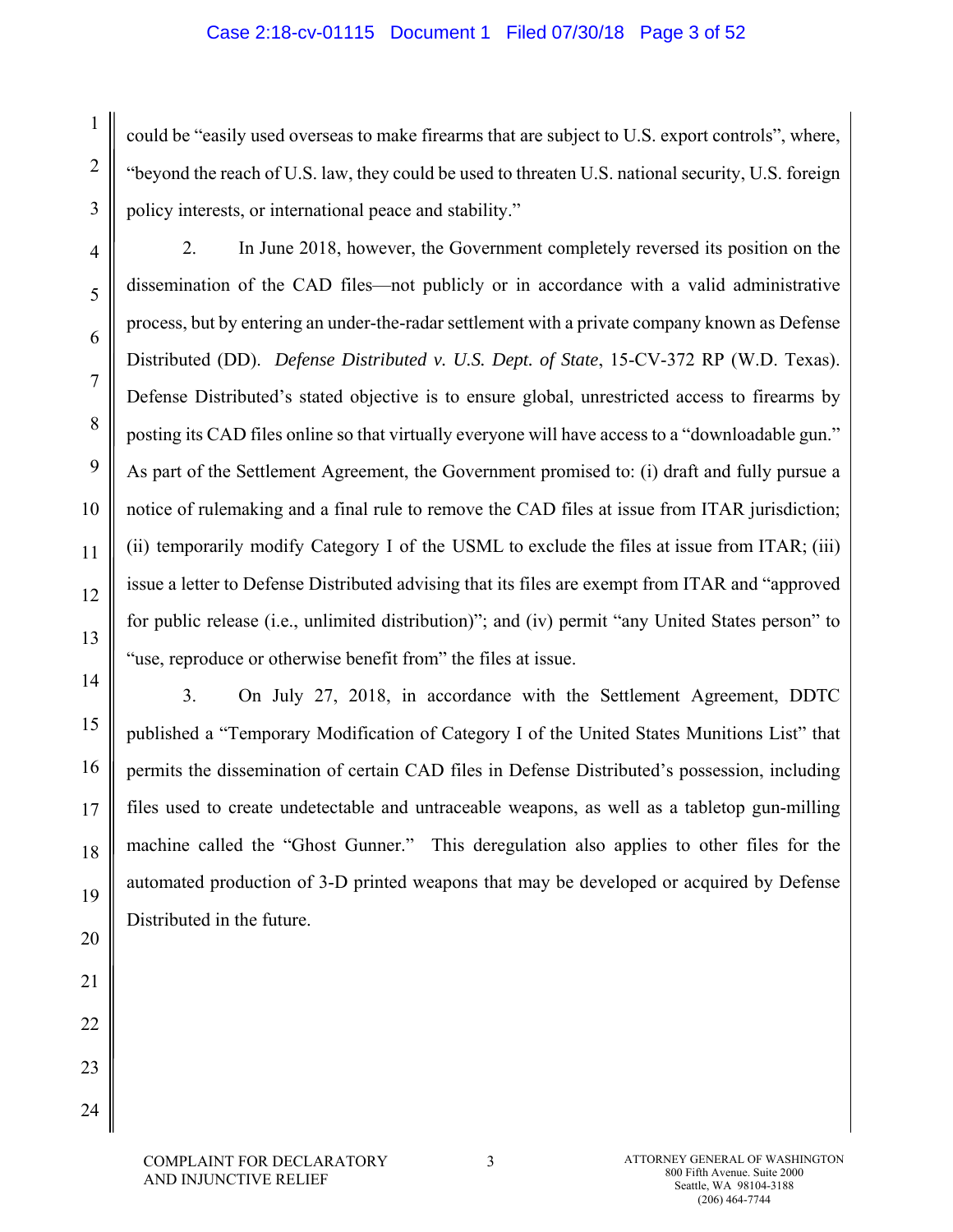#### Case 2:18-cv-01115 Document 1 Filed 07/30/18 Page 3 of 52

could be "easily used overseas to make firearms that are subject to U.S. export controls", where, "beyond the reach of U.S. law, they could be used to threaten U.S. national security, U.S. foreign policy interests, or international peace and stability."

2. In June 2018, however, the Government completely reversed its position on the dissemination of the CAD files—not publicly or in accordance with a valid administrative process, but by entering an under-the-radar settlement with a private company known as Defense Distributed (DD). *Defense Distributed v. U.S. Dept. of State*, 15-CV-372 RP (W.D. Texas). Defense Distributed's stated objective is to ensure global, unrestricted access to firearms by posting its CAD files online so that virtually everyone will have access to a "downloadable gun." As part of the Settlement Agreement, the Government promised to: (i) draft and fully pursue a notice of rulemaking and a final rule to remove the CAD files at issue from ITAR jurisdiction; (ii) temporarily modify Category I of the USML to exclude the files at issue from ITAR; (iii) issue a letter to Defense Distributed advising that its files are exempt from ITAR and "approved for public release (i.e., unlimited distribution)"; and (iv) permit "any United States person" to "use, reproduce or otherwise benefit from" the files at issue.

1

2

3

4

5

6

7

8

3. On July 27, 2018, in accordance with the Settlement Agreement, DDTC published a "Temporary Modification of Category I of the United States Munitions List" that permits the dissemination of certain CAD files in Defense Distributed's possession, including files used to create undetectable and untraceable weapons, as well as a tabletop gun-milling machine called the "Ghost Gunner." This deregulation also applies to other files for the automated production of 3-D printed weapons that may be developed or acquired by Defense Distributed in the future.

COMPLAINT FOR DECLARATORY AND INJUNCTIVE RELIEF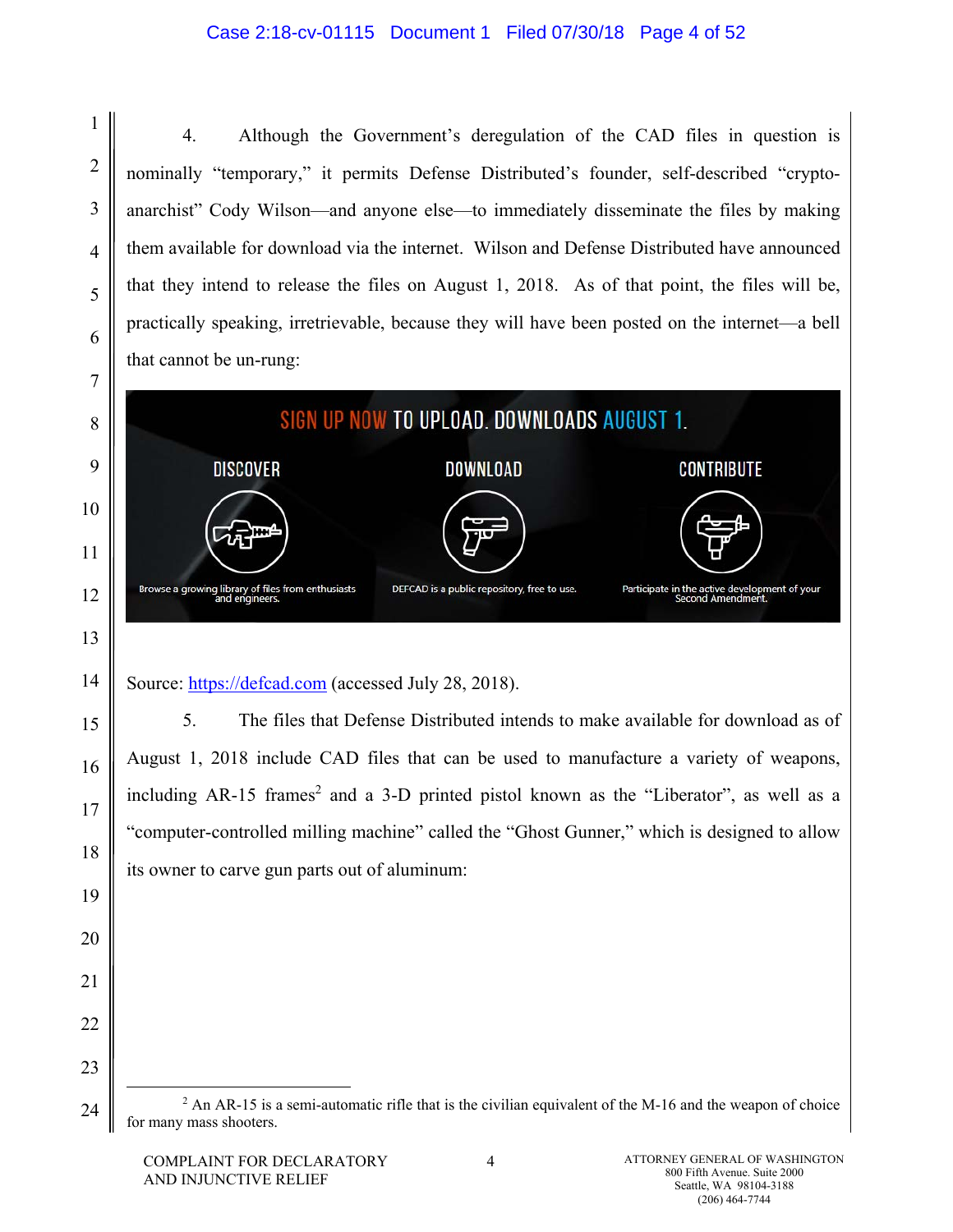## Case 2:18-cv-01115 Document 1 Filed 07/30/18 Page 4 of 52

4. Although the Government's deregulation of the CAD files in question is nominally "temporary," it permits Defense Distributed's founder, self-described "cryptoanarchist" Cody Wilson—and anyone else—to immediately disseminate the files by making them available for download via the internet. Wilson and Defense Distributed have announced that they intend to release the files on August 1, 2018. As of that point, the files will be, practically speaking, irretrievable, because they will have been posted on the internet—a bell that cannot be un-rung:



Source: https://defcad.com (accessed July 28, 2018).

1

2

3

4

5

6

14

15

16

17

18

19

20

21

22

23

24

5. The files that Defense Distributed intends to make available for download as of August 1, 2018 include CAD files that can be used to manufacture a variety of weapons, including AR-15 frames<sup>2</sup> and a 3-D printed pistol known as the "Liberator", as well as a "computer-controlled milling machine" called the "Ghost Gunner," which is designed to allow its owner to carve gun parts out of aluminum:

 $\begin{array}{c|c}\n\hline\n\text{2}\n\end{array}$  $^2$  An AR-15 is a semi-automatic rifle that is the civilian equivalent of the M-16 and the weapon of choice for many mass shooters.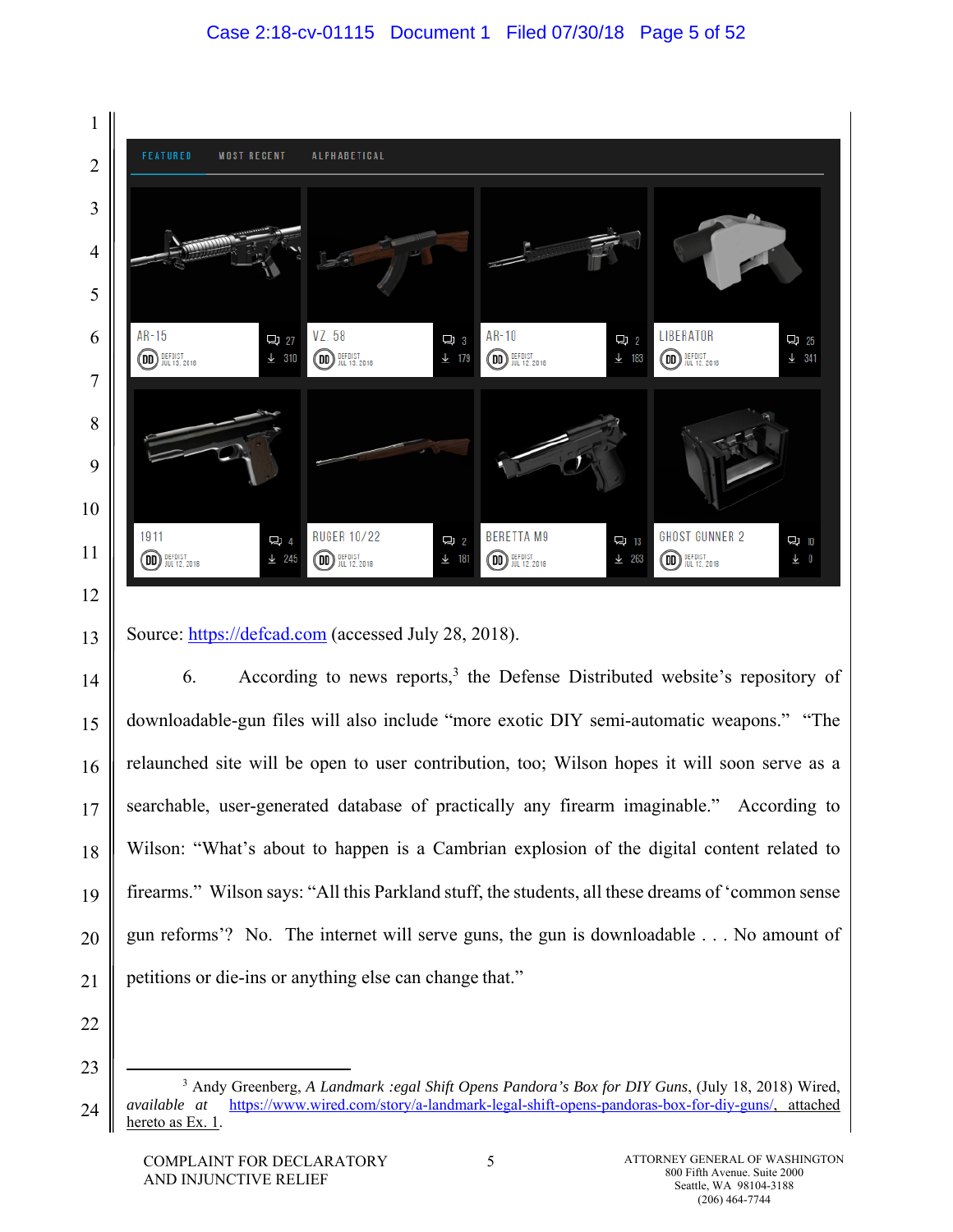

Source: https://defcad.com (accessed July 28, 2018).

6. According to news reports,<sup>3</sup> the Defense Distributed website's repository of downloadable-gun files will also include "more exotic DIY semi-automatic weapons." "The relaunched site will be open to user contribution, too; Wilson hopes it will soon serve as a searchable, user-generated database of practically any firearm imaginable." According to Wilson: "What's about to happen is a Cambrian explosion of the digital content related to firearms." Wilson says: "All this Parkland stuff, the students, all these dreams of 'common sense gun reforms'? No. The internet will serve guns, the gun is downloadable . . . No amount of petitions or die-ins or anything else can change that."

22 23

13

14

15

16

17

18

19

20

<sup>24</sup>  $\frac{1}{3}$  Andy Greenberg, *A Landmark :egal Shift Opens Pandora's Box for DIY Guns*, (July 18, 2018) Wired, *available at* https://www.wired.com/story/a-landmark-legal-shift-opens-pandoras-box-for-diy-guns/, attached hereto as Ex. 1.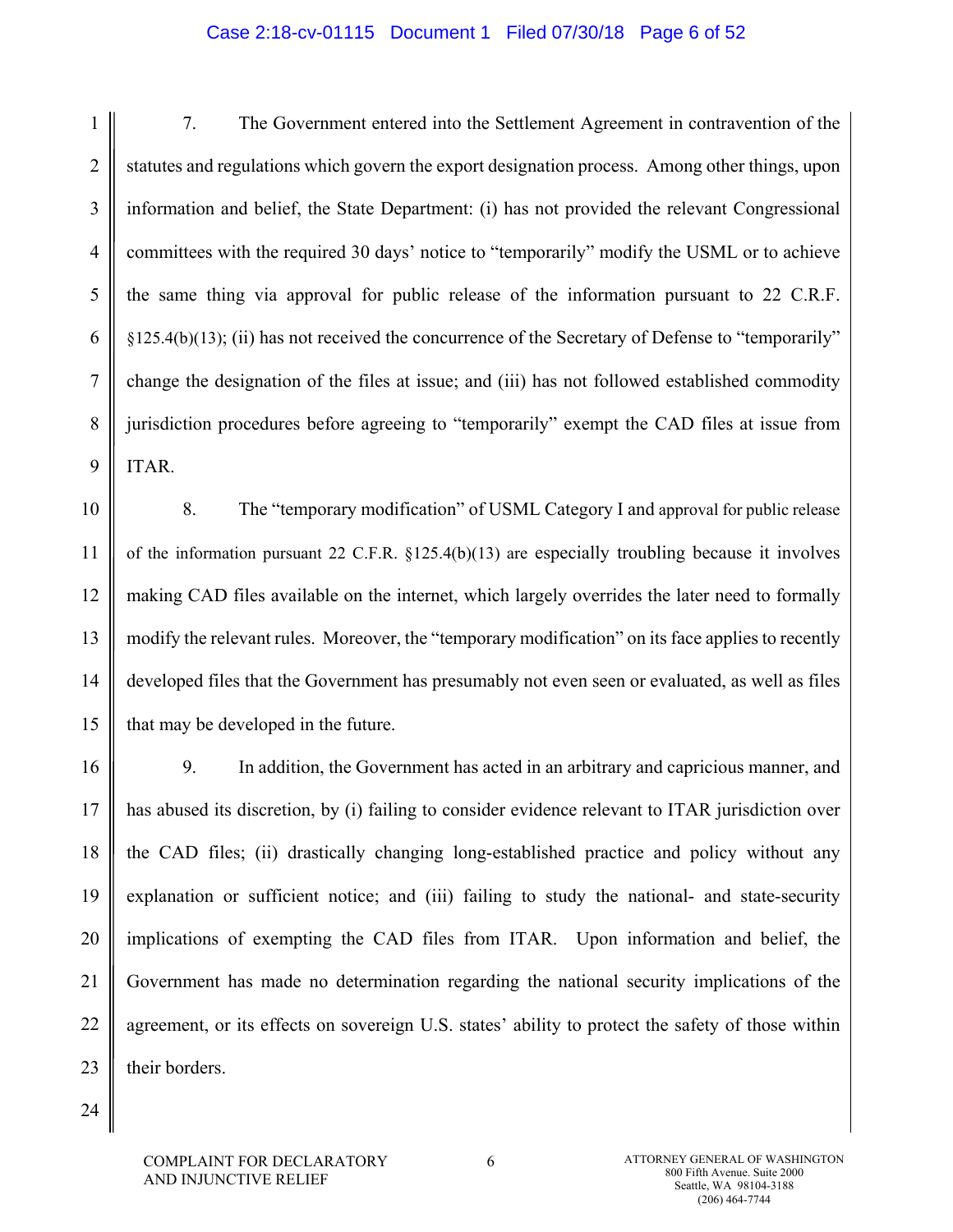#### Case 2:18-cv-01115 Document 1 Filed 07/30/18 Page 6 of 52

1 2 3 4 5 6 7 8 9 7. The Government entered into the Settlement Agreement in contravention of the statutes and regulations which govern the export designation process. Among other things, upon information and belief, the State Department: (i) has not provided the relevant Congressional committees with the required 30 days' notice to "temporarily" modify the USML or to achieve the same thing via approval for public release of the information pursuant to 22 C.R.F. §125.4(b)(13); (ii) has not received the concurrence of the Secretary of Defense to "temporarily" change the designation of the files at issue; and (iii) has not followed established commodity jurisdiction procedures before agreeing to "temporarily" exempt the CAD files at issue from ITAR.

10 11 12 13 14 15 8. The "temporary modification" of USML Category I and approval for public release of the information pursuant 22 C.F.R. §125.4(b)(13) are especially troubling because it involves making CAD files available on the internet, which largely overrides the later need to formally modify the relevant rules. Moreover, the "temporary modification" on its face applies to recently developed files that the Government has presumably not even seen or evaluated, as well as files that may be developed in the future.

16 17 18 19 20 21 22 23 9. In addition, the Government has acted in an arbitrary and capricious manner, and has abused its discretion, by (i) failing to consider evidence relevant to ITAR jurisdiction over the CAD files; (ii) drastically changing long-established practice and policy without any explanation or sufficient notice; and (iii) failing to study the national- and state-security implications of exempting the CAD files from ITAR. Upon information and belief, the Government has made no determination regarding the national security implications of the agreement, or its effects on sovereign U.S. states' ability to protect the safety of those within their borders.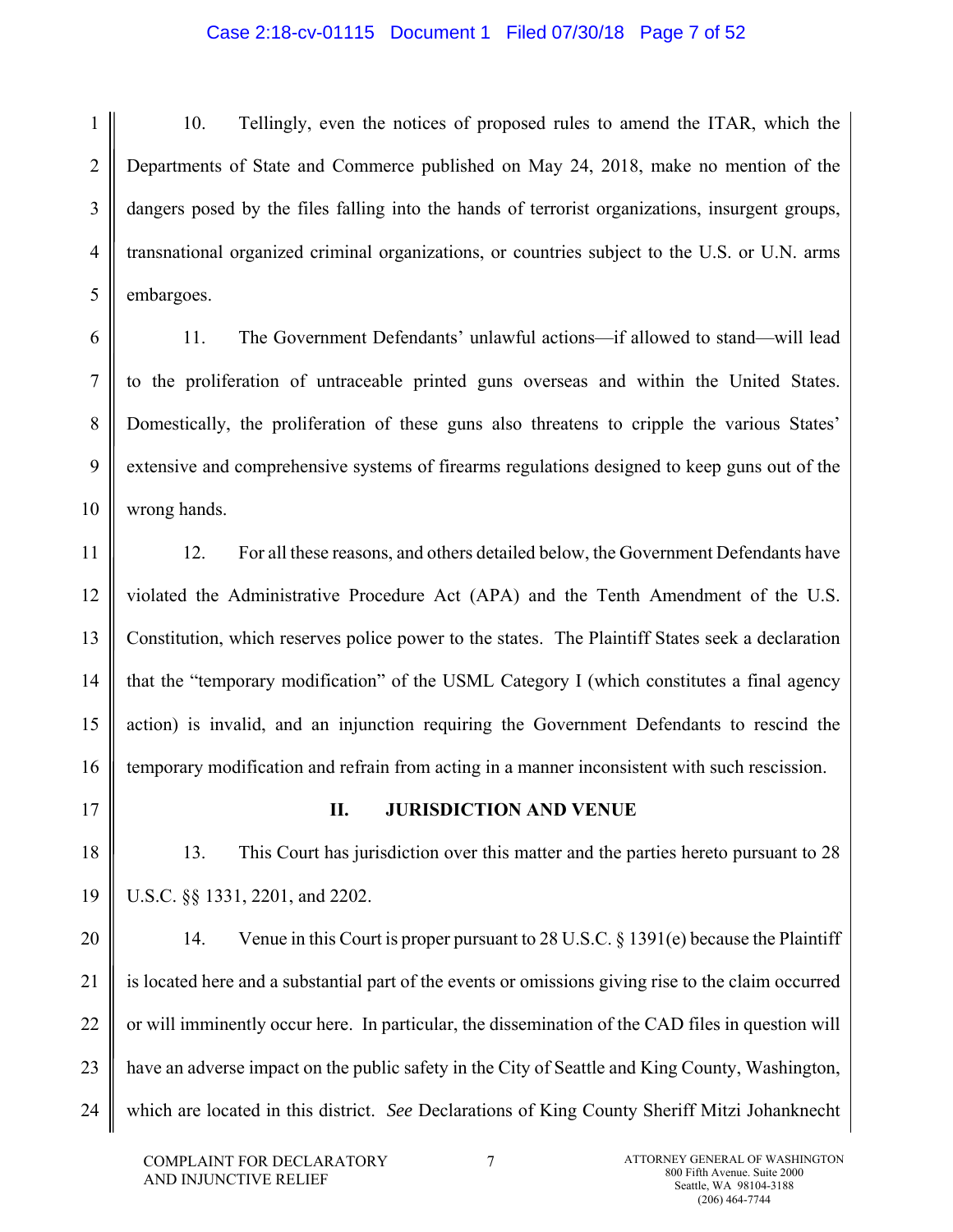## Case 2:18-cv-01115 Document 1 Filed 07/30/18 Page 7 of 52

1 2 3 4 5 10. Tellingly, even the notices of proposed rules to amend the ITAR, which the Departments of State and Commerce published on May 24, 2018, make no mention of the dangers posed by the files falling into the hands of terrorist organizations, insurgent groups, transnational organized criminal organizations, or countries subject to the U.S. or U.N. arms embargoes.

6 7 8 9 10 11. The Government Defendants' unlawful actions—if allowed to stand—will lead to the proliferation of untraceable printed guns overseas and within the United States. Domestically, the proliferation of these guns also threatens to cripple the various States' extensive and comprehensive systems of firearms regulations designed to keep guns out of the wrong hands.

11 12 13 14 15 16 12. For all these reasons, and others detailed below, the Government Defendants have violated the Administrative Procedure Act (APA) and the Tenth Amendment of the U.S. Constitution, which reserves police power to the states. The Plaintiff States seek a declaration that the "temporary modification" of the USML Category I (which constitutes a final agency action) is invalid, and an injunction requiring the Government Defendants to rescind the temporary modification and refrain from acting in a manner inconsistent with such rescission.

17

18

19

# **II. JURISDICTION AND VENUE**

13. This Court has jurisdiction over this matter and the parties hereto pursuant to 28 U.S.C. §§ 1331, 2201, and 2202.

20 21 22 23 24 14. Venue in this Court is proper pursuant to 28 U.S.C. § 1391(e) because the Plaintiff is located here and a substantial part of the events or omissions giving rise to the claim occurred or will imminently occur here. In particular, the dissemination of the CAD files in question will have an adverse impact on the public safety in the City of Seattle and King County, Washington, which are located in this district. *See* Declarations of King County Sheriff Mitzi Johanknecht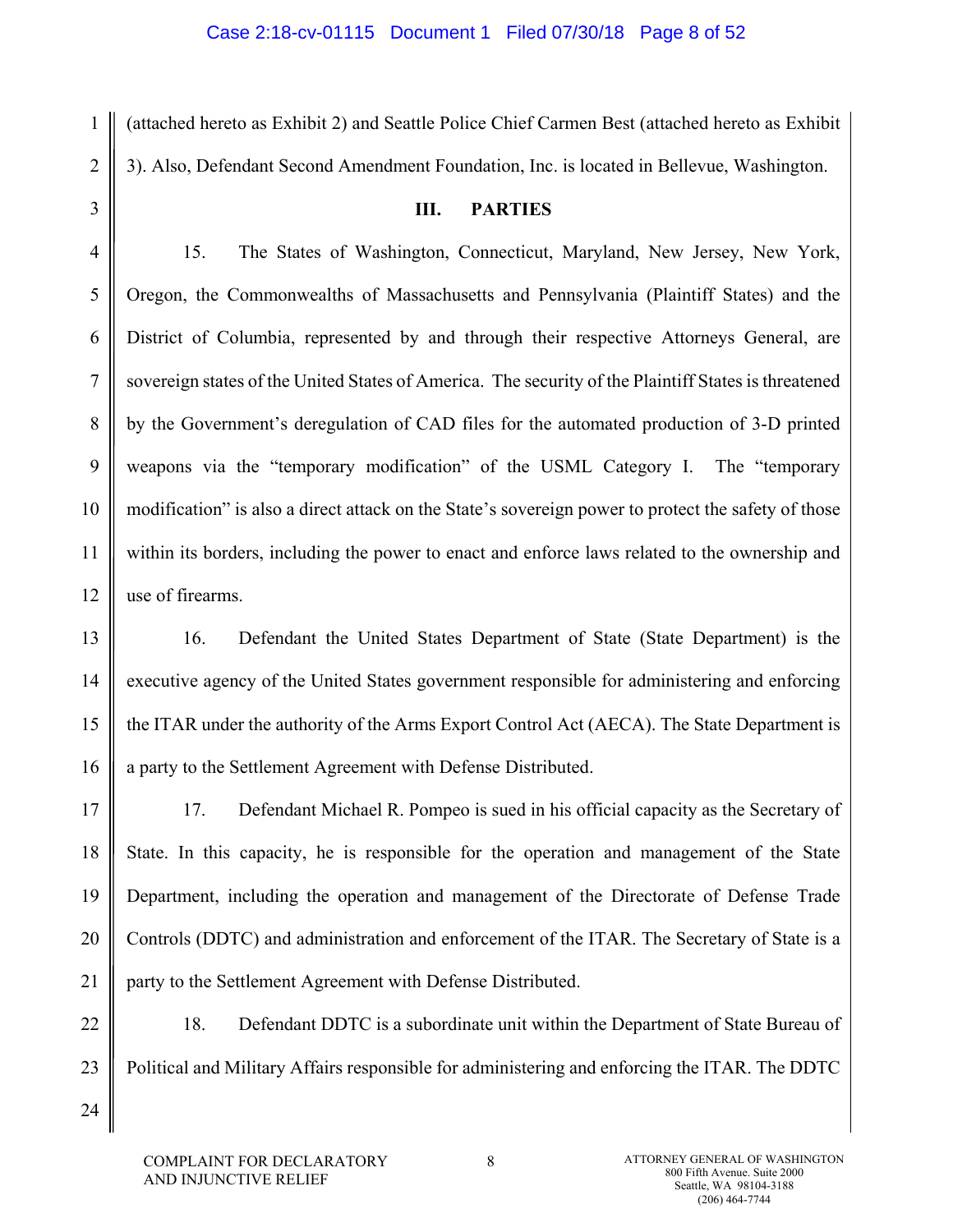(attached hereto as Exhibit 2) and Seattle Police Chief Carmen Best (attached hereto as Exhibit 3). Also, Defendant Second Amendment Foundation, Inc. is located in Bellevue, Washington.

3

1

2

4

5

6

7

8

9

10

11

12

24

# **III. PARTIES**

15. The States of Washington, Connecticut, Maryland, New Jersey, New York, Oregon, the Commonwealths of Massachusetts and Pennsylvania (Plaintiff States) and the District of Columbia, represented by and through their respective Attorneys General, are sovereign states of the United States of America. The security of the Plaintiff States is threatened by the Government's deregulation of CAD files for the automated production of 3-D printed weapons via the "temporary modification" of the USML Category I. The "temporary modification" is also a direct attack on the State's sovereign power to protect the safety of those within its borders, including the power to enact and enforce laws related to the ownership and use of firearms.

13 14 15 16 16. Defendant the United States Department of State (State Department) is the executive agency of the United States government responsible for administering and enforcing the ITAR under the authority of the Arms Export Control Act (AECA). The State Department is a party to the Settlement Agreement with Defense Distributed.

17 18 19 20 21 17. Defendant Michael R. Pompeo is sued in his official capacity as the Secretary of State. In this capacity, he is responsible for the operation and management of the State Department, including the operation and management of the Directorate of Defense Trade Controls (DDTC) and administration and enforcement of the ITAR. The Secretary of State is a party to the Settlement Agreement with Defense Distributed.

22 23 18. Defendant DDTC is a subordinate unit within the Department of State Bureau of Political and Military Affairs responsible for administering and enforcing the ITAR. The DDTC

COMPLAINT FOR DECLARATORY AND INJUNCTIVE RELIEF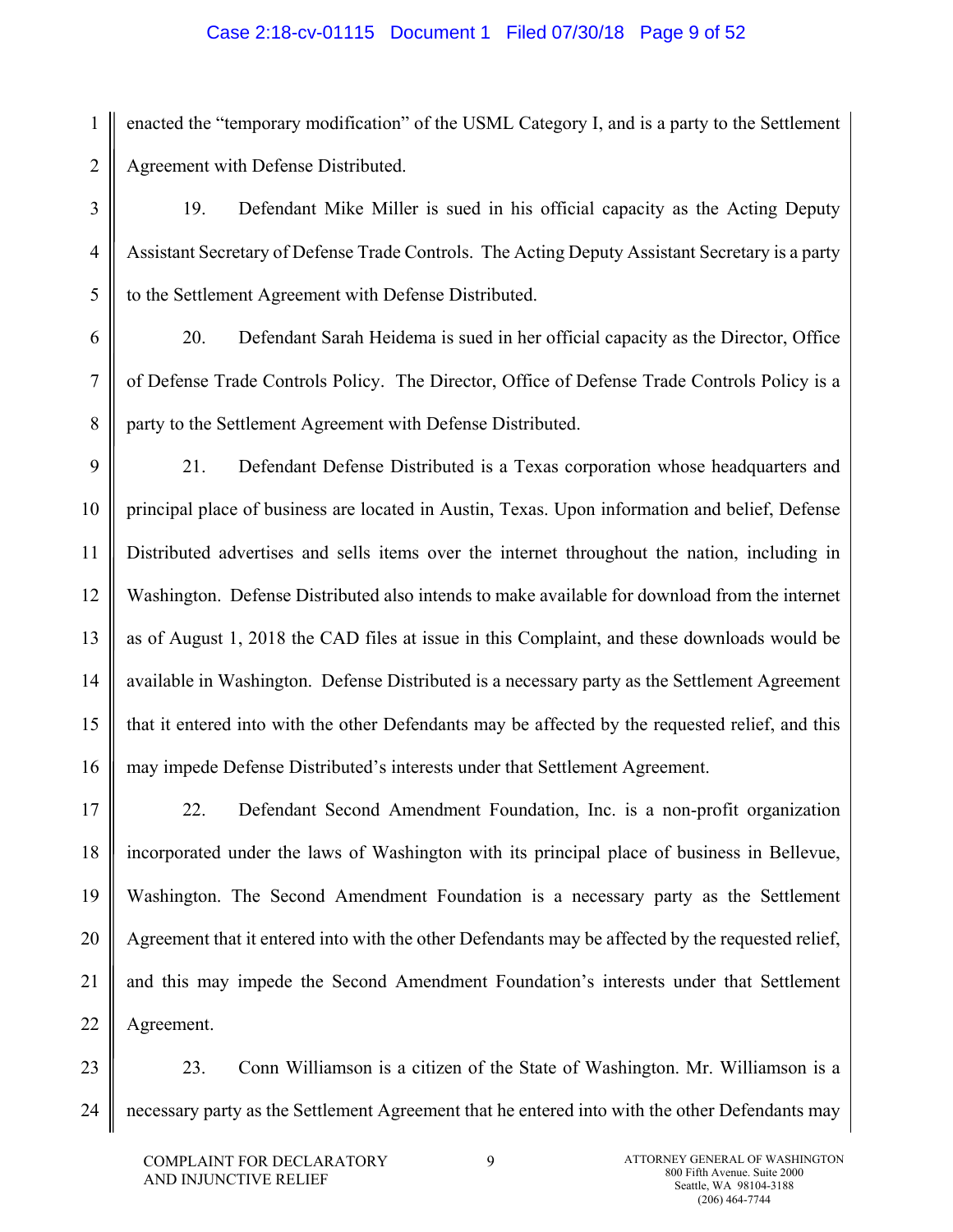## Case 2:18-cv-01115 Document 1 Filed 07/30/18 Page 9 of 52

1 2 enacted the "temporary modification" of the USML Category I, and is a party to the Settlement Agreement with Defense Distributed.

19. Defendant Mike Miller is sued in his official capacity as the Acting Deputy Assistant Secretary of Defense Trade Controls. The Acting Deputy Assistant Secretary is a party to the Settlement Agreement with Defense Distributed.

20. Defendant Sarah Heidema is sued in her official capacity as the Director, Office of Defense Trade Controls Policy. The Director, Office of Defense Trade Controls Policy is a party to the Settlement Agreement with Defense Distributed.

9 10 11 12 13 14 15 16 21. Defendant Defense Distributed is a Texas corporation whose headquarters and principal place of business are located in Austin, Texas. Upon information and belief, Defense Distributed advertises and sells items over the internet throughout the nation, including in Washington. Defense Distributed also intends to make available for download from the internet as of August 1, 2018 the CAD files at issue in this Complaint, and these downloads would be available in Washington. Defense Distributed is a necessary party as the Settlement Agreement that it entered into with the other Defendants may be affected by the requested relief, and this may impede Defense Distributed's interests under that Settlement Agreement.

17 18 19 20 21 22 22. Defendant Second Amendment Foundation, Inc. is a non-profit organization incorporated under the laws of Washington with its principal place of business in Bellevue, Washington. The Second Amendment Foundation is a necessary party as the Settlement Agreement that it entered into with the other Defendants may be affected by the requested relief, and this may impede the Second Amendment Foundation's interests under that Settlement Agreement.

23 24 23. Conn Williamson is a citizen of the State of Washington. Mr. Williamson is a necessary party as the Settlement Agreement that he entered into with the other Defendants may

3

4

5

6

7

8

9 ATTORNEY GENERAL OF WASHINGTON 800 Fifth Avenue. Suite 2000 Seattle, WA 98104-3188 (206) 464-7744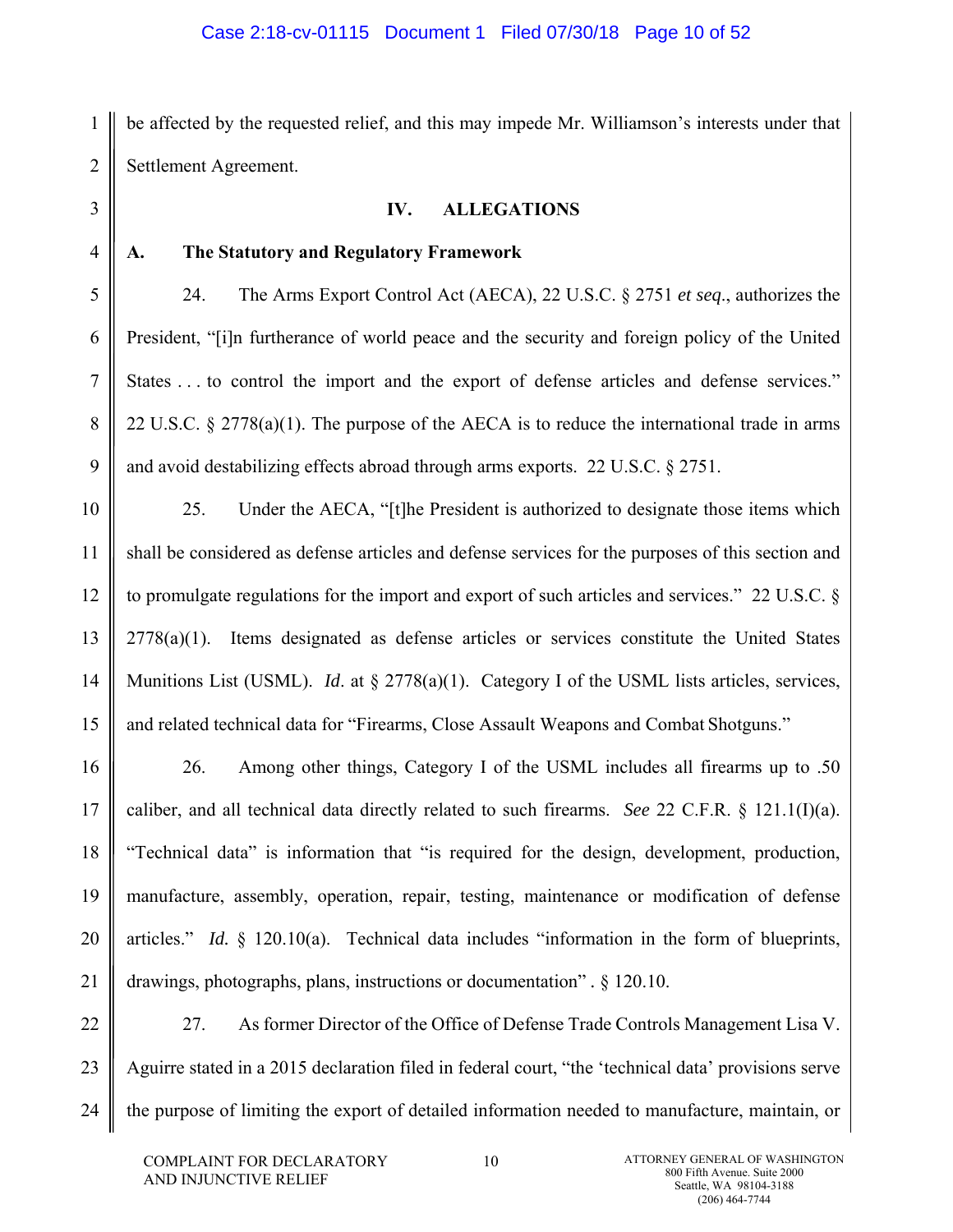1 2 be affected by the requested relief, and this may impede Mr. Williamson's interests under that Settlement Agreement.

**IV. ALLEGATIONS** 

**A. The Statutory and Regulatory Framework** 

24. The Arms Export Control Act (AECA), 22 U.S.C. § 2751 *et seq*., authorizes the President, "[i]n furtherance of world peace and the security and foreign policy of the United States ... to control the import and the export of defense articles and defense services." 22 U.S.C. § 2778(a)(1). The purpose of the AECA is to reduce the international trade in arms and avoid destabilizing effects abroad through arms exports. 22 U.S.C. § 2751.

25. Under the AECA, "[t]he President is authorized to designate those items which shall be considered as defense articles and defense services for the purposes of this section and to promulgate regulations for the import and export of such articles and services." 22 U.S.C. §  $2778(a)(1)$ . Items designated as defense articles or services constitute the United States Munitions List (USML). *Id*. at § 2778(a)(1). Category I of the USML lists articles, services, and related technical data for "Firearms, Close Assault Weapons and Combat Shotguns."

16 17 18 19 20 21 26. Among other things, Category I of the USML includes all firearms up to .50 caliber, and all technical data directly related to such firearms. *See* 22 C.F.R. § 121.1(I)(a). "Technical data" is information that "is required for the design, development, production, manufacture, assembly, operation, repair, testing, maintenance or modification of defense articles." *Id.* § 120.10(a). Technical data includes "information in the form of blueprints, drawings, photographs, plans, instructions or documentation" *.* § 120.10.

22 23 24 27. As former Director of the Office of Defense Trade Controls Management Lisa V. Aguirre stated in a 2015 declaration filed in federal court, "the 'technical data' provisions serve the purpose of limiting the export of detailed information needed to manufacture, maintain, or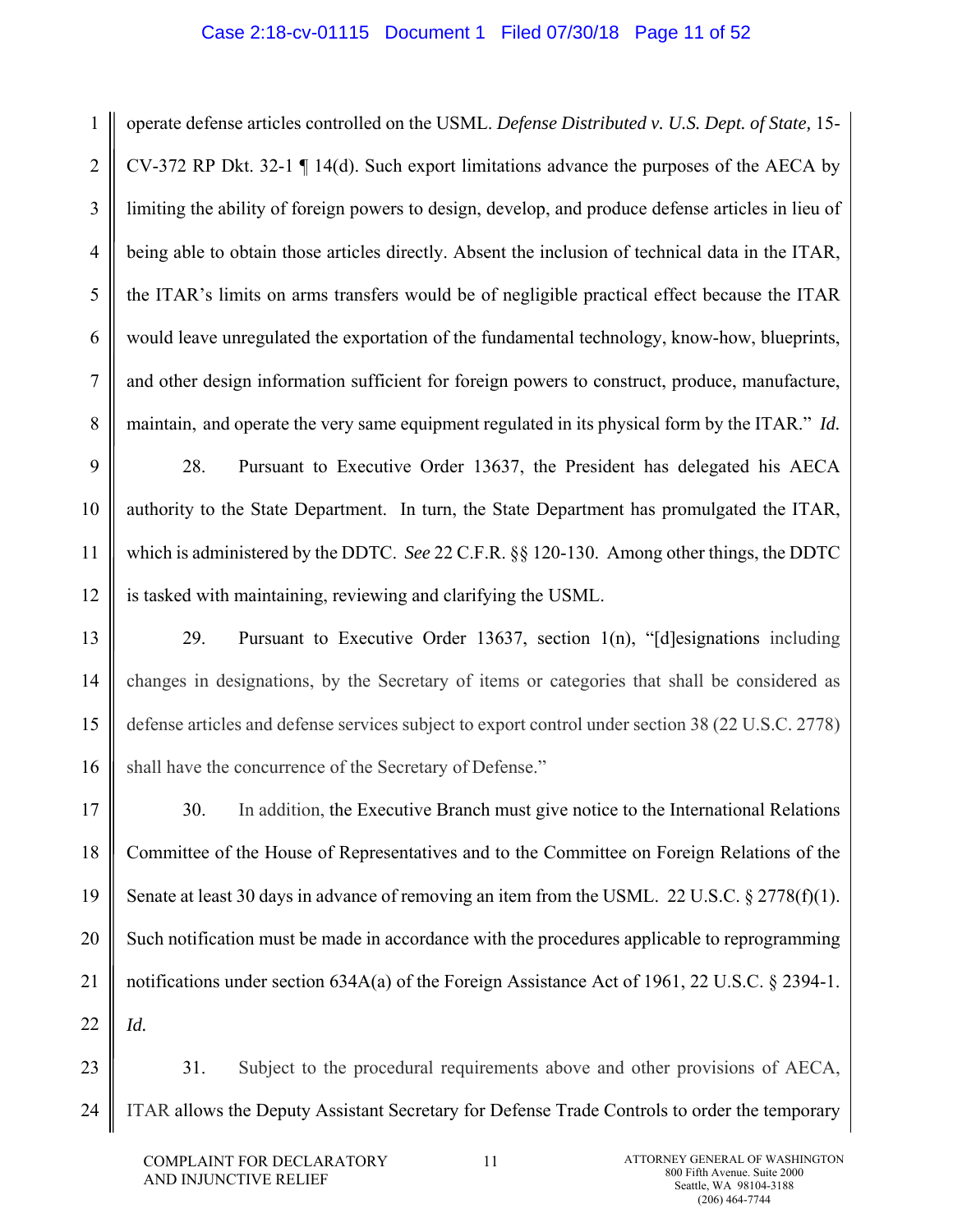## Case 2:18-cv-01115 Document 1 Filed 07/30/18 Page 11 of 52

1 2 3 4 5 6 7 8 operate defense articles controlled on the USML. *Defense Distributed v. U.S. Dept. of State,* 15- CV-372 RP Dkt. 32-1 ¶ 14(d). Such export limitations advance the purposes of the AECA by limiting the ability of foreign powers to design, develop, and produce defense articles in lieu of being able to obtain those articles directly. Absent the inclusion of technical data in the ITAR, the ITAR's limits on arms transfers would be of negligible practical effect because the ITAR would leave unregulated the exportation of the fundamental technology, know-how, blueprints, and other design information sufficient for foreign powers to construct, produce, manufacture, maintain, and operate the very same equipment regulated in its physical form by the ITAR." *Id.*

9 10 11 12 28. Pursuant to Executive Order 13637, the President has delegated his AECA authority to the State Department. In turn, the State Department has promulgated the ITAR, which is administered by the DDTC. *See* 22 C.F.R. §§ 120-130. Among other things, the DDTC is tasked with maintaining, reviewing and clarifying the USML.

13 14 15 16 29. Pursuant to Executive Order 13637, section 1(n), "[d]esignations including changes in designations, by the Secretary of items or categories that shall be considered as defense articles and defense services subject to export control under section 38 (22 U.S.C. 2778) shall have the concurrence of the Secretary of Defense."

17 18 19 20 21 22 30. In addition, the Executive Branch must give notice to the International Relations Committee of the House of Representatives and to the Committee on Foreign Relations of the Senate at least 30 days in advance of removing an item from the USML. 22 U.S.C.  $\S 2778(f)(1)$ . Such notification must be made in accordance with the procedures applicable to reprogramming notifications under section 634A(a) of the Foreign Assistance Act of 1961, 22 U.S.C. § 2394-1. *Id.*

23 24 31. Subject to the procedural requirements above and other provisions of AECA, ITAR allows the Deputy Assistant Secretary for Defense Trade Controls to order the temporary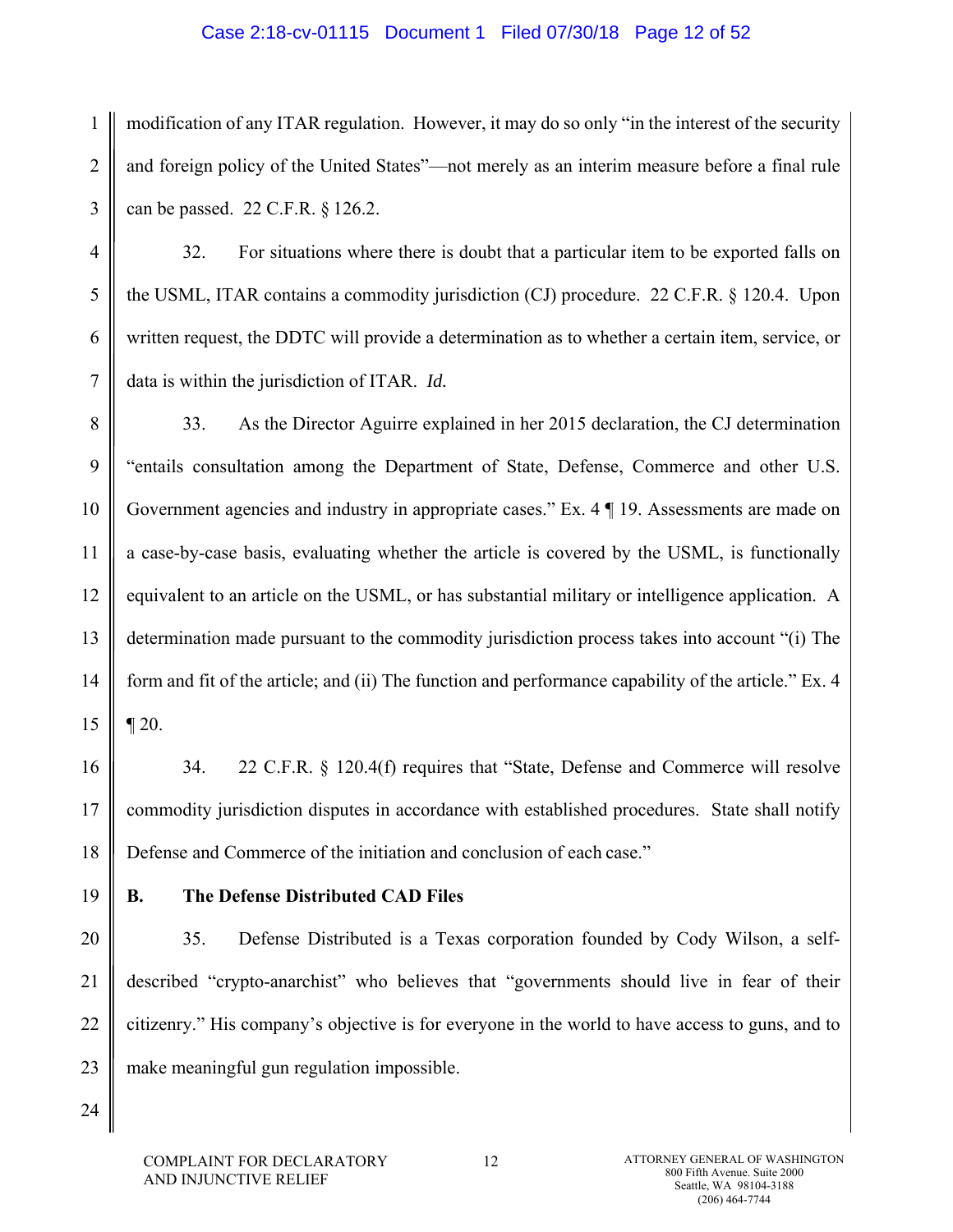## Case 2:18-cv-01115 Document 1 Filed 07/30/18 Page 12 of 52

1 2 3 modification of any ITAR regulation. However, it may do so only "in the interest of the security and foreign policy of the United States"—not merely as an interim measure before a final rule can be passed. 22 C.F.R. § 126.2.

32. For situations where there is doubt that a particular item to be exported falls on the USML, ITAR contains a commodity jurisdiction (CJ) procedure. 22 C.F.R. § 120.4. Upon written request, the DDTC will provide a determination as to whether a certain item, service, or data is within the jurisdiction of ITAR. *Id.*

8 9 10 11 12 13 14 15 33. As the Director Aguirre explained in her 2015 declaration, the CJ determination "entails consultation among the Department of State, Defense, Commerce and other U.S. Government agencies and industry in appropriate cases." Ex. 4 | 19. Assessments are made on a case-by-case basis, evaluating whether the article is covered by the USML, is functionally equivalent to an article on the USML, or has substantial military or intelligence application. A determination made pursuant to the commodity jurisdiction process takes into account "(i) The form and fit of the article; and (ii) The function and performance capability of the article." Ex. 4  $\P 20.$ 

16 17 18 34. 22 C.F.R. § 120.4(f) requires that "State, Defense and Commerce will resolve commodity jurisdiction disputes in accordance with established procedures. State shall notify Defense and Commerce of the initiation and conclusion of each case."

19

4

5

6

7

## **B. The Defense Distributed CAD Files**

20 21 22 23 35. Defense Distributed is a Texas corporation founded by Cody Wilson, a selfdescribed "crypto-anarchist" who believes that "governments should live in fear of their citizenry." His company's objective is for everyone in the world to have access to guns, and to make meaningful gun regulation impossible.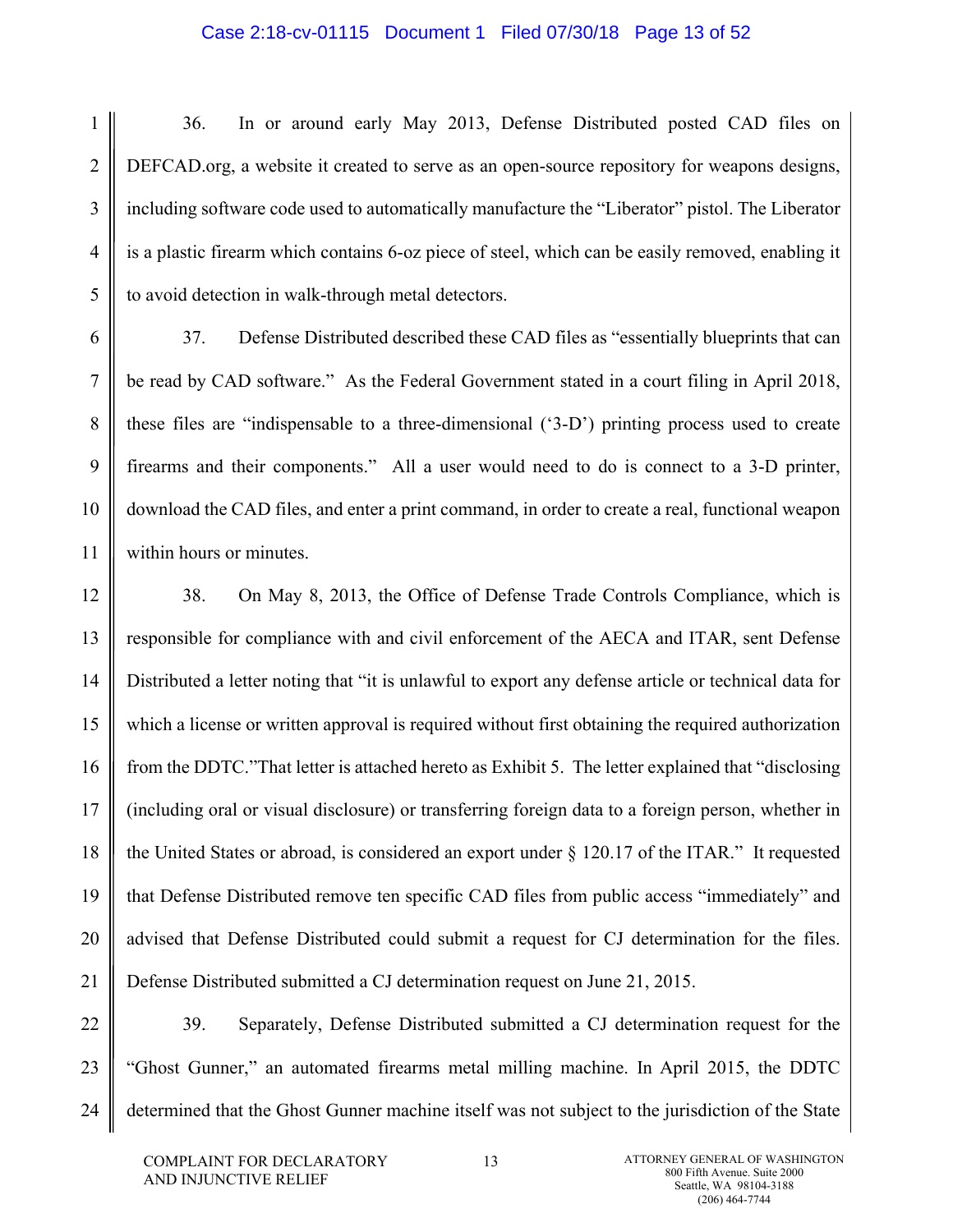#### Case 2:18-cv-01115 Document 1 Filed 07/30/18 Page 13 of 52

- 1 36. In or around early May 2013, Defense Distributed posted CAD files on DEFCAD.org, a website it created to serve as an open-source repository for weapons designs, including software code used to automatically manufacture the "Liberator" pistol. The Liberator is a plastic firearm which contains 6-oz piece of steel, which can be easily removed, enabling it to avoid detection in walk-through metal detectors.
- 6 7 8 9 10 37. Defense Distributed described these CAD files as "essentially blueprints that can be read by CAD software." As the Federal Government stated in a court filing in April 2018, these files are "indispensable to a three-dimensional ('3-D') printing process used to create firearms and their components." All a user would need to do is connect to a 3-D printer, download the CAD files, and enter a print command, in order to create a real, functional weapon within hours or minutes.
- 12 13 14 15 16 17 18 19 20 21 38. On May 8, 2013, the Office of Defense Trade Controls Compliance, which is responsible for compliance with and civil enforcement of the AECA and ITAR, sent Defense Distributed a letter noting that "it is unlawful to export any defense article or technical data for which a license or written approval is required without first obtaining the required authorization from the DDTC."That letter is attached hereto as Exhibit 5. The letter explained that "disclosing (including oral or visual disclosure) or transferring foreign data to a foreign person, whether in the United States or abroad, is considered an export under § 120.17 of the ITAR." It requested that Defense Distributed remove ten specific CAD files from public access "immediately" and advised that Defense Distributed could submit a request for CJ determination for the files. Defense Distributed submitted a CJ determination request on June 21, 2015.
- 22 23 24 39. Separately, Defense Distributed submitted a CJ determination request for the "Ghost Gunner," an automated firearms metal milling machine. In April 2015, the DDTC determined that the Ghost Gunner machine itself was not subject to the jurisdiction of the State

2

3

4

5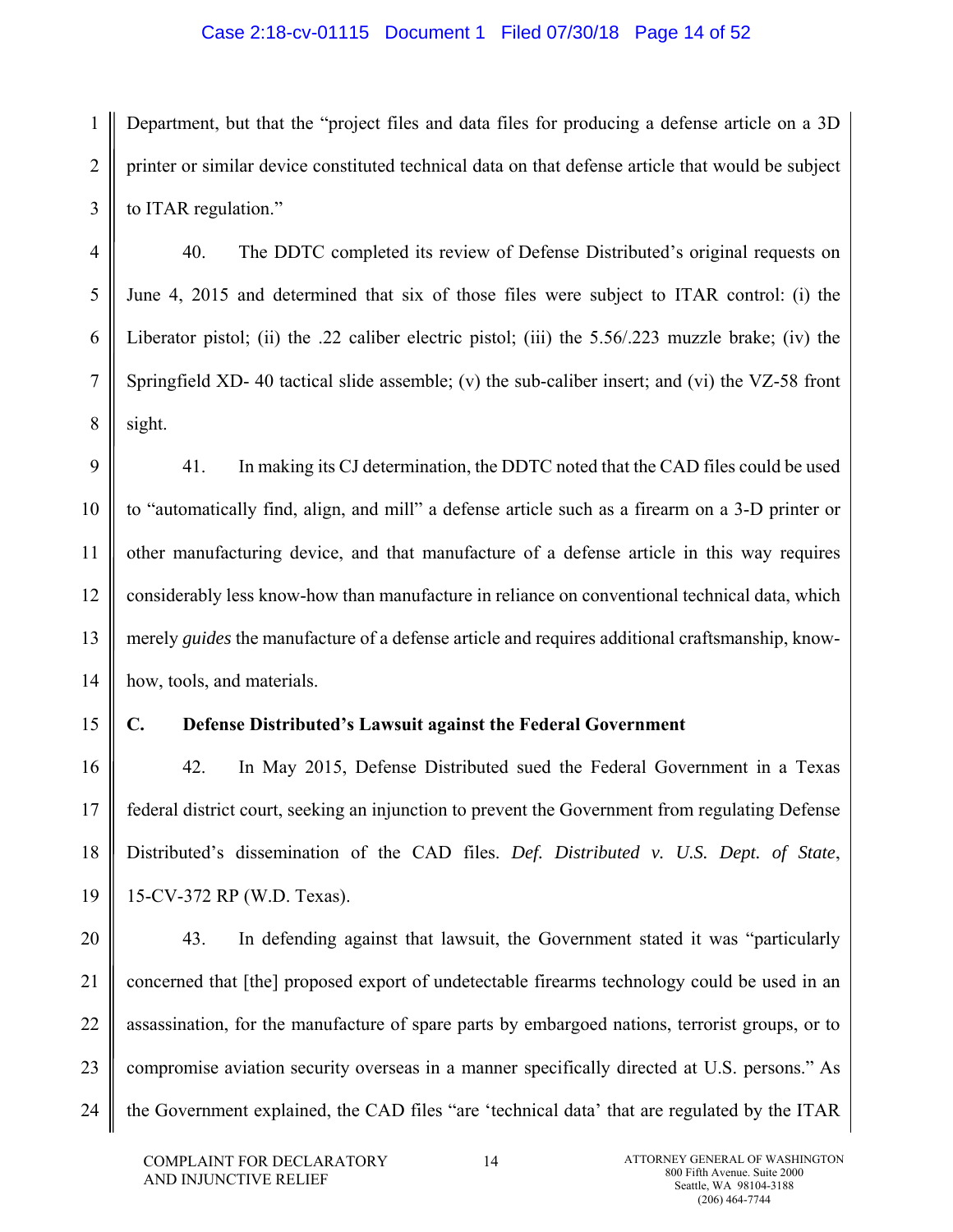#### Case 2:18-cv-01115 Document 1 Filed 07/30/18 Page 14 of 52

1 2 3 Department, but that the "project files and data files for producing a defense article on a 3D printer or similar device constituted technical data on that defense article that would be subject to ITAR regulation."

40. The DDTC completed its review of Defense Distributed's original requests on June 4, 2015 and determined that six of those files were subject to ITAR control: (i) the Liberator pistol; (ii) the .22 caliber electric pistol; (iii) the 5.56/.223 muzzle brake; (iv) the Springfield XD-40 tactical slide assemble; (v) the sub-caliber insert; and (vi) the VZ-58 front sight.

9 10 11 12 13 14 41. In making its CJ determination, the DDTC noted that the CAD files could be used to "automatically find, align, and mill" a defense article such as a firearm on a 3-D printer or other manufacturing device, and that manufacture of a defense article in this way requires considerably less know-how than manufacture in reliance on conventional technical data, which merely *guides* the manufacture of a defense article and requires additional craftsmanship, knowhow, tools, and materials.

15

4

5

6

7

8

#### **C. Defense Distributed's Lawsuit against the Federal Government**

16 17 18 19 42. In May 2015, Defense Distributed sued the Federal Government in a Texas federal district court, seeking an injunction to prevent the Government from regulating Defense Distributed's dissemination of the CAD files. *Def. Distributed v. U.S. Dept. of State*, 15-CV-372 RP (W.D. Texas).

20 21 22 23 24 43. In defending against that lawsuit, the Government stated it was "particularly concerned that [the] proposed export of undetectable firearms technology could be used in an assassination, for the manufacture of spare parts by embargoed nations, terrorist groups, or to compromise aviation security overseas in a manner specifically directed at U.S. persons." As the Government explained, the CAD files "are 'technical data' that are regulated by the ITAR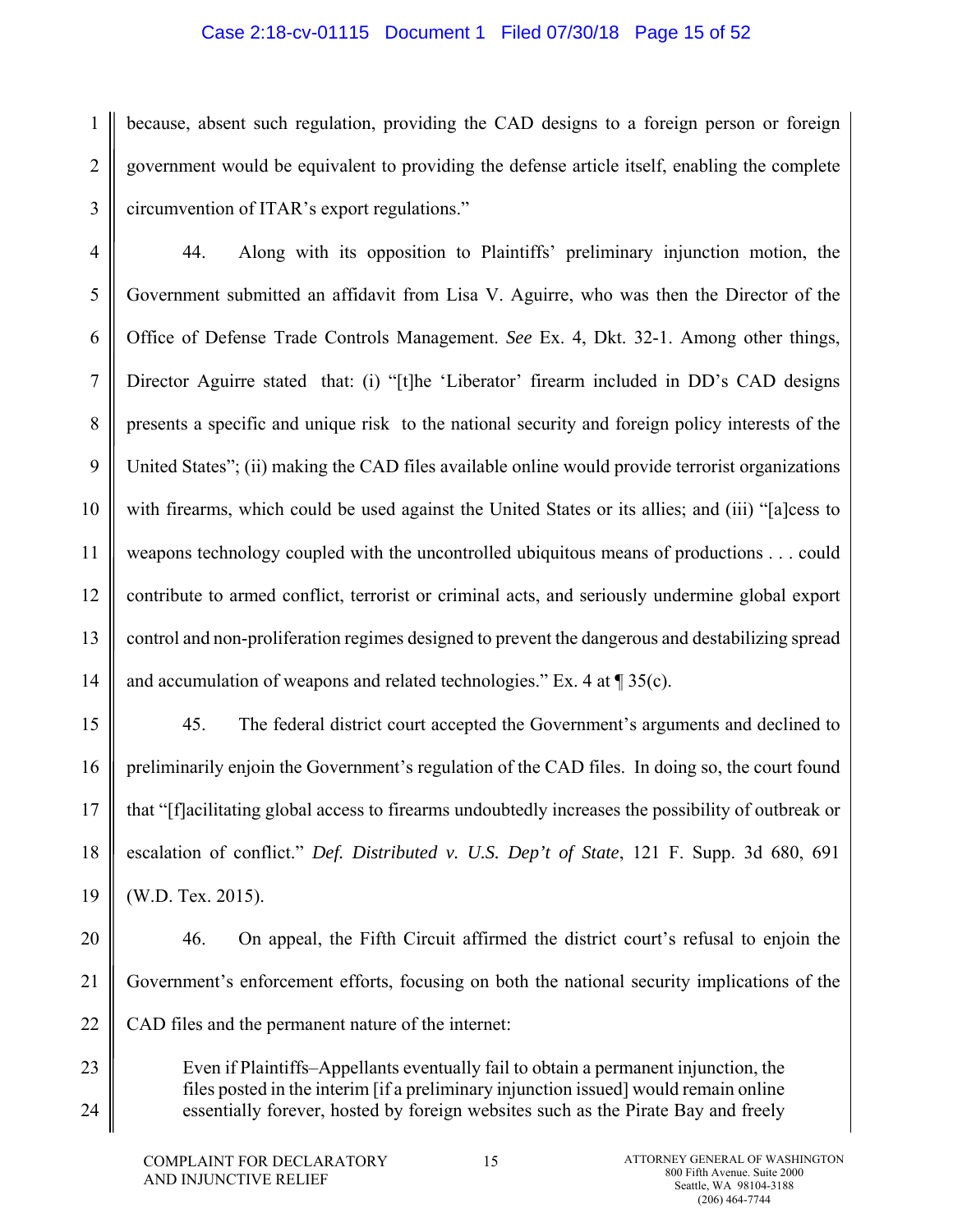#### Case 2:18-cv-01115 Document 1 Filed 07/30/18 Page 15 of 52

1 2 3 because, absent such regulation, providing the CAD designs to a foreign person or foreign government would be equivalent to providing the defense article itself, enabling the complete circumvention of ITAR's export regulations."

4 5 6 7 8 9 10 11 12 13 14 44. Along with its opposition to Plaintiffs' preliminary injunction motion, the Government submitted an affidavit from Lisa V. Aguirre, who was then the Director of the Office of Defense Trade Controls Management. *See* Ex. 4, Dkt. 32-1. Among other things, Director Aguirre stated that: (i) "[t]he 'Liberator' firearm included in DD's CAD designs presents a specific and unique risk to the national security and foreign policy interests of the United States"; (ii) making the CAD files available online would provide terrorist organizations with firearms, which could be used against the United States or its allies; and (iii) "[a]cess to weapons technology coupled with the uncontrolled ubiquitous means of productions . . . could contribute to armed conflict, terrorist or criminal acts, and seriously undermine global export control and non-proliferation regimes designed to prevent the dangerous and destabilizing spread and accumulation of weapons and related technologies." Ex. 4 at  $\text{\sf T}$  35(c).

15 16 17 18 19 45. The federal district court accepted the Government's arguments and declined to preliminarily enjoin the Government's regulation of the CAD files. In doing so, the court found that "[f]acilitating global access to firearms undoubtedly increases the possibility of outbreak or escalation of conflict." *Def. Distributed v. U.S. Dep't of State*, 121 F. Supp. 3d 680, 691 (W.D. Tex. 2015).

20

21 22 46. On appeal, the Fifth Circuit affirmed the district court's refusal to enjoin the Government's enforcement efforts, focusing on both the national security implications of the CAD files and the permanent nature of the internet:

23 24 Even if Plaintiffs–Appellants eventually fail to obtain a permanent injunction, the files posted in the interim [if a preliminary injunction issued] would remain online essentially forever, hosted by foreign websites such as the Pirate Bay and freely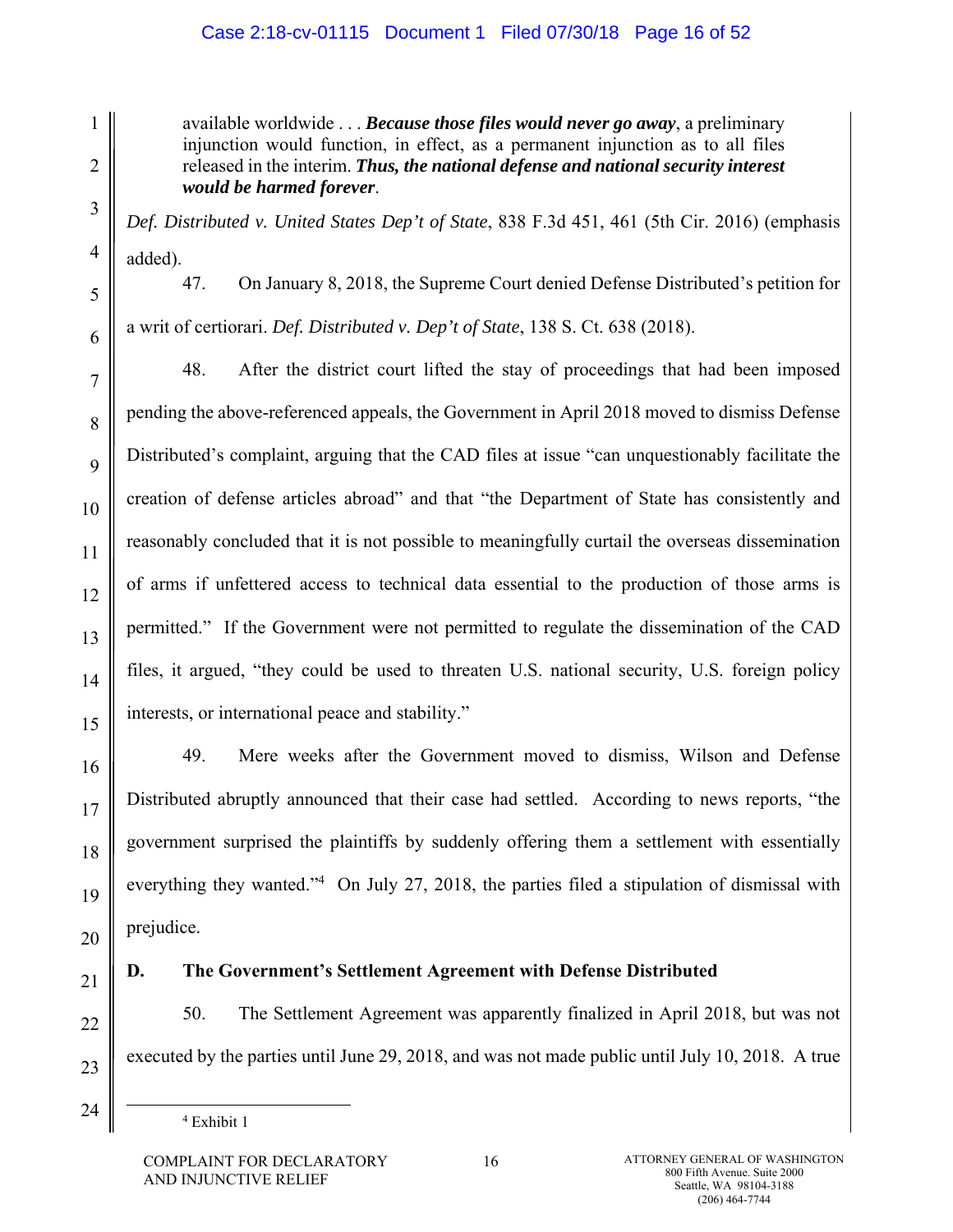# Case 2:18-cv-01115 Document 1 Filed 07/30/18 Page 16 of 52

available worldwide . . . *Because those files would never go away*, a preliminary injunction would function, in effect, as a permanent injunction as to all files released in the interim. *Thus, the national defense and national security interest would be harmed forever*.

*Def. Distributed v. United States Dep't of State*, 838 F.3d 451, 461 (5th Cir. 2016) (emphasis added).

47. On January 8, 2018, the Supreme Court denied Defense Distributed's petition for

1

2

3

4

5

6

7

8

9

10

11

12

13

14

15

a writ of certiorari. *Def. Distributed v. Dep't of State*, 138 S. Ct. 638 (2018).

48. After the district court lifted the stay of proceedings that had been imposed pending the above-referenced appeals, the Government in April 2018 moved to dismiss Defense Distributed's complaint, arguing that the CAD files at issue "can unquestionably facilitate the creation of defense articles abroad" and that "the Department of State has consistently and reasonably concluded that it is not possible to meaningfully curtail the overseas dissemination of arms if unfettered access to technical data essential to the production of those arms is permitted." If the Government were not permitted to regulate the dissemination of the CAD files, it argued, "they could be used to threaten U.S. national security, U.S. foreign policy interests, or international peace and stability."

49. Mere weeks after the Government moved to dismiss, Wilson and Defense Distributed abruptly announced that their case had settled. According to news reports, "the government surprised the plaintiffs by suddenly offering them a settlement with essentially everything they wanted."<sup>4</sup> On July 27, 2018, the parties filed a stipulation of dismissal with prejudice.

# **D. The Government's Settlement Agreement with Defense Distributed**

50. The Settlement Agreement was apparently finalized in April 2018, but was not executed by the parties until June 29, 2018, and was not made public until July 10, 2018. A true

 $\begin{array}{c|c}\n\hline\n\end{array}$ Exhibit 1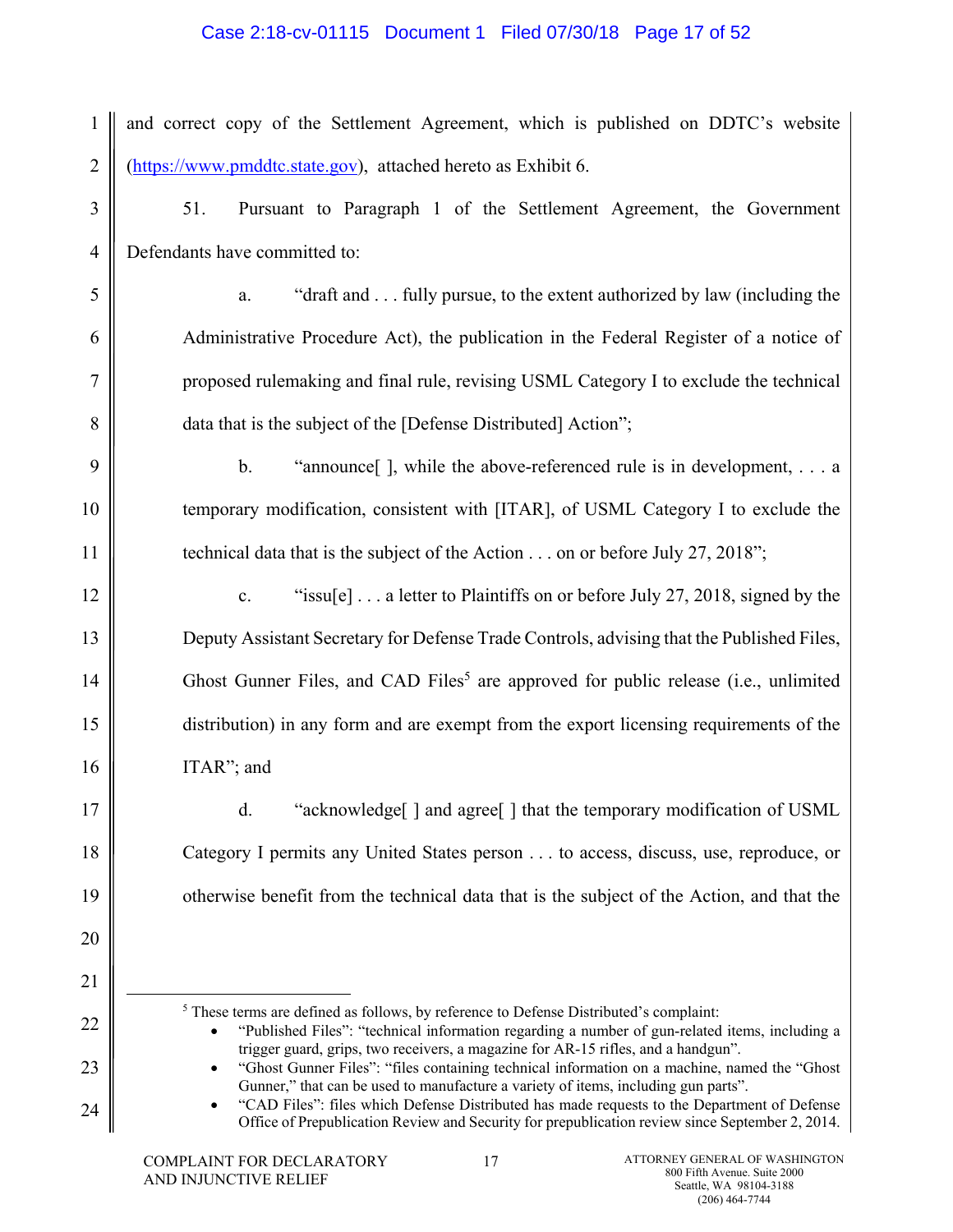# Case 2:18-cv-01115 Document 1 Filed 07/30/18 Page 17 of 52

| 1              | and correct copy of the Settlement Agreement, which is published on DDTC's website                                                                                                                                                                                      |
|----------------|-------------------------------------------------------------------------------------------------------------------------------------------------------------------------------------------------------------------------------------------------------------------------|
| $\overline{2}$ | (https://www.pmddtc.state.gov), attached hereto as Exhibit 6.                                                                                                                                                                                                           |
| 3              | 51.<br>Pursuant to Paragraph 1 of the Settlement Agreement, the Government                                                                                                                                                                                              |
| $\overline{4}$ | Defendants have committed to:                                                                                                                                                                                                                                           |
| 5              | "draft and fully pursue, to the extent authorized by law (including the<br>a.                                                                                                                                                                                           |
| 6              | Administrative Procedure Act), the publication in the Federal Register of a notice of                                                                                                                                                                                   |
| 7              | proposed rulemaking and final rule, revising USML Category I to exclude the technical                                                                                                                                                                                   |
| 8              | data that is the subject of the [Defense Distributed] Action";                                                                                                                                                                                                          |
| 9              | $\mathbf b$ .<br>"announce $\lceil$ , while the above-referenced rule is in development,  a                                                                                                                                                                             |
| 10             | temporary modification, consistent with [ITAR], of USML Category I to exclude the                                                                                                                                                                                       |
| 11             | technical data that is the subject of the Action $\dots$ on or before July 27, 2018";                                                                                                                                                                                   |
| 12             | "issu[e] $\ldots$ a letter to Plaintiffs on or before July 27, 2018, signed by the<br>$\mathbf{c}.$                                                                                                                                                                     |
| 13             | Deputy Assistant Secretary for Defense Trade Controls, advising that the Published Files,                                                                                                                                                                               |
| 14             | Ghost Gunner Files, and CAD Files <sup>5</sup> are approved for public release (i.e., unlimited                                                                                                                                                                         |
| 15             | distribution) in any form and are exempt from the export licensing requirements of the                                                                                                                                                                                  |
| 16             | ITAR"; and                                                                                                                                                                                                                                                              |
| 17             | "acknowledge[] and agree[] that the temporary modification of USML<br>d.                                                                                                                                                                                                |
| 18             | Category I permits any United States person to access, discuss, use, reproduce, or                                                                                                                                                                                      |
| 19             | otherwise benefit from the technical data that is the subject of the Action, and that the                                                                                                                                                                               |
| 20             |                                                                                                                                                                                                                                                                         |
| 21             |                                                                                                                                                                                                                                                                         |
| 22             | <sup>5</sup> These terms are defined as follows, by reference to Defense Distributed's complaint:<br>"Published Files": "technical information regarding a number of gun-related items, including a                                                                     |
| 23             | trigger guard, grips, two receivers, a magazine for AR-15 rifles, and a handgun".<br>"Ghost Gunner Files": "files containing technical information on a machine, named the "Ghost<br>Gunner," that can be used to manufacture a variety of items, including gun parts". |

"CAD Files": files which Defense Distributed has made requests to the Department of Defense Office of Prepublication Review and Security for prepublication review since September 2, 2014.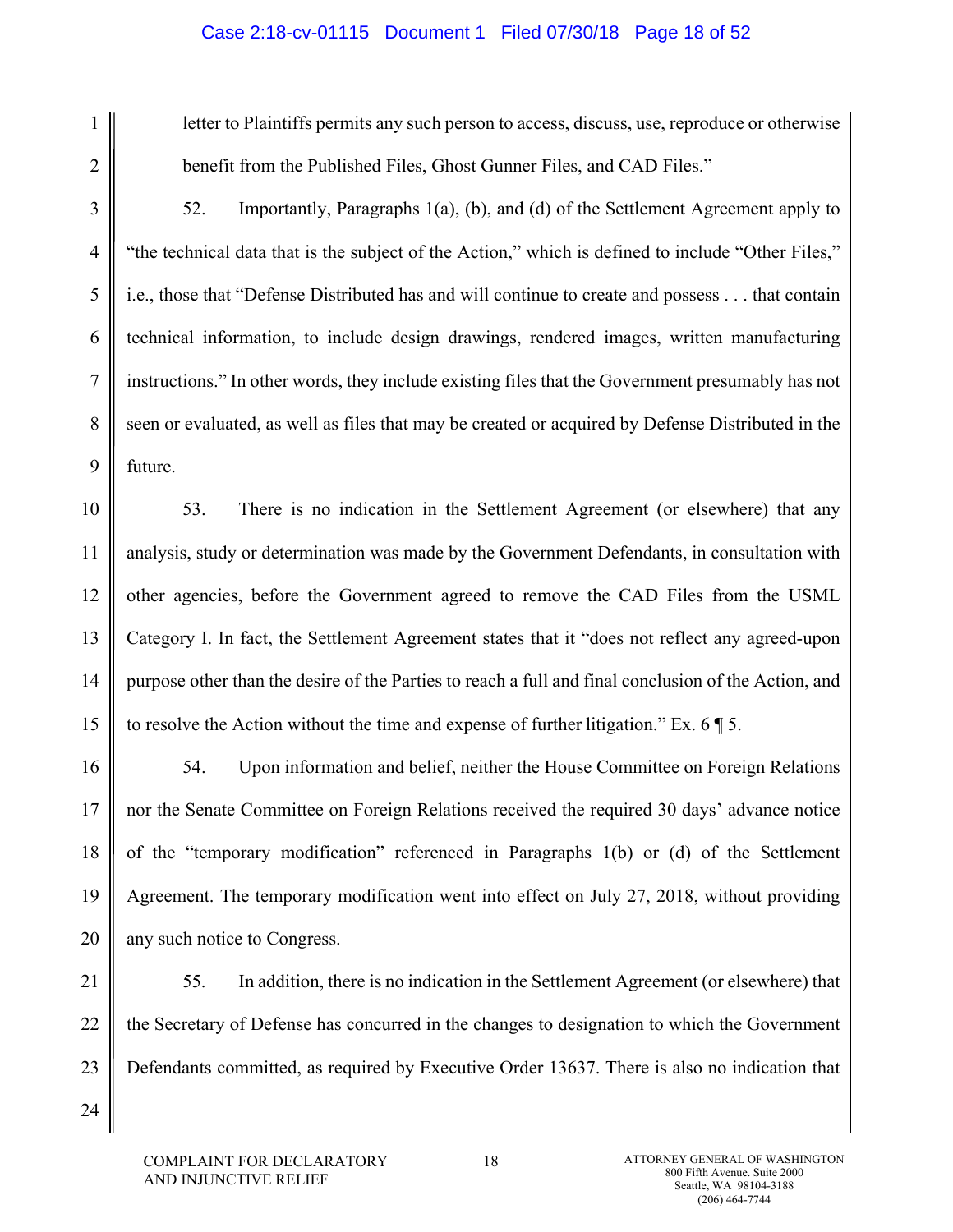## Case 2:18-cv-01115 Document 1 Filed 07/30/18 Page 18 of 52

1

2

3

4

5

6

7

8

9

24

letter to Plaintiffs permits any such person to access, discuss, use, reproduce or otherwise benefit from the Published Files, Ghost Gunner Files, and CAD Files."

52. Importantly, Paragraphs 1(a), (b), and (d) of the Settlement Agreement apply to "the technical data that is the subject of the Action," which is defined to include "Other Files," i.e., those that "Defense Distributed has and will continue to create and possess . . . that contain technical information, to include design drawings, rendered images, written manufacturing instructions." In other words, they include existing files that the Government presumably has not seen or evaluated, as well as files that may be created or acquired by Defense Distributed in the future.

10 11 12 13 14 15 53. There is no indication in the Settlement Agreement (or elsewhere) that any analysis, study or determination was made by the Government Defendants, in consultation with other agencies, before the Government agreed to remove the CAD Files from the USML Category I. In fact, the Settlement Agreement states that it "does not reflect any agreed-upon purpose other than the desire of the Parties to reach a full and final conclusion of the Action, and to resolve the Action without the time and expense of further litigation." Ex. 6 ¶ 5.

16 17 18 19 20 54. Upon information and belief, neither the House Committee on Foreign Relations nor the Senate Committee on Foreign Relations received the required 30 days' advance notice of the "temporary modification" referenced in Paragraphs 1(b) or (d) of the Settlement Agreement. The temporary modification went into effect on July 27, 2018, without providing any such notice to Congress.

21 22 23 55. In addition, there is no indication in the Settlement Agreement (or elsewhere) that the Secretary of Defense has concurred in the changes to designation to which the Government Defendants committed, as required by Executive Order 13637. There is also no indication that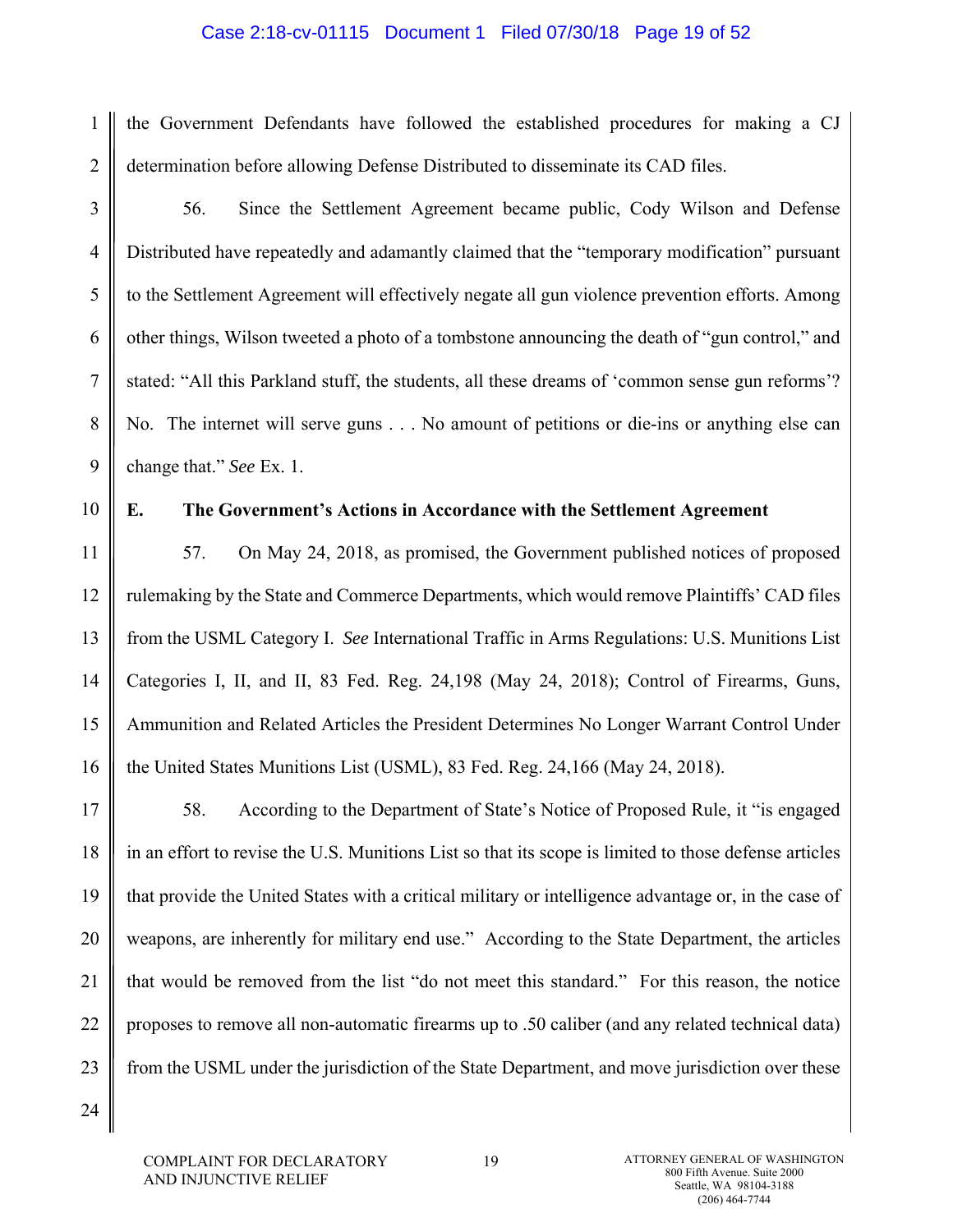#### Case 2:18-cv-01115 Document 1 Filed 07/30/18 Page 19 of 52

the Government Defendants have followed the established procedures for making a CJ determination before allowing Defense Distributed to disseminate its CAD files.

1

2

3

4

5

6

7

8

9

56. Since the Settlement Agreement became public, Cody Wilson and Defense Distributed have repeatedly and adamantly claimed that the "temporary modification" pursuant to the Settlement Agreement will effectively negate all gun violence prevention efforts. Among other things, Wilson tweeted a photo of a tombstone announcing the death of "gun control," and stated: "All this Parkland stuff, the students, all these dreams of 'common sense gun reforms'? No. The internet will serve guns . . . No amount of petitions or die-ins or anything else can change that." *See* Ex. 1.

10

## **E. The Government's Actions in Accordance with the Settlement Agreement**

11 12 13 14 15 16 57. On May 24, 2018, as promised, the Government published notices of proposed rulemaking by the State and Commerce Departments, which would remove Plaintiffs' CAD files from the USML Category I. *See* International Traffic in Arms Regulations: U.S. Munitions List Categories I, II, and II, 83 Fed. Reg. 24,198 (May 24, 2018); Control of Firearms, Guns, Ammunition and Related Articles the President Determines No Longer Warrant Control Under the United States Munitions List (USML), 83 Fed. Reg. 24,166 (May 24, 2018).

17 18 19 20 21 22 23 58. According to the Department of State's Notice of Proposed Rule, it "is engaged in an effort to revise the U.S. Munitions List so that its scope is limited to those defense articles that provide the United States with a critical military or intelligence advantage or, in the case of weapons, are inherently for military end use." According to the State Department, the articles that would be removed from the list "do not meet this standard." For this reason, the notice proposes to remove all non-automatic firearms up to .50 caliber (and any related technical data) from the USML under the jurisdiction of the State Department, and move jurisdiction over these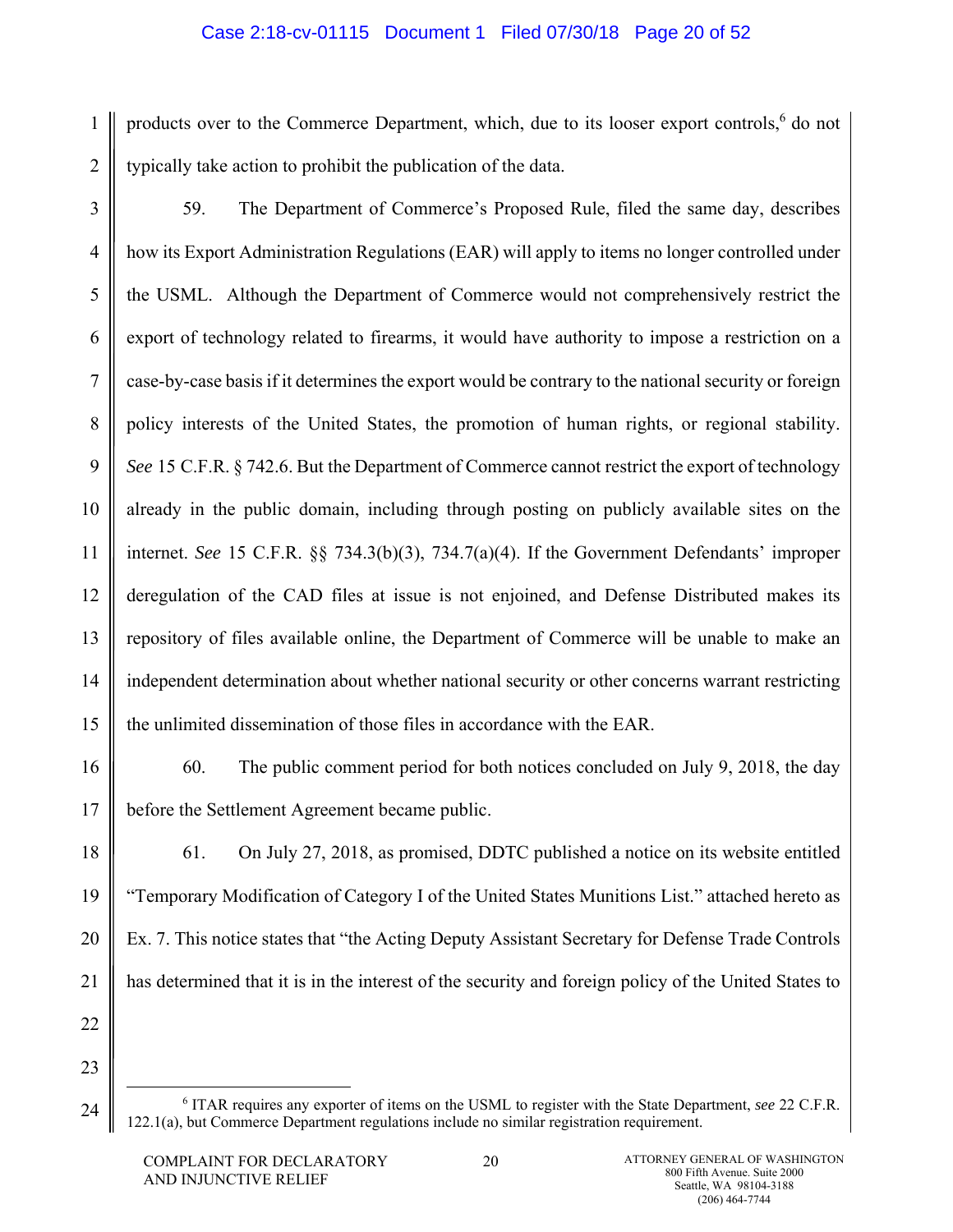# Case 2:18-cv-01115 Document 1 Filed 07/30/18 Page 20 of 52

1 2 products over to the Commerce Department, which, due to its looser export controls,<sup>6</sup> do not typically take action to prohibit the publication of the data.

3 4 5 6 7 8 9 10 11 12 13 14 15 59. The Department of Commerce's Proposed Rule, filed the same day, describes how its Export Administration Regulations (EAR) will apply to items no longer controlled under the USML. Although the Department of Commerce would not comprehensively restrict the export of technology related to firearms, it would have authority to impose a restriction on a case-by-case basis if it determines the export would be contrary to the national security or foreign policy interests of the United States, the promotion of human rights, or regional stability. *See* 15 C.F.R. § 742.6. But the Department of Commerce cannot restrict the export of technology already in the public domain, including through posting on publicly available sites on the internet. *See* 15 C.F.R. §§ 734.3(b)(3), 734.7(a)(4). If the Government Defendants' improper deregulation of the CAD files at issue is not enjoined, and Defense Distributed makes its repository of files available online, the Department of Commerce will be unable to make an independent determination about whether national security or other concerns warrant restricting the unlimited dissemination of those files in accordance with the EAR.

16 17

60. The public comment period for both notices concluded on July 9, 2018, the day before the Settlement Agreement became public.

18 19 20 21 61. On July 27, 2018, as promised, DDTC published a notice on its website entitled "Temporary Modification of Category I of the United States Munitions List." attached hereto as Ex. 7. This notice states that "the Acting Deputy Assistant Secretary for Defense Trade Controls has determined that it is in the interest of the security and foreign policy of the United States to

22 23

 <sup>6</sup> ITAR requires any exporter of items on the USML to register with the State Department, *see* 22 C.F.R. 122.1(a), but Commerce Department regulations include no similar registration requirement.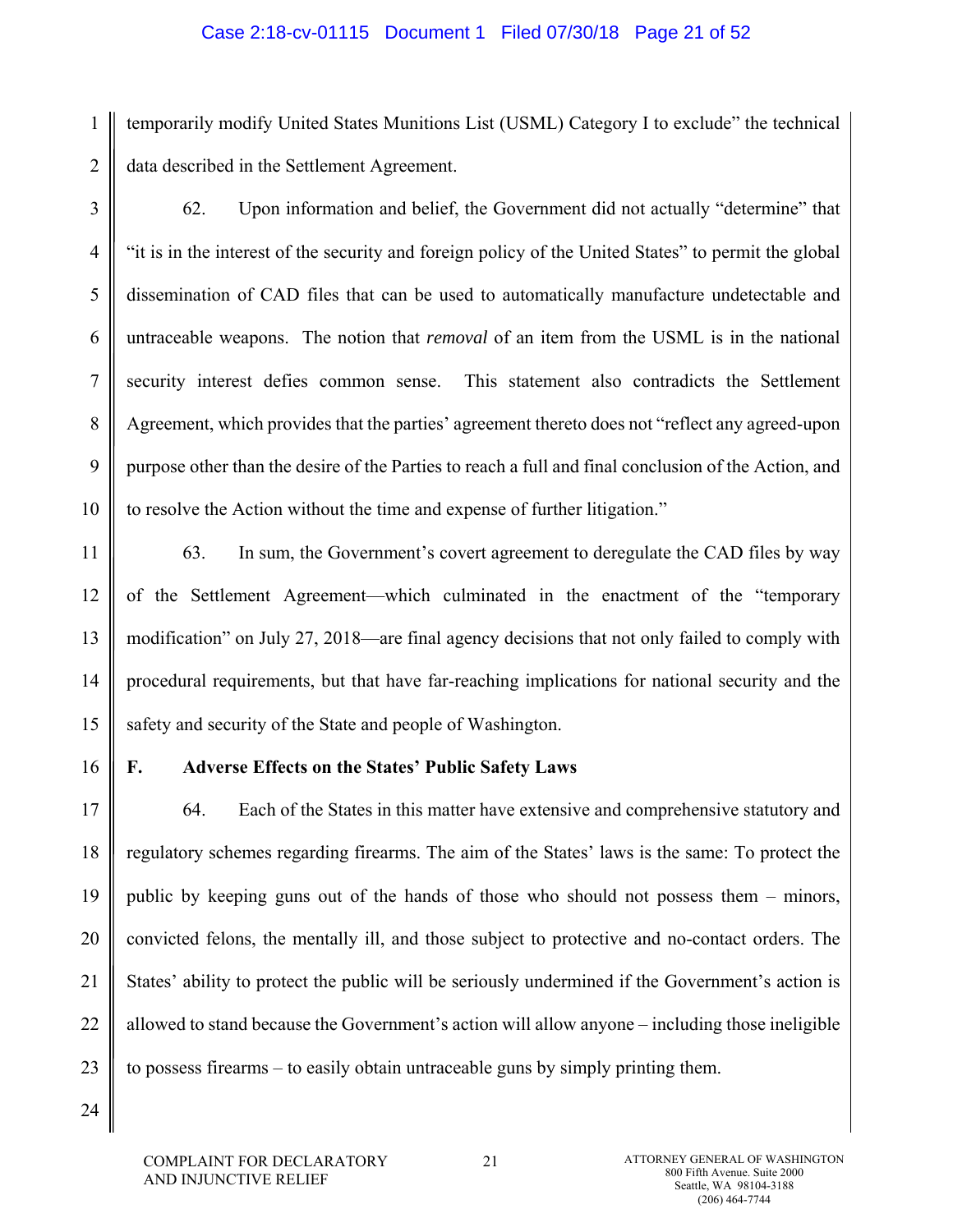#### Case 2:18-cv-01115 Document 1 Filed 07/30/18 Page 21 of 52

1 2 temporarily modify United States Munitions List (USML) Category I to exclude" the technical data described in the Settlement Agreement.

3

4

5

6

7

8

9

10

62. Upon information and belief, the Government did not actually "determine" that "it is in the interest of the security and foreign policy of the United States" to permit the global dissemination of CAD files that can be used to automatically manufacture undetectable and untraceable weapons. The notion that *removal* of an item from the USML is in the national security interest defies common sense. This statement also contradicts the Settlement Agreement, which provides that the parties' agreement thereto does not "reflect any agreed-upon purpose other than the desire of the Parties to reach a full and final conclusion of the Action, and to resolve the Action without the time and expense of further litigation."

11 12 13 14 15 63. In sum, the Government's covert agreement to deregulate the CAD files by way of the Settlement Agreement—which culminated in the enactment of the "temporary modification" on July 27, 2018—are final agency decisions that not only failed to comply with procedural requirements, but that have far-reaching implications for national security and the safety and security of the State and people of Washington.

16

## **F. Adverse Effects on the States' Public Safety Laws**

17 18 19 20 21 22 23 64. Each of the States in this matter have extensive and comprehensive statutory and regulatory schemes regarding firearms. The aim of the States' laws is the same: To protect the public by keeping guns out of the hands of those who should not possess them – minors, convicted felons, the mentally ill, and those subject to protective and no-contact orders. The States' ability to protect the public will be seriously undermined if the Government's action is allowed to stand because the Government's action will allow anyone – including those ineligible to possess firearms – to easily obtain untraceable guns by simply printing them.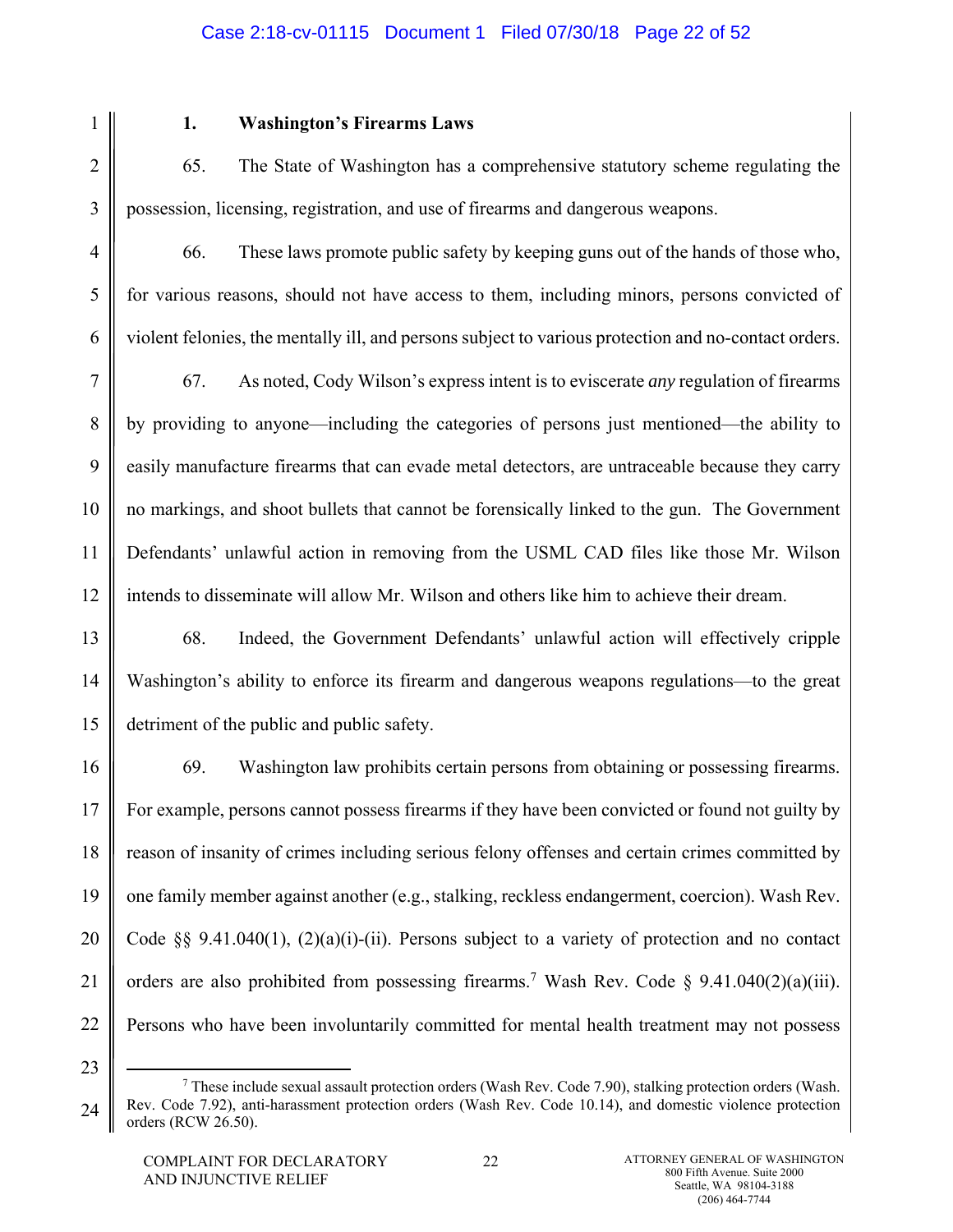# Case 2:18-cv-01115 Document 1 Filed 07/30/18 Page 22 of 52

1

2

3

4

5

6

# **1. Washington's Firearms Laws**

65. The State of Washington has a comprehensive statutory scheme regulating the possession, licensing, registration, and use of firearms and dangerous weapons.

66. These laws promote public safety by keeping guns out of the hands of those who, for various reasons, should not have access to them, including minors, persons convicted of violent felonies, the mentally ill, and persons subject to various protection and no-contact orders.

7 8 9 10 11 12 67. As noted, Cody Wilson's express intent is to eviscerate *any* regulation of firearms by providing to anyone—including the categories of persons just mentioned—the ability to easily manufacture firearms that can evade metal detectors, are untraceable because they carry no markings, and shoot bullets that cannot be forensically linked to the gun. The Government Defendants' unlawful action in removing from the USML CAD files like those Mr. Wilson intends to disseminate will allow Mr. Wilson and others like him to achieve their dream.

13 14 15 68. Indeed, the Government Defendants' unlawful action will effectively cripple Washington's ability to enforce its firearm and dangerous weapons regulations—to the great detriment of the public and public safety.

16 17 18 19 20 21 22 69. Washington law prohibits certain persons from obtaining or possessing firearms. For example, persons cannot possess firearms if they have been convicted or found not guilty by reason of insanity of crimes including serious felony offenses and certain crimes committed by one family member against another (e.g., stalking, reckless endangerment, coercion). Wash Rev. Code §§ 9.41.040(1),  $(2)(a)(i)$ -(ii). Persons subject to a variety of protection and no contact orders are also prohibited from possessing firearms.<sup>7</sup> Wash Rev. Code § 9.41.040(2)(a)(iii). Persons who have been involuntarily committed for mental health treatment may not possess

<sup>24</sup>  $\begin{array}{c|c}\n\hline\n\end{array}$  These include sexual assault protection orders (Wash Rev. Code 7.90), stalking protection orders (Wash. Rev. Code 7.92), anti-harassment protection orders (Wash Rev. Code 10.14), and domestic violence protection orders (RCW 26.50).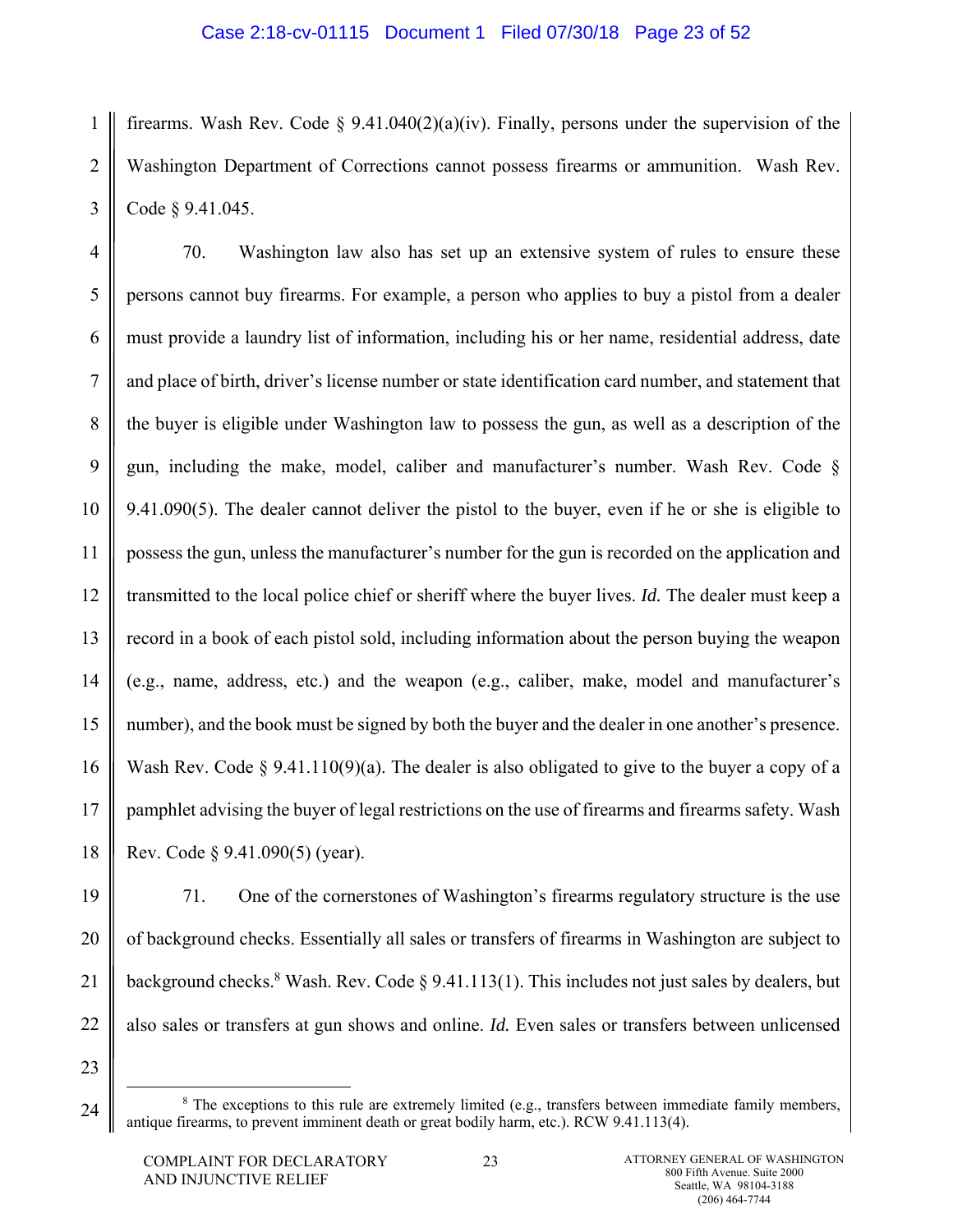1 2 3 firearms. Wash Rev. Code  $\S 9.41.040(2)(a)(iv)$ . Finally, persons under the supervision of the Washington Department of Corrections cannot possess firearms or ammunition. Wash Rev. Code § 9.41.045.

4 5 6 7 8 9 10 11 12 13 14 15 16 17 70. Washington law also has set up an extensive system of rules to ensure these persons cannot buy firearms. For example, a person who applies to buy a pistol from a dealer must provide a laundry list of information, including his or her name, residential address, date and place of birth, driver's license number or state identification card number, and statement that the buyer is eligible under Washington law to possess the gun, as well as a description of the gun, including the make, model, caliber and manufacturer's number. Wash Rev. Code § 9.41.090(5). The dealer cannot deliver the pistol to the buyer, even if he or she is eligible to possess the gun, unless the manufacturer's number for the gun is recorded on the application and transmitted to the local police chief or sheriff where the buyer lives. *Id.* The dealer must keep a record in a book of each pistol sold, including information about the person buying the weapon (e.g., name, address, etc.) and the weapon (e.g., caliber, make, model and manufacturer's number), and the book must be signed by both the buyer and the dealer in one another's presence. Wash Rev. Code § 9.41.110(9)(a). The dealer is also obligated to give to the buyer a copy of a pamphlet advising the buyer of legal restrictions on the use of firearms and firearms safety. Wash Rev. Code § 9.41.090(5) (year).

24

71. One of the cornerstones of Washington's firearms regulatory structure is the use

of background checks. Essentially all sales or transfers of firearms in Washington are subject to

background checks.<sup>8</sup> Wash. Rev. Code § 9.41.113(1). This includes not just sales by dealers, but

also sales or transfers at gun shows and online. *Id.* Even sales or transfers between unlicensed

 $\begin{array}{c|c}\n\hline\n\text{1} & \text{2} & \text{3} \\
\hline\n\text{2} & \text{3} & \text{4}\n\end{array}$  $8$  The exceptions to this rule are extremely limited (e.g., transfers between immediate family members, antique firearms, to prevent imminent death or great bodily harm, etc.). RCW 9.41.113(4).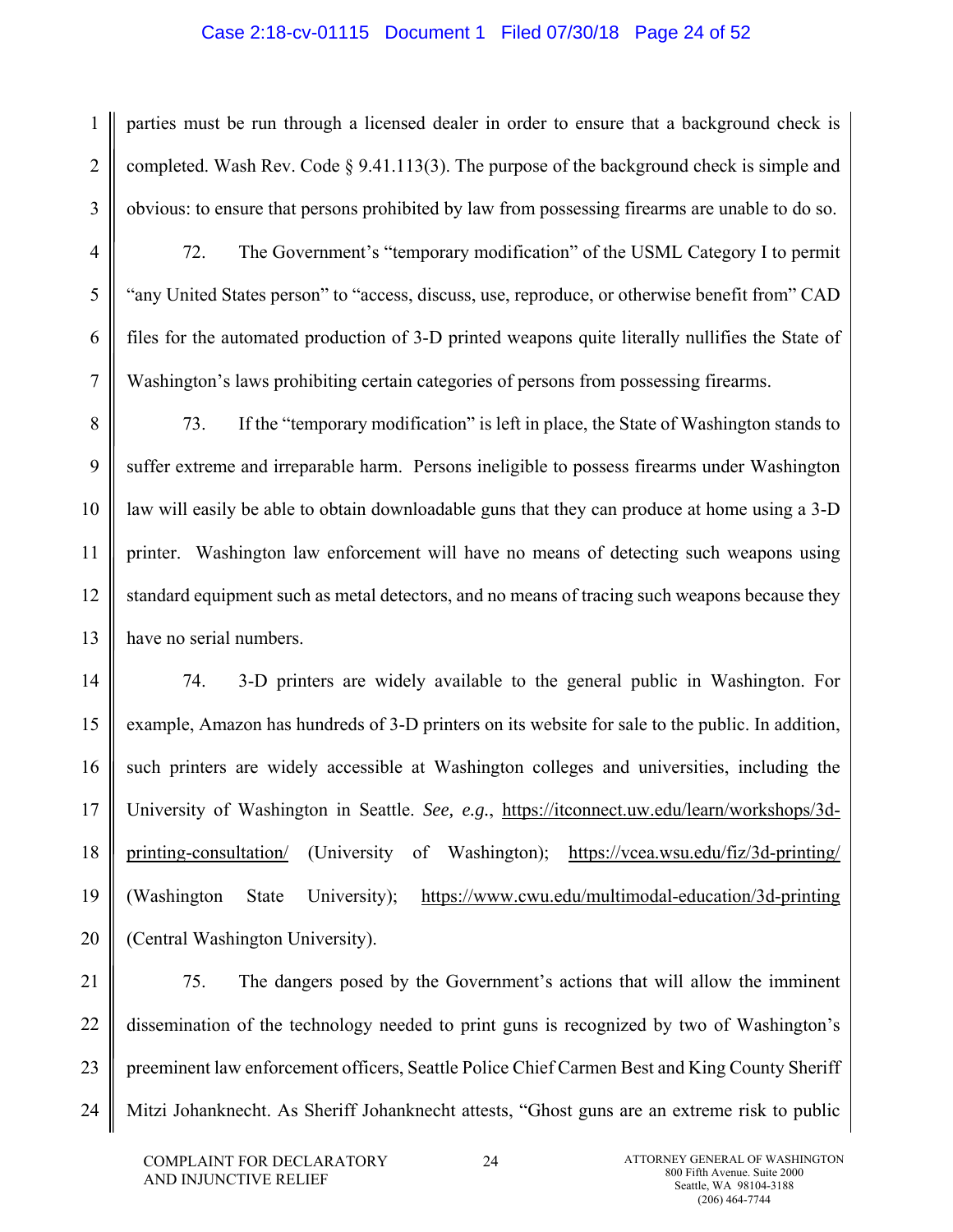### Case 2:18-cv-01115 Document 1 Filed 07/30/18 Page 24 of 52

parties must be run through a licensed dealer in order to ensure that a background check is completed. Wash Rev. Code § 9.41.113(3). The purpose of the background check is simple and obvious: to ensure that persons prohibited by law from possessing firearms are unable to do so.

72. The Government's "temporary modification" of the USML Category I to permit "any United States person" to "access, discuss, use, reproduce, or otherwise benefit from" CAD files for the automated production of 3-D printed weapons quite literally nullifies the State of Washington's laws prohibiting certain categories of persons from possessing firearms.

8 9 10 11 12 13 73. If the "temporary modification" is left in place, the State of Washington stands to suffer extreme and irreparable harm. Persons ineligible to possess firearms under Washington law will easily be able to obtain downloadable guns that they can produce at home using a 3-D printer. Washington law enforcement will have no means of detecting such weapons using standard equipment such as metal detectors, and no means of tracing such weapons because they have no serial numbers.

14 15 16 17 18 19 20 74. 3-D printers are widely available to the general public in Washington. For example, Amazon has hundreds of 3-D printers on its website for sale to the public. In addition, such printers are widely accessible at Washington colleges and universities, including the University of Washington in Seattle. *See, e.g.*, https://itconnect.uw.edu/learn/workshops/3dprinting-consultation/ (University of Washington); https://vcea.wsu.edu/fiz/3d-printing/ (Washington State University); https://www.cwu.edu/multimodal-education/3d-printing (Central Washington University).

21 22 23 24 75. The dangers posed by the Government's actions that will allow the imminent dissemination of the technology needed to print guns is recognized by two of Washington's preeminent law enforcement officers, Seattle Police Chief Carmen Best and King County Sheriff Mitzi Johanknecht. As Sheriff Johanknecht attests, "Ghost guns are an extreme risk to public

1

2

3

4

5

6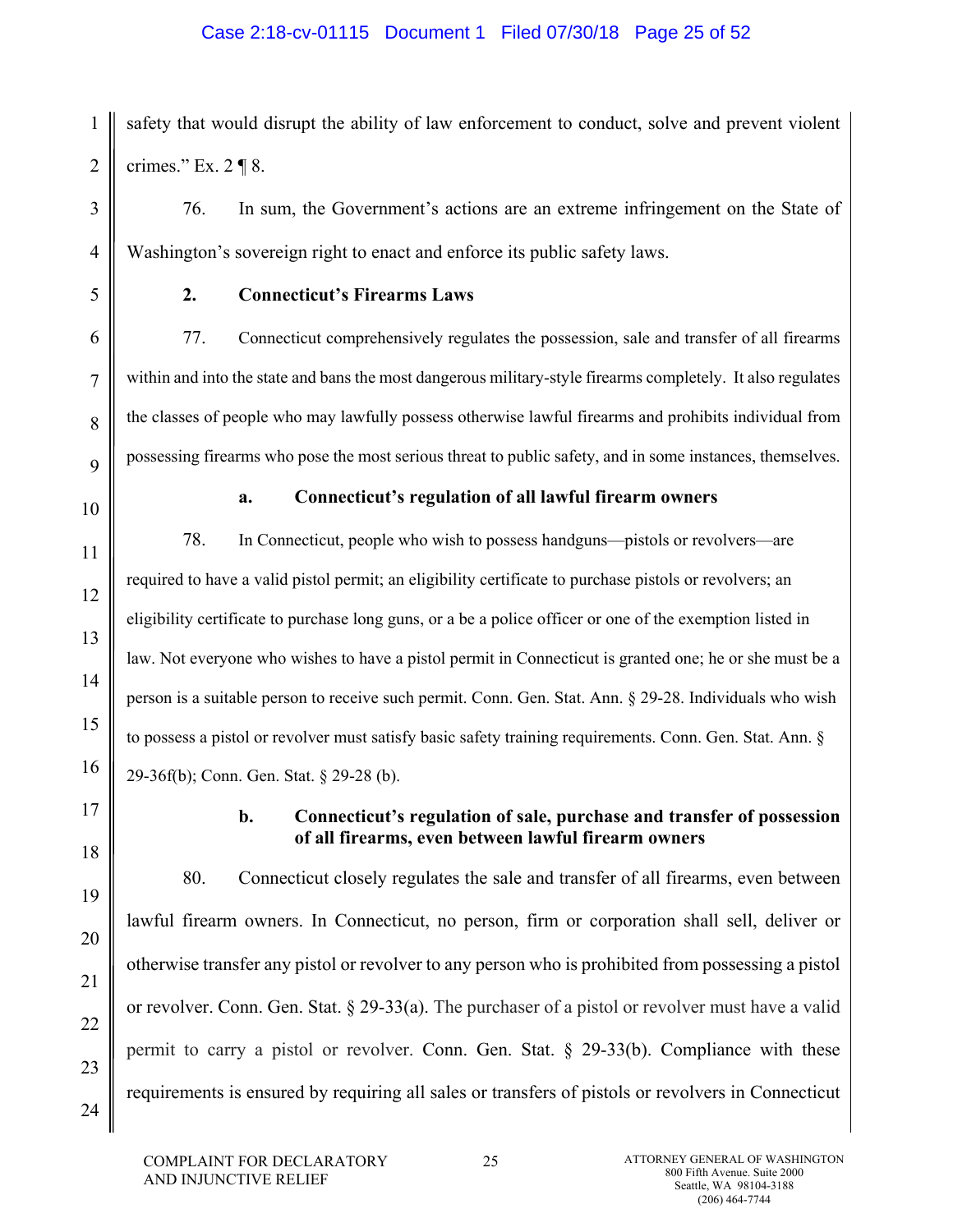# Case 2:18-cv-01115 Document 1 Filed 07/30/18 Page 25 of 52

safety that would disrupt the ability of law enforcement to conduct, solve and prevent violent crimes." Ex. 2 ¶ 8.

76. In sum, the Government's actions are an extreme infringement on the State of Washington's sovereign right to enact and enforce its public safety laws.

1

2

3

4

5

6

7

8

9

10

11

12

13

14

15

16

# **2. Connecticut's Firearms Laws**

77. Connecticut comprehensively regulates the possession, sale and transfer of all firearms within and into the state and bans the most dangerous military-style firearms completely. It also regulates the classes of people who may lawfully possess otherwise lawful firearms and prohibits individual from possessing firearms who pose the most serious threat to public safety, and in some instances, themselves.

# **a. Connecticut's regulation of all lawful firearm owners**

78. In Connecticut, people who wish to possess handguns—pistols or revolvers—are required to have a valid pistol permit; an eligibility certificate to purchase pistols or revolvers; an eligibility certificate to purchase long guns, or a be a police officer or one of the exemption listed in law. Not everyone who wishes to have a pistol permit in Connecticut is granted one; he or she must be a person is a suitable person to receive such permit. Conn. Gen. Stat. Ann. § 29-28. Individuals who wish to possess a pistol or revolver must satisfy basic safety training requirements. Conn. Gen. Stat. Ann. § 29-36f(b); Conn. Gen. Stat. § 29-28 (b).

17

18

19

20

21

22

23

24

# **b. Connecticut's regulation of sale, purchase and transfer of possession of all firearms, even between lawful firearm owners**

 80. Connecticut closely regulates the sale and transfer of all firearms, even between lawful firearm owners. In Connecticut, no person, firm or corporation shall sell, deliver or otherwise transfer any pistol or revolver to any person who is prohibited from possessing a pistol or revolver. Conn. Gen. Stat. § 29-33(a). The purchaser of a pistol or revolver must have a valid permit to carry a pistol or revolver. Conn. Gen. Stat. § 29-33(b). Compliance with these requirements is ensured by requiring all sales or transfers of pistols or revolvers in Connecticut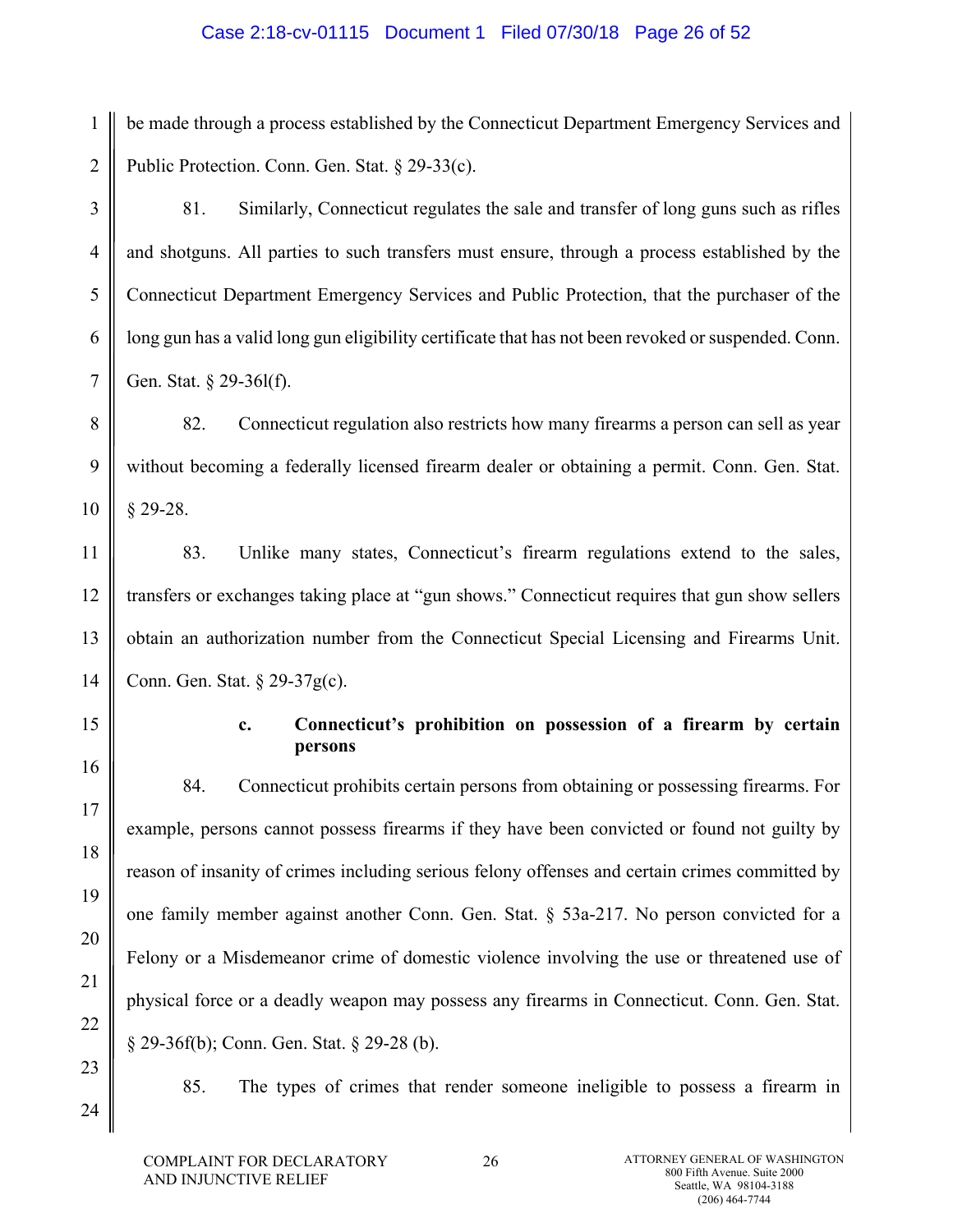## Case 2:18-cv-01115 Document 1 Filed 07/30/18 Page 26 of 52

1 2 be made through a process established by the Connecticut Department Emergency Services and Public Protection. Conn. Gen. Stat. § 29-33(c).

 81. Similarly, Connecticut regulates the sale and transfer of long guns such as rifles and shotguns. All parties to such transfers must ensure, through a process established by the Connecticut Department Emergency Services and Public Protection, that the purchaser of the long gun has a valid long gun eligibility certificate that has not been revoked or suspended. Conn. Gen. Stat. § 29-36l(f).

 82. Connecticut regulation also restricts how many firearms a person can sell as year without becoming a federally licensed firearm dealer or obtaining a permit. Conn. Gen. Stat. § 29-28.

11 12 13 14 83. Unlike many states, Connecticut's firearm regulations extend to the sales, transfers or exchanges taking place at "gun shows." Connecticut requires that gun show sellers obtain an authorization number from the Connecticut Special Licensing and Firearms Unit. Conn. Gen. Stat. § 29-37g(c).

15

16

17

18

19

20

3

4

5

6

7

8

9

10

# **c. Connecticut's prohibition on possession of a firearm by certain persons**

 84. Connecticut prohibits certain persons from obtaining or possessing firearms. For example, persons cannot possess firearms if they have been convicted or found not guilty by reason of insanity of crimes including serious felony offenses and certain crimes committed by one family member against another Conn. Gen. Stat. § 53a-217. No person convicted for a Felony or a Misdemeanor crime of domestic violence involving the use or threatened use of physical force or a deadly weapon may possess any firearms in Connecticut. Conn. Gen. Stat. § 29-36f(b); Conn. Gen. Stat. § 29-28 (b).

85. The types of crimes that render someone ineligible to possess a firearm in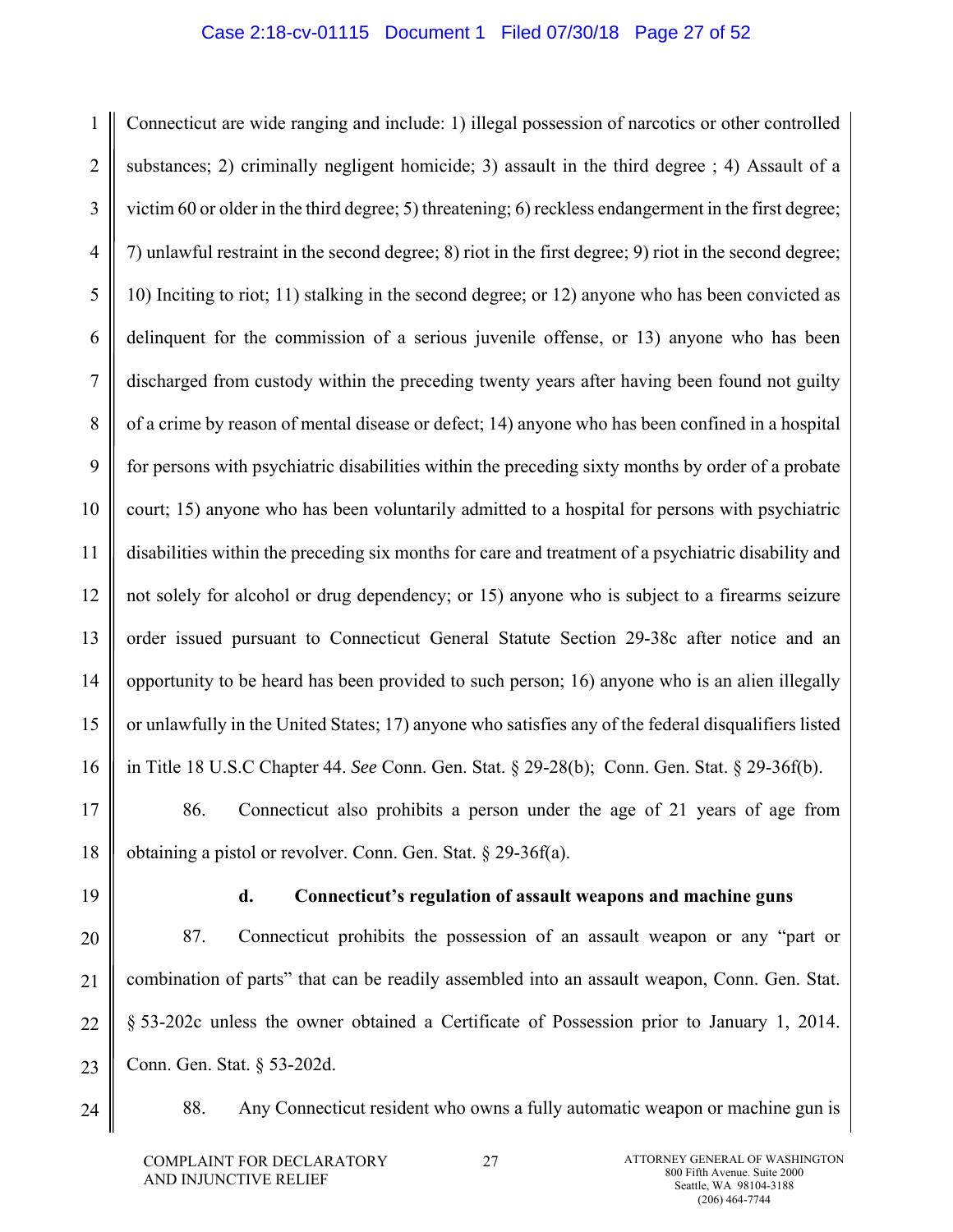### Case 2:18-cv-01115 Document 1 Filed 07/30/18 Page 27 of 52

1 2 3 4 5 6 7 8 9 10 11 12 13 14 15 16 Connecticut are wide ranging and include: 1) illegal possession of narcotics or other controlled substances; 2) criminally negligent homicide; 3) assault in the third degree ; 4) Assault of a victim 60 or older in the third degree; 5) threatening; 6) reckless endangerment in the first degree; 7) unlawful restraint in the second degree; 8) riot in the first degree; 9) riot in the second degree; 10) Inciting to riot; 11) stalking in the second degree; or 12) anyone who has been convicted as delinquent for the commission of a serious juvenile offense, or 13) anyone who has been discharged from custody within the preceding twenty years after having been found not guilty of a crime by reason of mental disease or defect; 14) anyone who has been confined in a hospital for persons with psychiatric disabilities within the preceding sixty months by order of a probate court; 15) anyone who has been voluntarily admitted to a hospital for persons with psychiatric disabilities within the preceding six months for care and treatment of a psychiatric disability and not solely for alcohol or drug dependency; or 15) anyone who is subject to a firearms seizure order issued pursuant to Connecticut General Statute Section 29-38c after notice and an opportunity to be heard has been provided to such person; 16) anyone who is an alien illegally or unlawfully in the United States; 17) anyone who satisfies any of the federal disqualifiers listed in Title 18 U.S.C Chapter 44. *See* Conn. Gen. Stat. § 29-28(b); Conn. Gen. Stat. § 29-36f(b).

17 18 86. Connecticut also prohibits a person under the age of 21 years of age from obtaining a pistol or revolver. Conn. Gen. Stat. § 29-36f(a).

19

## **d. Connecticut's regulation of assault weapons and machine guns**

20 21 22 23 87. Connecticut prohibits the possession of an assault weapon or any "part or combination of parts" that can be readily assembled into an assault weapon, Conn. Gen. Stat. § 53-202c unless the owner obtained a Certificate of Possession prior to January 1, 2014. Conn. Gen. Stat. § 53-202d.

24

88. Any Connecticut resident who owns a fully automatic weapon or machine gun is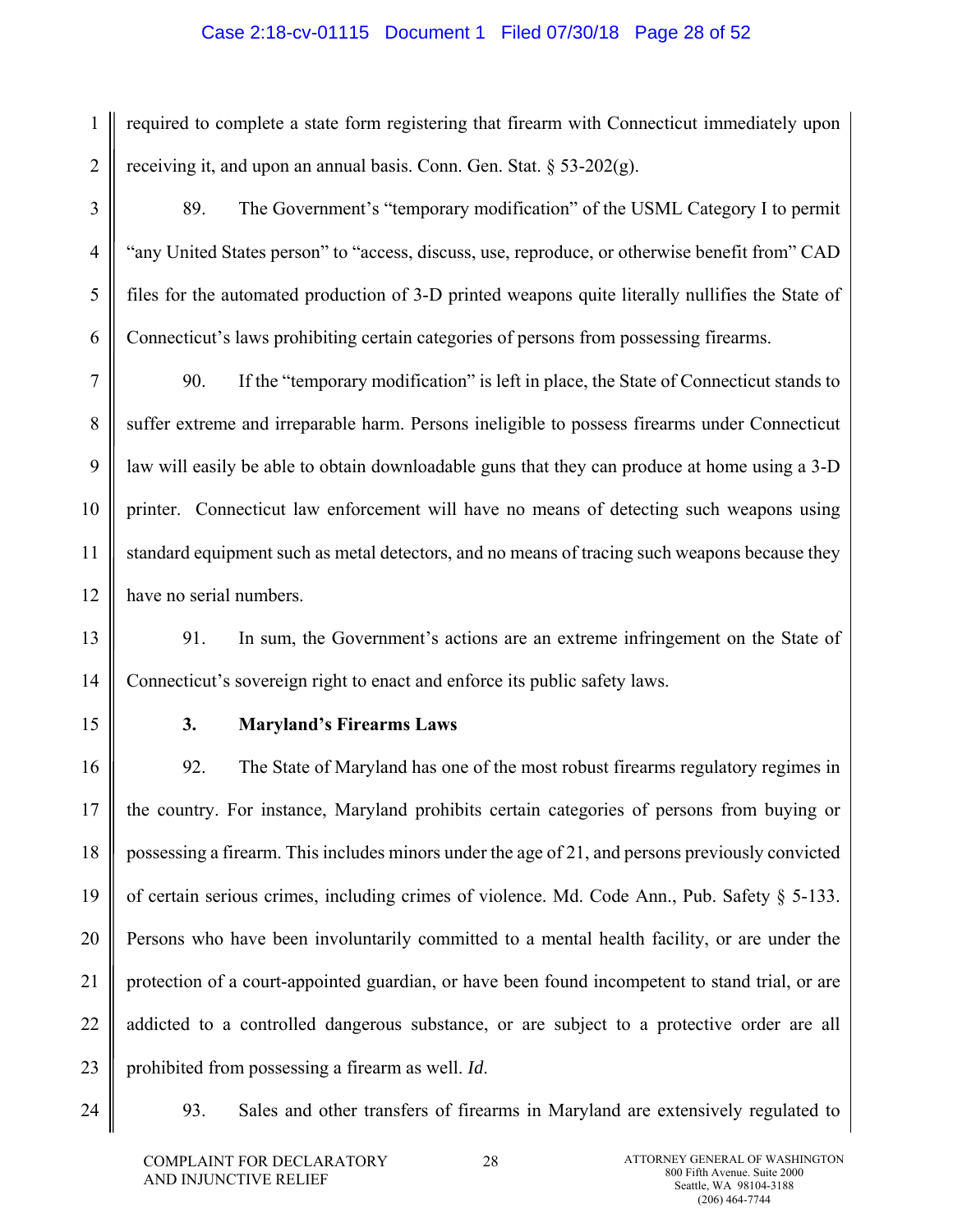## Case 2:18-cv-01115 Document 1 Filed 07/30/18 Page 28 of 52

1 2 required to complete a state form registering that firearm with Connecticut immediately upon receiving it, and upon an annual basis. Conn. Gen. Stat.  $\S$  53-202(g).

 89. The Government's "temporary modification" of the USML Category I to permit "any United States person" to "access, discuss, use, reproduce, or otherwise benefit from" CAD files for the automated production of 3-D printed weapons quite literally nullifies the State of Connecticut's laws prohibiting certain categories of persons from possessing firearms.

7 8 9 10 11 12 90. If the "temporary modification" is left in place, the State of Connecticut stands to suffer extreme and irreparable harm. Persons ineligible to possess firearms under Connecticut law will easily be able to obtain downloadable guns that they can produce at home using a 3-D printer. Connecticut law enforcement will have no means of detecting such weapons using standard equipment such as metal detectors, and no means of tracing such weapons because they have no serial numbers.

13 14 91. In sum, the Government's actions are an extreme infringement on the State of Connecticut's sovereign right to enact and enforce its public safety laws.

15

3

4

5

6

# **3. Maryland's Firearms Laws**

16 17 18 19 20 21 22 23 92. The State of Maryland has one of the most robust firearms regulatory regimes in the country. For instance, Maryland prohibits certain categories of persons from buying or possessing a firearm. This includes minors under the age of 21, and persons previously convicted of certain serious crimes, including crimes of violence. Md. Code Ann., Pub. Safety § 5-133. Persons who have been involuntarily committed to a mental health facility, or are under the protection of a court-appointed guardian, or have been found incompetent to stand trial, or are addicted to a controlled dangerous substance, or are subject to a protective order are all prohibited from possessing a firearm as well. *Id*.

24

93. Sales and other transfers of firearms in Maryland are extensively regulated to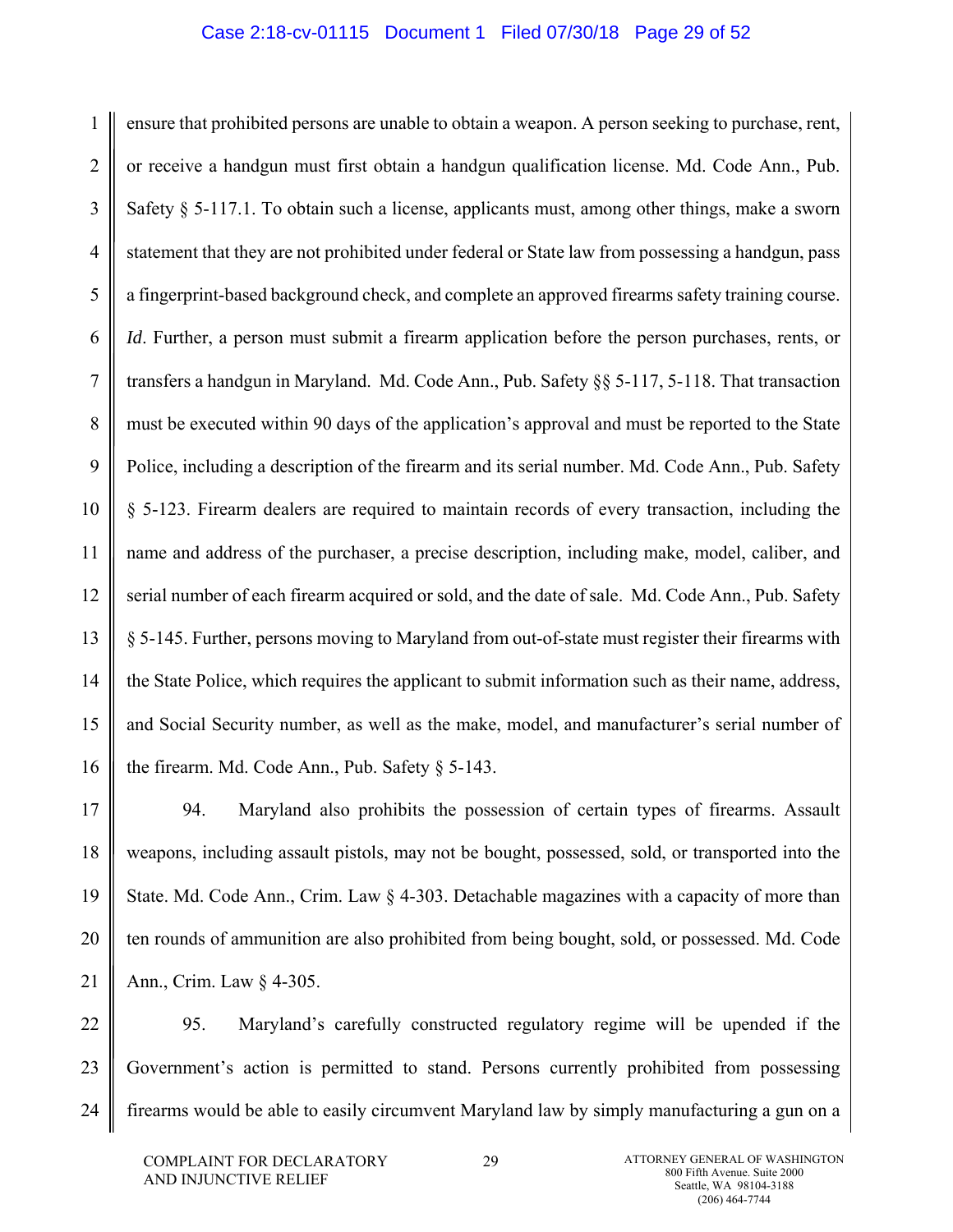#### Case 2:18-cv-01115 Document 1 Filed 07/30/18 Page 29 of 52

1 2 3 4 5 6 7 8 9 10 11 12 13 14 15 16 ensure that prohibited persons are unable to obtain a weapon. A person seeking to purchase, rent, or receive a handgun must first obtain a handgun qualification license. Md. Code Ann., Pub. Safety § 5-117.1. To obtain such a license, applicants must, among other things, make a sworn statement that they are not prohibited under federal or State law from possessing a handgun, pass a fingerprint-based background check, and complete an approved firearms safety training course. *Id.* Further, a person must submit a firearm application before the person purchases, rents, or transfers a handgun in Maryland. Md. Code Ann., Pub. Safety §§ 5-117, 5-118. That transaction must be executed within 90 days of the application's approval and must be reported to the State Police, including a description of the firearm and its serial number. Md. Code Ann., Pub. Safety § 5-123. Firearm dealers are required to maintain records of every transaction, including the name and address of the purchaser, a precise description, including make, model, caliber, and serial number of each firearm acquired or sold, and the date of sale. Md. Code Ann., Pub. Safety § 5-145. Further, persons moving to Maryland from out-of-state must register their firearms with the State Police, which requires the applicant to submit information such as their name, address, and Social Security number, as well as the make, model, and manufacturer's serial number of the firearm. Md. Code Ann., Pub. Safety § 5-143.

17 18 19 20 21 94. Maryland also prohibits the possession of certain types of firearms. Assault weapons, including assault pistols, may not be bought, possessed, sold, or transported into the State. Md. Code Ann., Crim. Law § 4-303. Detachable magazines with a capacity of more than ten rounds of ammunition are also prohibited from being bought, sold, or possessed. Md. Code Ann., Crim. Law § 4-305.

22 23 24 95. Maryland's carefully constructed regulatory regime will be upended if the Government's action is permitted to stand. Persons currently prohibited from possessing firearms would be able to easily circumvent Maryland law by simply manufacturing a gun on a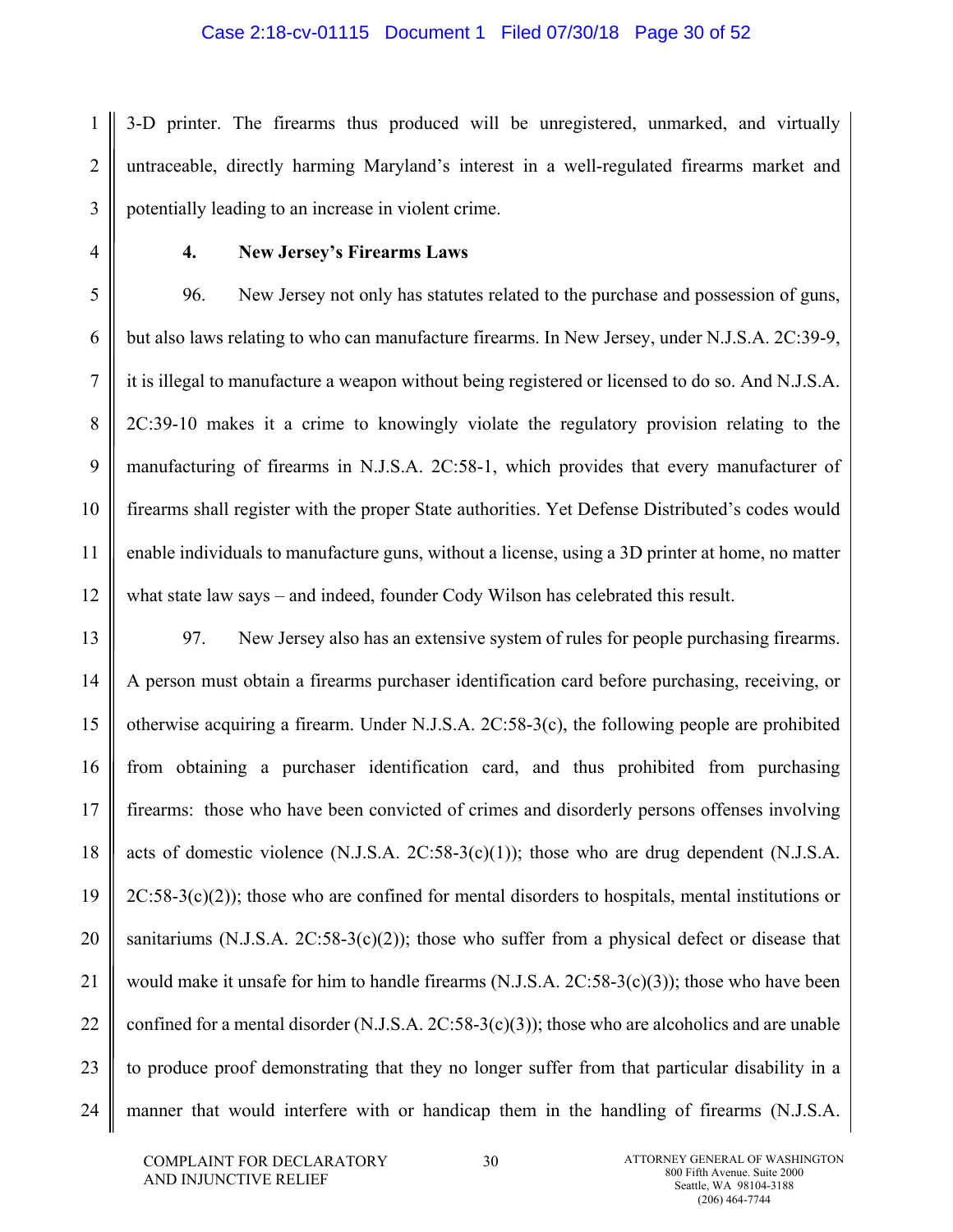#### Case 2:18-cv-01115 Document 1 Filed 07/30/18 Page 30 of 52

1 2 3 3-D printer. The firearms thus produced will be unregistered, unmarked, and virtually untraceable, directly harming Maryland's interest in a well-regulated firearms market and potentially leading to an increase in violent crime.

4

## **4. New Jersey's Firearms Laws**

5 6 7 8 9 10 11 12 96. New Jersey not only has statutes related to the purchase and possession of guns, but also laws relating to who can manufacture firearms. In New Jersey, under N.J.S.A. 2C:39-9, it is illegal to manufacture a weapon without being registered or licensed to do so. And N.J.S.A. 2C:39-10 makes it a crime to knowingly violate the regulatory provision relating to the manufacturing of firearms in N.J.S.A. 2C:58-1, which provides that every manufacturer of firearms shall register with the proper State authorities. Yet Defense Distributed's codes would enable individuals to manufacture guns, without a license, using a 3D printer at home, no matter what state law says – and indeed, founder Cody Wilson has celebrated this result.

13 14 15 16 17 18 19 20 21 22 23 24 97. New Jersey also has an extensive system of rules for people purchasing firearms. A person must obtain a firearms purchaser identification card before purchasing, receiving, or otherwise acquiring a firearm. Under N.J.S.A. 2C:58-3(c), the following people are prohibited from obtaining a purchaser identification card, and thus prohibited from purchasing firearms: those who have been convicted of crimes and disorderly persons offenses involving acts of domestic violence  $(N.J.S.A. 2C:58-3(c)(1))$ ; those who are drug dependent  $(N.J.S.A. 2C:58-3(c)(1))$ ;  $2C:58-3(c)(2)$ ; those who are confined for mental disorders to hospitals, mental institutions or sanitariums (N.J.S.A.  $2C:58-3(c)(2)$ ); those who suffer from a physical defect or disease that would make it unsafe for him to handle firearms (N.J.S.A. 2C:58-3(c)(3)); those who have been confined for a mental disorder  $(N.J.S.A. 2C:58-3(c)(3))$ ; those who are alcoholics and are unable to produce proof demonstrating that they no longer suffer from that particular disability in a manner that would interfere with or handicap them in the handling of firearms (N.J.S.A.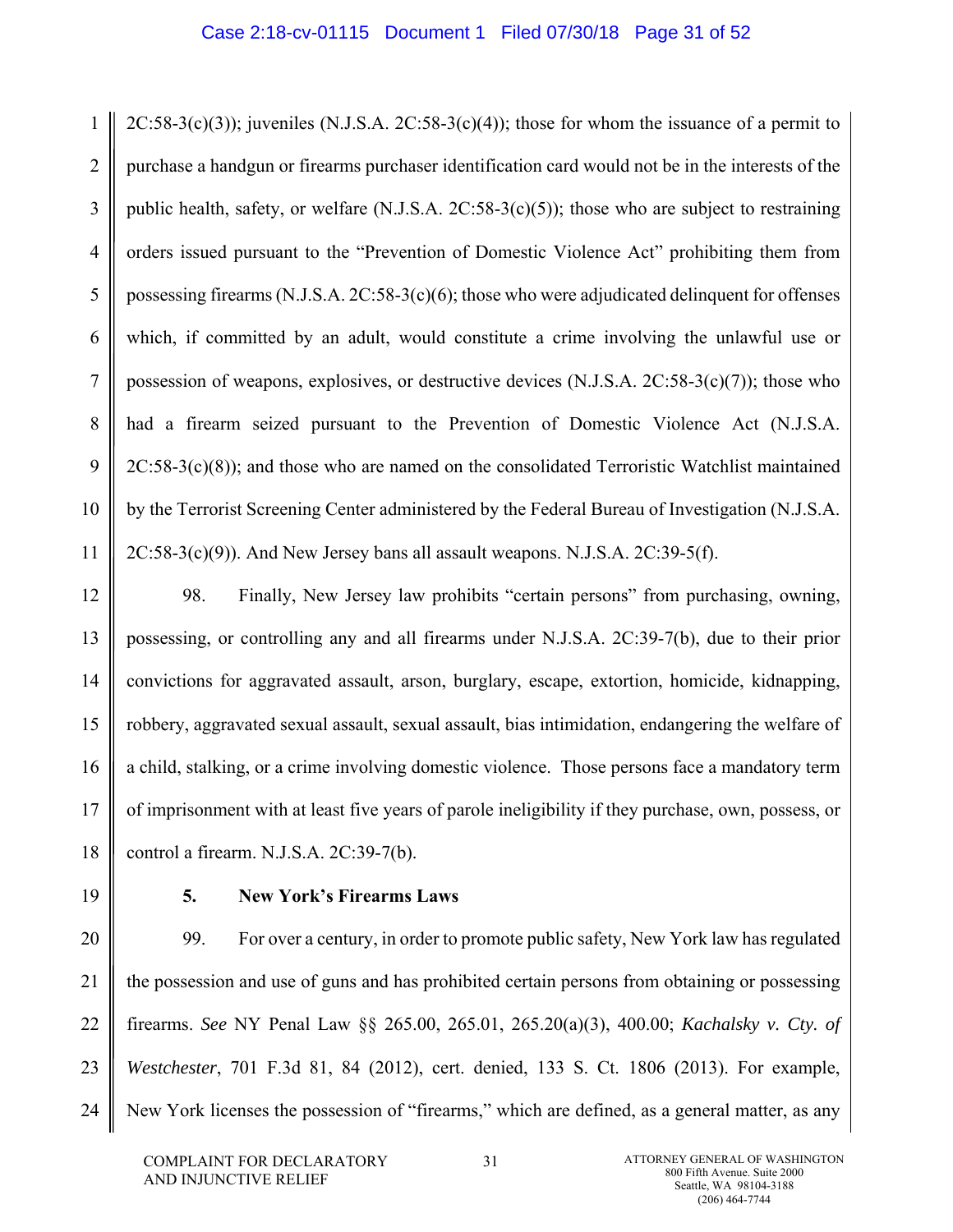1 2 3 4 5 6 7 8 9 10 11  $2C:58-3(c)(3)$ ; juveniles (N.J.S.A.  $2C:58-3(c)(4)$ ); those for whom the issuance of a permit to purchase a handgun or firearms purchaser identification card would not be in the interests of the public health, safety, or welfare (N.J.S.A. 2C:58-3(c)(5)); those who are subject to restraining orders issued pursuant to the "Prevention of Domestic Violence Act" prohibiting them from possessing firearms  $(N.J.S.A. 2C:58-3(c)(6);$  those who were adjudicated delinquent for offenses which, if committed by an adult, would constitute a crime involving the unlawful use or possession of weapons, explosives, or destructive devices (N.J.S.A. 2C:58-3(c)(7)); those who had a firearm seized pursuant to the Prevention of Domestic Violence Act (N.J.S.A.  $2C:58-3(c)(8)$ ; and those who are named on the consolidated Terroristic Watchlist maintained by the Terrorist Screening Center administered by the Federal Bureau of Investigation (N.J.S.A.  $2C:58-3(c)(9)$ ). And New Jersey bans all assault weapons. N.J.S.A.  $2C:39-5(f)$ .

12 13 14 15 16 17 18 98. Finally, New Jersey law prohibits "certain persons" from purchasing, owning, possessing, or controlling any and all firearms under N.J.S.A. 2C:39-7(b), due to their prior convictions for aggravated assault, arson, burglary, escape, extortion, homicide, kidnapping, robbery, aggravated sexual assault, sexual assault, bias intimidation, endangering the welfare of a child, stalking, or a crime involving domestic violence. Those persons face a mandatory term of imprisonment with at least five years of parole ineligibility if they purchase, own, possess, or control a firearm. N.J.S.A. 2C:39-7(b).

19

## **5. New York's Firearms Laws**

20 21 22 23 24 99. For over a century, in order to promote public safety, New York law has regulated the possession and use of guns and has prohibited certain persons from obtaining or possessing firearms. *See* NY Penal Law §§ 265.00, 265.01, 265.20(a)(3), 400.00; *Kachalsky v. Cty. of Westchester*, 701 F.3d 81, 84 (2012), cert. denied, 133 S. Ct. 1806 (2013). For example, New York licenses the possession of "firearms," which are defined, as a general matter, as any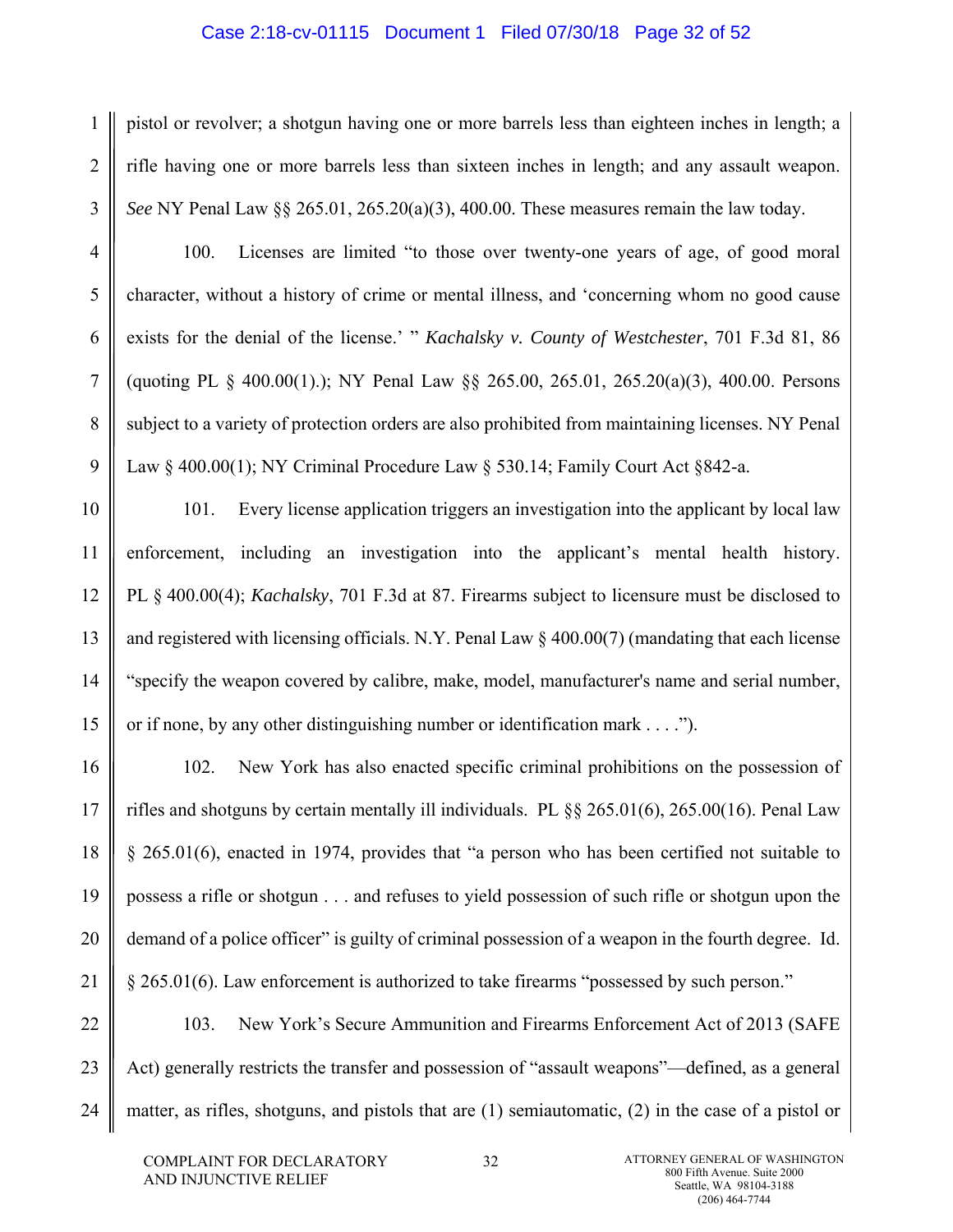#### Case 2:18-cv-01115 Document 1 Filed 07/30/18 Page 32 of 52

pistol or revolver; a shotgun having one or more barrels less than eighteen inches in length; a rifle having one or more barrels less than sixteen inches in length; and any assault weapon. *See* NY Penal Law §§ 265.01, 265.20(a)(3), 400.00. These measures remain the law today.

100. Licenses are limited "to those over twenty-one years of age, of good moral character, without a history of crime or mental illness, and 'concerning whom no good cause exists for the denial of the license.' " *Kachalsky v. County of Westchester*, 701 F.3d 81, 86 (quoting PL § 400.00(1).); NY Penal Law §§ 265.00, 265.01, 265.20(a)(3), 400.00. Persons subject to a variety of protection orders are also prohibited from maintaining licenses. NY Penal Law § 400.00(1); NY Criminal Procedure Law § 530.14; Family Court Act § 842-a.

10 11 12 13 14 15 101. Every license application triggers an investigation into the applicant by local law enforcement, including an investigation into the applicant's mental health history. PL § 400.00(4); *Kachalsky*, 701 F.3d at 87. Firearms subject to licensure must be disclosed to and registered with licensing officials. N.Y. Penal Law § 400.00(7) (mandating that each license "specify the weapon covered by calibre, make, model, manufacturer's name and serial number, or if none, by any other distinguishing number or identification mark . . . .").

16 17 18 19 20 21 102. New York has also enacted specific criminal prohibitions on the possession of rifles and shotguns by certain mentally ill individuals. PL §§ 265.01(6), 265.00(16). Penal Law § 265.01(6), enacted in 1974, provides that "a person who has been certified not suitable to possess a rifle or shotgun . . . and refuses to yield possession of such rifle or shotgun upon the demand of a police officer" is guilty of criminal possession of a weapon in the fourth degree. Id. § 265.01(6). Law enforcement is authorized to take firearms "possessed by such person."

22 23 24 103. New York's Secure Ammunition and Firearms Enforcement Act of 2013 (SAFE Act) generally restricts the transfer and possession of "assault weapons"—defined, as a general matter, as rifles, shotguns, and pistols that are (1) semiautomatic, (2) in the case of a pistol or

1

2

3

4

5

6

7

8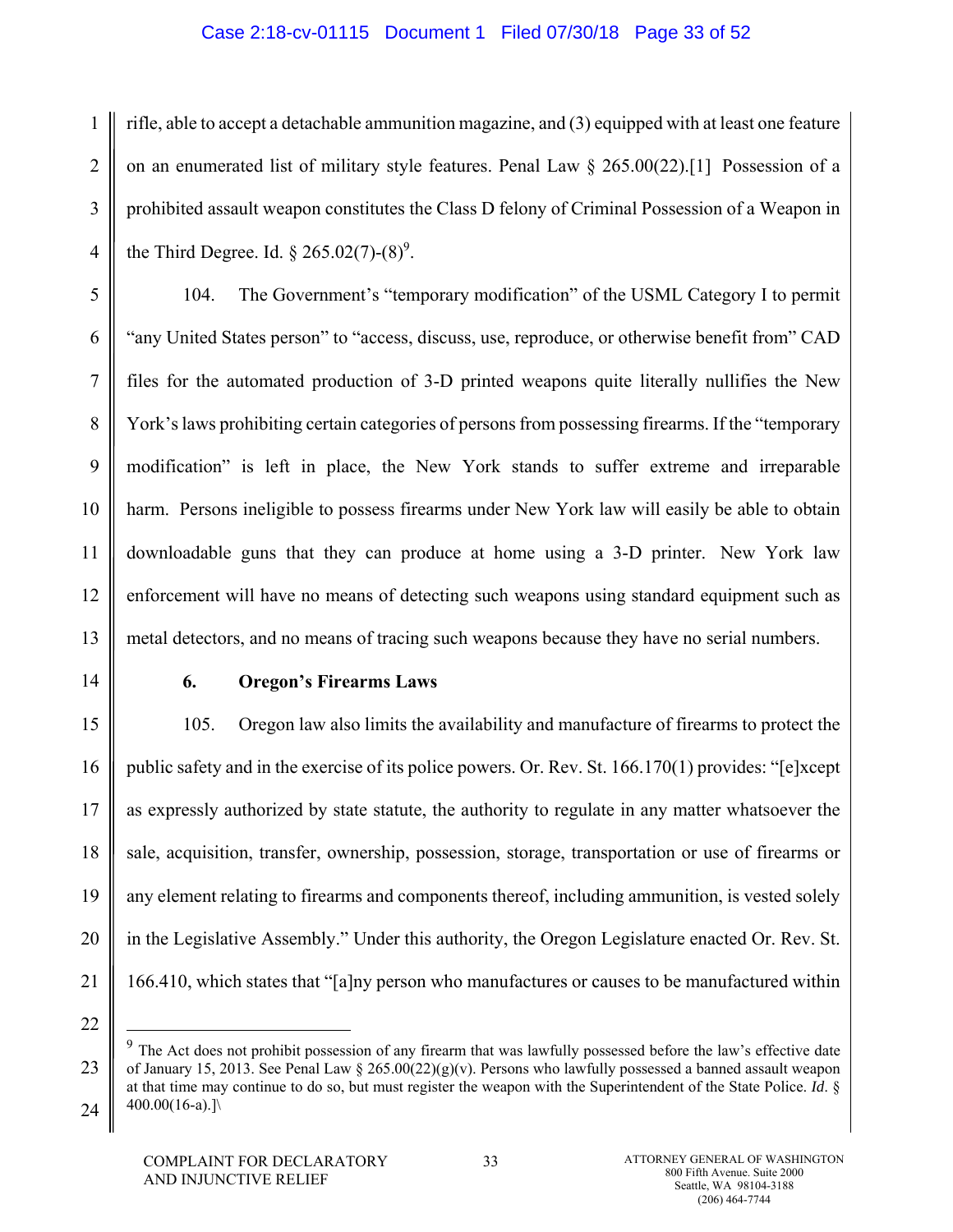### Case 2:18-cv-01115 Document 1 Filed 07/30/18 Page 33 of 52

1 2 3 4 rifle, able to accept a detachable ammunition magazine, and (3) equipped with at least one feature on an enumerated list of military style features. Penal Law  $\S 265.00(22)$ .[1] Possession of a prohibited assault weapon constitutes the Class D felony of Criminal Possession of a Weapon in the Third Degree. Id.  $\S 265.02(7)$ - $(8)^9$ .

5 6 7 8 9 10 12 13 104. The Government's "temporary modification" of the USML Category I to permit "any United States person" to "access, discuss, use, reproduce, or otherwise benefit from" CAD files for the automated production of 3-D printed weapons quite literally nullifies the New York's laws prohibiting certain categories of persons from possessing firearms. If the "temporary modification" is left in place, the New York stands to suffer extreme and irreparable harm. Persons ineligible to possess firearms under New York law will easily be able to obtain downloadable guns that they can produce at home using a 3-D printer. New York law enforcement will have no means of detecting such weapons using standard equipment such as metal detectors, and no means of tracing such weapons because they have no serial numbers.

14

22

1

11

#### **6. Oregon's Firearms Laws**

15 16 17 18 19 20 21 105. Oregon law also limits the availability and manufacture of firearms to protect the public safety and in the exercise of its police powers. Or. Rev. St.  $166.170(1)$  provides: "[e]xcept as expressly authorized by state statute, the authority to regulate in any matter whatsoever the sale, acquisition, transfer, ownership, possession, storage, transportation or use of firearms or any element relating to firearms and components thereof, including ammunition, is vested solely in the Legislative Assembly." Under this authority, the Oregon Legislature enacted Or. Rev. St. 166.410, which states that "[a]ny person who manufactures or causes to be manufactured within

<sup>23</sup> 24 <sup>9</sup> The Act does not prohibit possession of any firearm that was lawfully possessed before the law's effective date of January 15, 2013. See Penal Law § 265.00(22)(g)(v). Persons who lawfully possessed a banned assault weapon at that time may continue to do so, but must register the weapon with the Superintendent of the State Police. *Id*. §  $400.00(16-a).$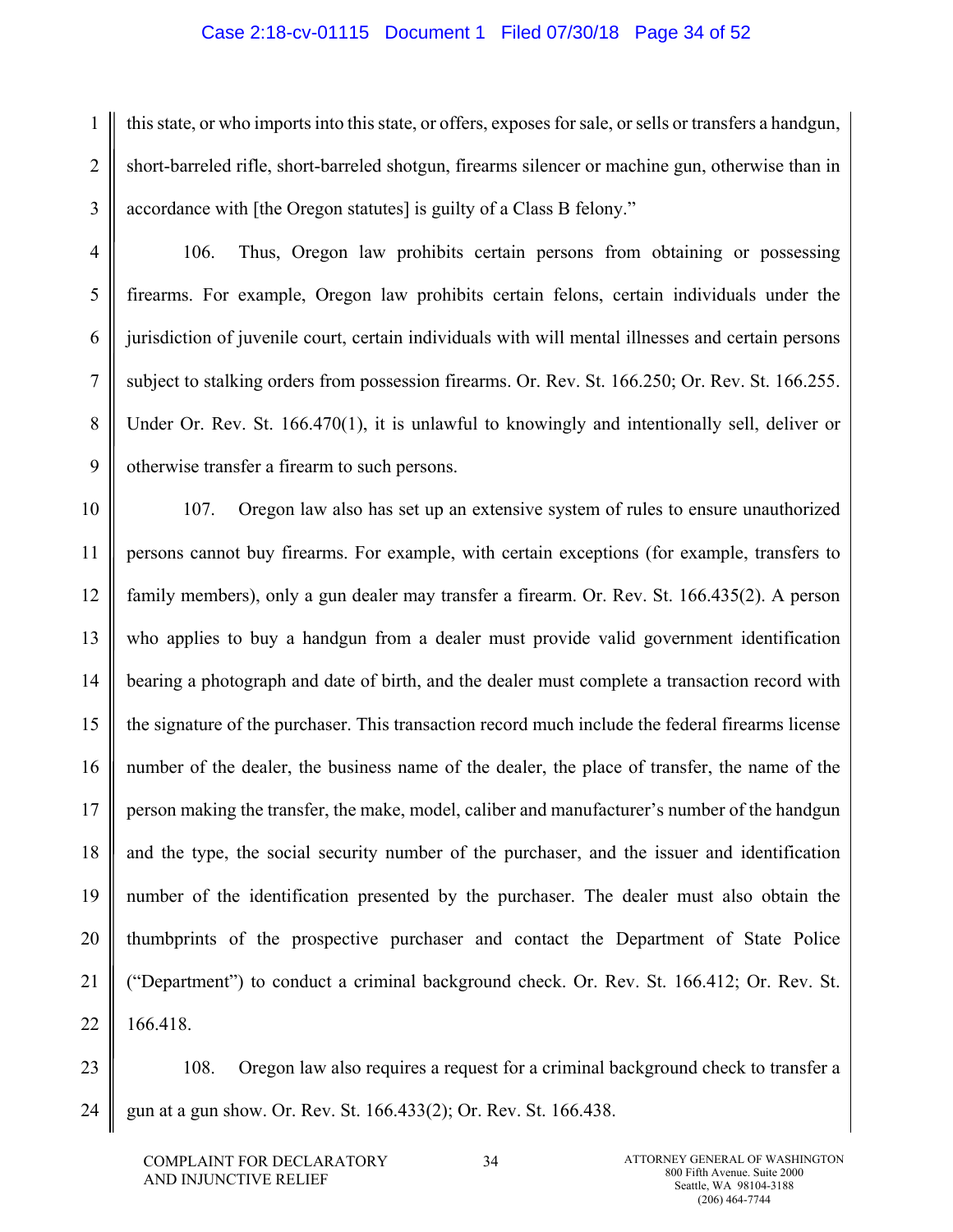#### Case 2:18-cv-01115 Document 1 Filed 07/30/18 Page 34 of 52

1 2 3 this state, or who imports into this state, or offers, exposes for sale, or sells or transfers a handgun, short-barreled rifle, short-barreled shotgun, firearms silencer or machine gun, otherwise than in accordance with [the Oregon statutes] is guilty of a Class B felony."

106. Thus, Oregon law prohibits certain persons from obtaining or possessing firearms. For example, Oregon law prohibits certain felons, certain individuals under the jurisdiction of juvenile court, certain individuals with will mental illnesses and certain persons subject to stalking orders from possession firearms. Or. Rev. St. 166.250; Or. Rev. St. 166.255. Under Or. Rev. St. 166.470(1), it is unlawful to knowingly and intentionally sell, deliver or otherwise transfer a firearm to such persons.

10 11 12 13 14 15 16 17 18 19 20 21 22 107. Oregon law also has set up an extensive system of rules to ensure unauthorized persons cannot buy firearms. For example, with certain exceptions (for example, transfers to family members), only a gun dealer may transfer a firearm. Or. Rev. St. 166.435(2). A person who applies to buy a handgun from a dealer must provide valid government identification bearing a photograph and date of birth, and the dealer must complete a transaction record with the signature of the purchaser. This transaction record much include the federal firearms license number of the dealer, the business name of the dealer, the place of transfer, the name of the person making the transfer, the make, model, caliber and manufacturer's number of the handgun and the type, the social security number of the purchaser, and the issuer and identification number of the identification presented by the purchaser. The dealer must also obtain the thumbprints of the prospective purchaser and contact the Department of State Police ("Department") to conduct a criminal background check. Or. Rev. St. 166.412; Or. Rev. St. 166.418.

23 24 108. Oregon law also requires a request for a criminal background check to transfer a gun at a gun show. Or. Rev. St. 166.433(2); Or. Rev. St. 166.438.

4

5

6

7

8

9

34 **ATTORNEY GENERAL OF WASHINGTON** 800 Fifth Avenue. Suite 2000 Seattle, WA 98104-3188 (206) 464-7744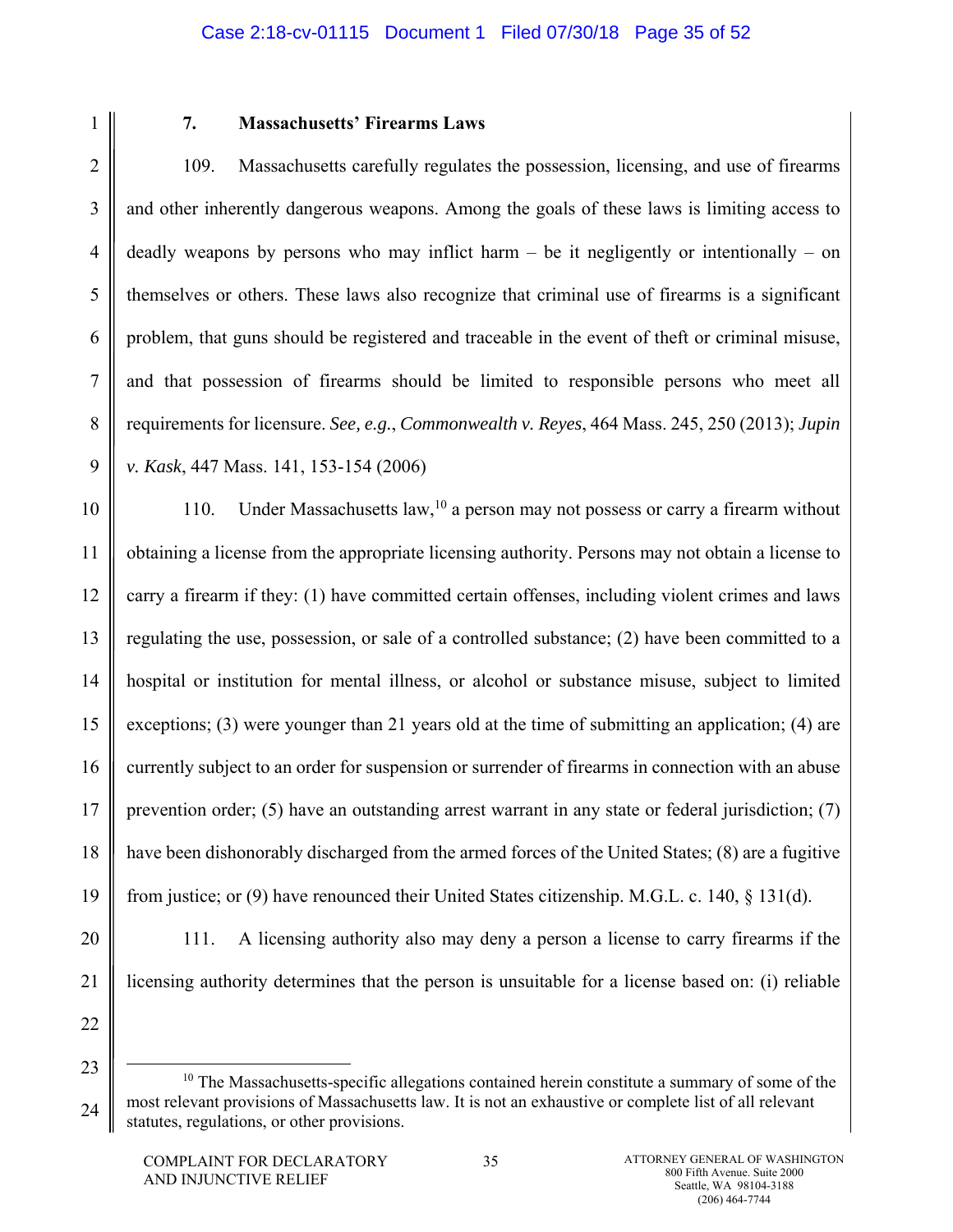2

3

4

5

6

7

8

9

1

# **7. Massachusetts' Firearms Laws**

109. Massachusetts carefully regulates the possession, licensing, and use of firearms and other inherently dangerous weapons. Among the goals of these laws is limiting access to deadly weapons by persons who may inflict harm – be it negligently or intentionally – on themselves or others. These laws also recognize that criminal use of firearms is a significant problem, that guns should be registered and traceable in the event of theft or criminal misuse, and that possession of firearms should be limited to responsible persons who meet all requirements for licensure. *See, e.g.*, *Commonwealth v. Reyes*, 464 Mass. 245, 250 (2013); *Jupin v. Kask*, 447 Mass. 141, 153-154 (2006)

10 11 12 13 14 15 16 17 18 19 110. Under Massachusetts law,  $10^{\circ}$  a person may not possess or carry a firearm without obtaining a license from the appropriate licensing authority. Persons may not obtain a license to carry a firearm if they: (1) have committed certain offenses, including violent crimes and laws regulating the use, possession, or sale of a controlled substance; (2) have been committed to a hospital or institution for mental illness, or alcohol or substance misuse, subject to limited exceptions; (3) were younger than 21 years old at the time of submitting an application; (4) are currently subject to an order for suspension or surrender of firearms in connection with an abuse prevention order; (5) have an outstanding arrest warrant in any state or federal jurisdiction; (7) have been dishonorably discharged from the armed forces of the United States; (8) are a fugitive from justice; or (9) have renounced their United States citizenship. M.G.L. c. 140, § 131(d).

20 21

111. A licensing authority also may deny a person a license to carry firearms if the licensing authority determines that the person is unsuitable for a license based on: (i) reliable

<sup>24</sup>  $10$  The Massachusetts-specific allegations contained herein constitute a summary of some of the most relevant provisions of Massachusetts law. It is not an exhaustive or complete list of all relevant statutes, regulations, or other provisions.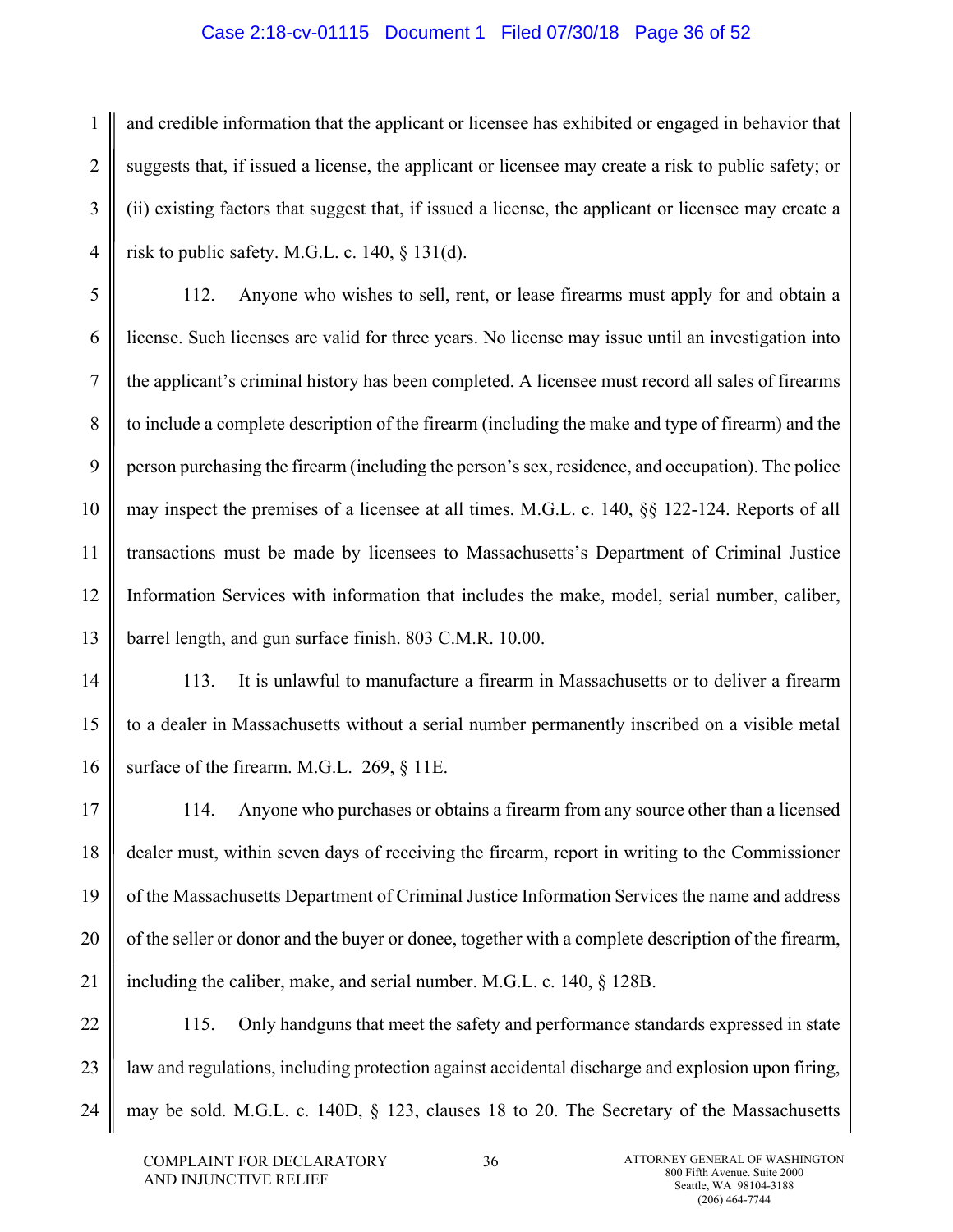#### Case 2:18-cv-01115 Document 1 Filed 07/30/18 Page 36 of 52

1 2 3 4 and credible information that the applicant or licensee has exhibited or engaged in behavior that suggests that, if issued a license, the applicant or licensee may create a risk to public safety; or (ii) existing factors that suggest that, if issued a license, the applicant or licensee may create a risk to public safety. M.G.L. c. 140, § 131(d).

5 6 7 8 9 10 11 12 13 112. Anyone who wishes to sell, rent, or lease firearms must apply for and obtain a license. Such licenses are valid for three years. No license may issue until an investigation into the applicant's criminal history has been completed. A licensee must record all sales of firearms to include a complete description of the firearm (including the make and type of firearm) and the person purchasing the firearm (including the person's sex, residence, and occupation). The police may inspect the premises of a licensee at all times. M.G.L. c. 140, §§ 122-124. Reports of all transactions must be made by licensees to Massachusetts's Department of Criminal Justice Information Services with information that includes the make, model, serial number, caliber, barrel length, and gun surface finish. 803 C.M.R. 10.00.

14 15 16 113. It is unlawful to manufacture a firearm in Massachusetts or to deliver a firearm to a dealer in Massachusetts without a serial number permanently inscribed on a visible metal surface of the firearm. M.G.L. 269, § 11E.

17 18 19 20 21 114. Anyone who purchases or obtains a firearm from any source other than a licensed dealer must, within seven days of receiving the firearm, report in writing to the Commissioner of the Massachusetts Department of Criminal Justice Information Services the name and address of the seller or donor and the buyer or donee, together with a complete description of the firearm, including the caliber, make, and serial number. M.G.L. c. 140, § 128B.

22 23 24 115. Only handguns that meet the safety and performance standards expressed in state law and regulations, including protection against accidental discharge and explosion upon firing, may be sold. M.G.L. c. 140D, § 123, clauses 18 to 20. The Secretary of the Massachusetts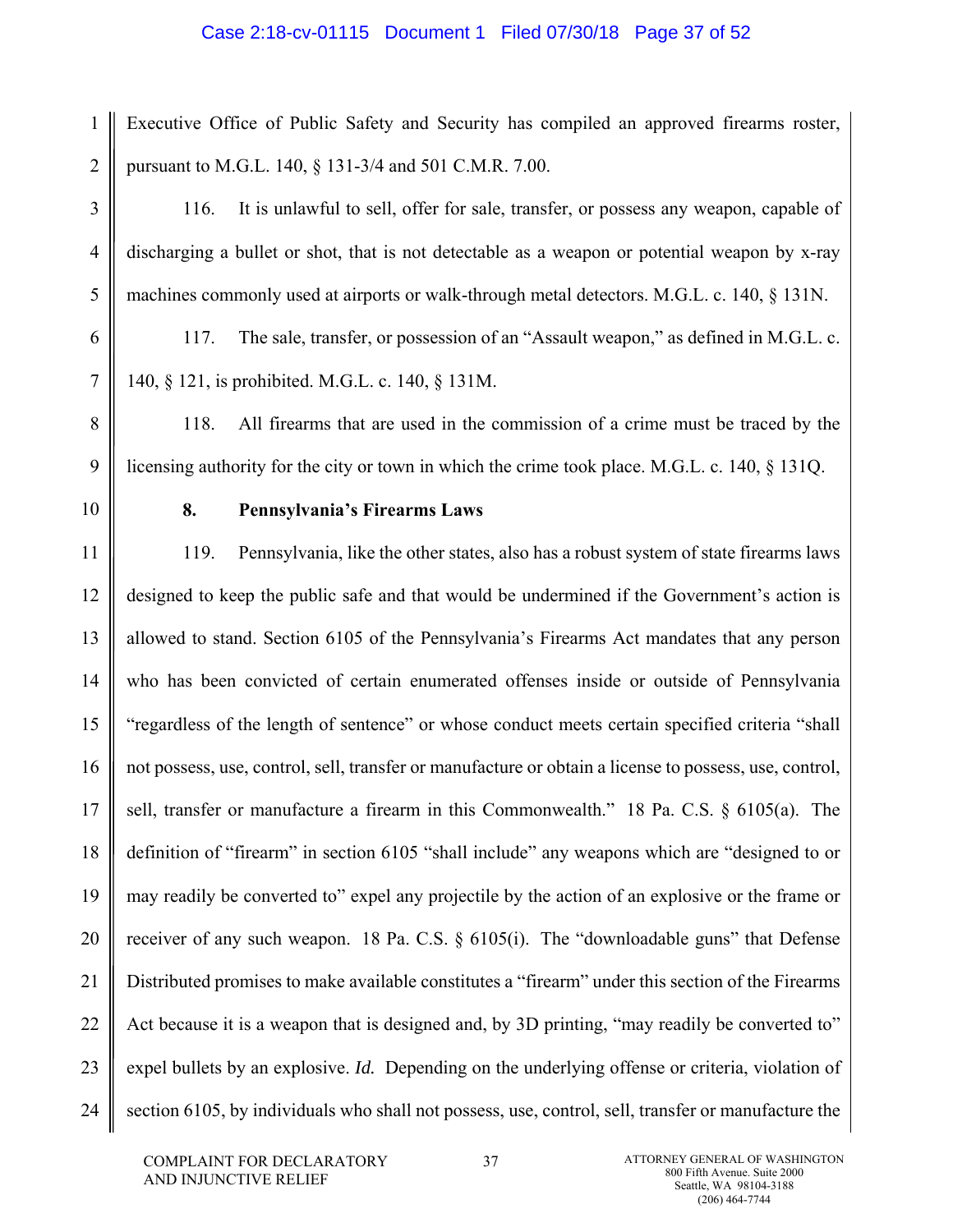### Case 2:18-cv-01115 Document 1 Filed 07/30/18 Page 37 of 52

1 2 Executive Office of Public Safety and Security has compiled an approved firearms roster, pursuant to M.G.L. 140, § 131-3/4 and 501 C.M.R. 7.00.

116. It is unlawful to sell, offer for sale, transfer, or possess any weapon, capable of discharging a bullet or shot, that is not detectable as a weapon or potential weapon by x-ray machines commonly used at airports or walk-through metal detectors. M.G.L. c. 140, § 131N.

117. The sale, transfer, or possession of an "Assault weapon," as defined in M.G.L. c. 140, § 121, is prohibited. M.G.L. c. 140, § 131M.

118. All firearms that are used in the commission of a crime must be traced by the licensing authority for the city or town in which the crime took place. M.G.L. c. 140, § 131Q.

10

3

4

5

6

7

8

9

# **8. Pennsylvania's Firearms Laws**

11 12 13 14 15 16 17 18 19 20 21 22 23 24 119. Pennsylvania, like the other states, also has a robust system of state firearms laws designed to keep the public safe and that would be undermined if the Government's action is allowed to stand. Section 6105 of the Pennsylvania's Firearms Act mandates that any person who has been convicted of certain enumerated offenses inside or outside of Pennsylvania "regardless of the length of sentence" or whose conduct meets certain specified criteria "shall not possess, use, control, sell, transfer or manufacture or obtain a license to possess, use, control, sell, transfer or manufacture a firearm in this Commonwealth." 18 Pa. C.S. § 6105(a). The definition of "firearm" in section 6105 "shall include" any weapons which are "designed to or may readily be converted to" expel any projectile by the action of an explosive or the frame or receiver of any such weapon. 18 Pa. C.S. § 6105(i). The "downloadable guns" that Defense Distributed promises to make available constitutes a "firearm" under this section of the Firearms Act because it is a weapon that is designed and, by 3D printing, "may readily be converted to" expel bullets by an explosive. *Id.* Depending on the underlying offense or criteria, violation of section 6105, by individuals who shall not possess, use, control, sell, transfer or manufacture the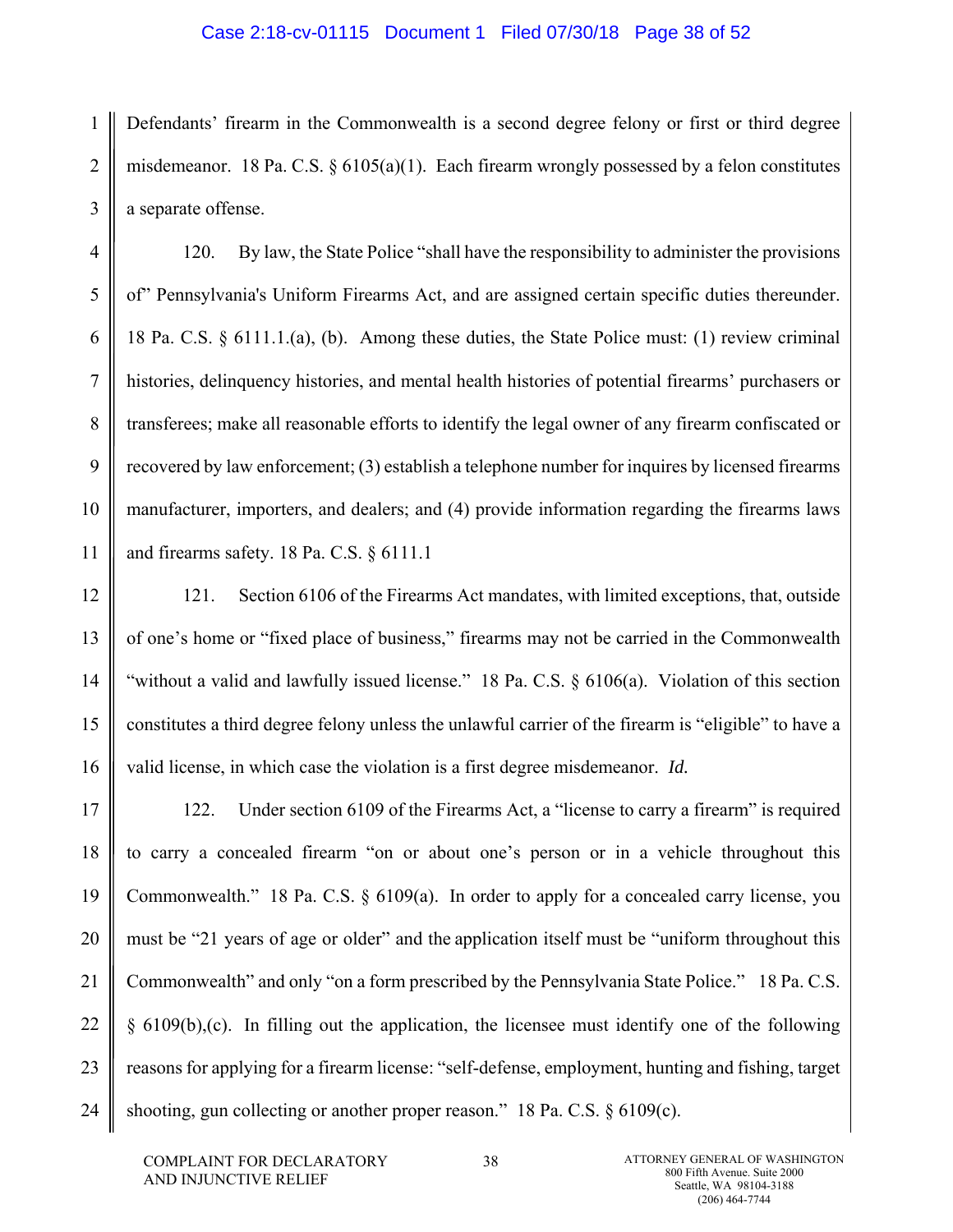#### Case 2:18-cv-01115 Document 1 Filed 07/30/18 Page 38 of 52

1 2 3 Defendants' firearm in the Commonwealth is a second degree felony or first or third degree misdemeanor. 18 Pa. C.S. § 6105(a)(1). Each firearm wrongly possessed by a felon constitutes a separate offense.

120. By law, the State Police "shall have the responsibility to administer the provisions of" Pennsylvania's Uniform Firearms Act, and are assigned certain specific duties thereunder. 18 Pa. C.S. § 6111.1.(a), (b). Among these duties, the State Police must: (1) review criminal histories, delinquency histories, and mental health histories of potential firearms' purchasers or transferees; make all reasonable efforts to identify the legal owner of any firearm confiscated or recovered by law enforcement; (3) establish a telephone number for inquires by licensed firearms manufacturer, importers, and dealers; and (4) provide information regarding the firearms laws and firearms safety. 18 Pa. C.S. § 6111.1

12 13 14 15 16 121. Section 6106 of the Firearms Act mandates, with limited exceptions, that, outside of one's home or "fixed place of business," firearms may not be carried in the Commonwealth "without a valid and lawfully issued license." 18 Pa. C.S. § 6106(a). Violation of this section constitutes a third degree felony unless the unlawful carrier of the firearm is "eligible" to have a valid license, in which case the violation is a first degree misdemeanor. *Id.*

17 18 19 20 21 22 23 24 122. Under section 6109 of the Firearms Act, a "license to carry a firearm" is required to carry a concealed firearm "on or about one's person or in a vehicle throughout this Commonwealth." 18 Pa. C.S. § 6109(a). In order to apply for a concealed carry license, you must be "21 years of age or older" and the application itself must be "uniform throughout this Commonwealth" and only "on a form prescribed by the Pennsylvania State Police." 18 Pa. C.S.  $§ 6109(b),(c)$ . In filling out the application, the licensee must identify one of the following reasons for applying for a firearm license: "self-defense, employment, hunting and fishing, target shooting, gun collecting or another proper reason." 18 Pa. C.S. § 6109(c).

4

5

6

7

8

9

10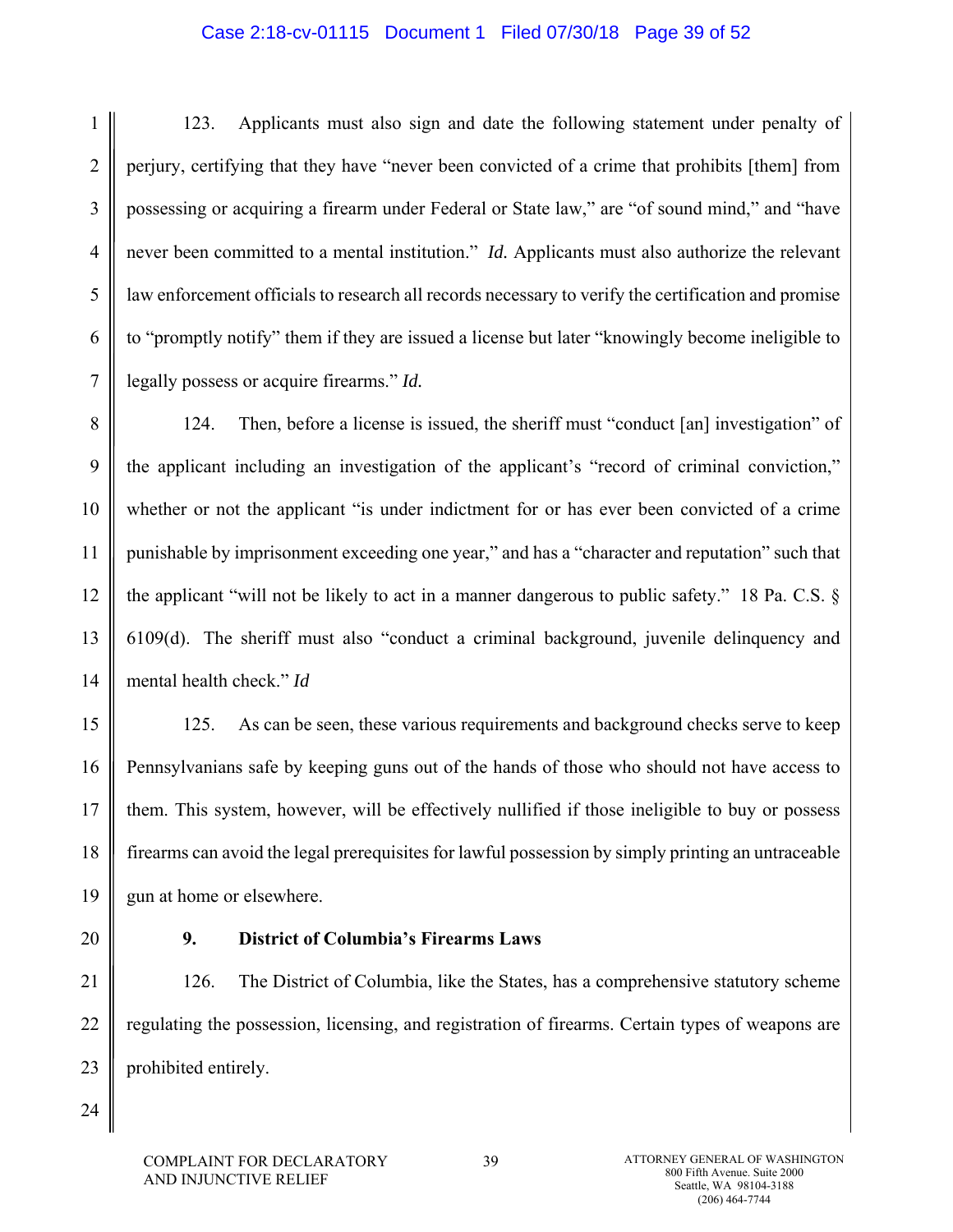### Case 2:18-cv-01115 Document 1 Filed 07/30/18 Page 39 of 52

1 2 3 4 5 6 7 123. Applicants must also sign and date the following statement under penalty of perjury, certifying that they have "never been convicted of a crime that prohibits [them] from possessing or acquiring a firearm under Federal or State law," are "of sound mind," and "have never been committed to a mental institution." *Id.* Applicants must also authorize the relevant law enforcement officials to research all records necessary to verify the certification and promise to "promptly notify" them if they are issued a license but later "knowingly become ineligible to legally possess or acquire firearms." *Id.* 

8 9 10 11 12 13 14 124. Then, before a license is issued, the sheriff must "conduct [an] investigation" of the applicant including an investigation of the applicant's "record of criminal conviction," whether or not the applicant "is under indictment for or has ever been convicted of a crime punishable by imprisonment exceeding one year," and has a "character and reputation" such that the applicant "will not be likely to act in a manner dangerous to public safety." 18 Pa. C.S. § 6109(d). The sheriff must also "conduct a criminal background, juvenile delinquency and mental health check." *Id* 

15 16 17 18 19 125. As can be seen, these various requirements and background checks serve to keep Pennsylvanians safe by keeping guns out of the hands of those who should not have access to them. This system, however, will be effectively nullified if those ineligible to buy or possess firearms can avoid the legal prerequisites for lawful possession by simply printing an untraceable gun at home or elsewhere.

20

## **9. District of Columbia's Firearms Laws**

21 22 23 126. The District of Columbia, like the States, has a comprehensive statutory scheme regulating the possession, licensing, and registration of firearms. Certain types of weapons are prohibited entirely.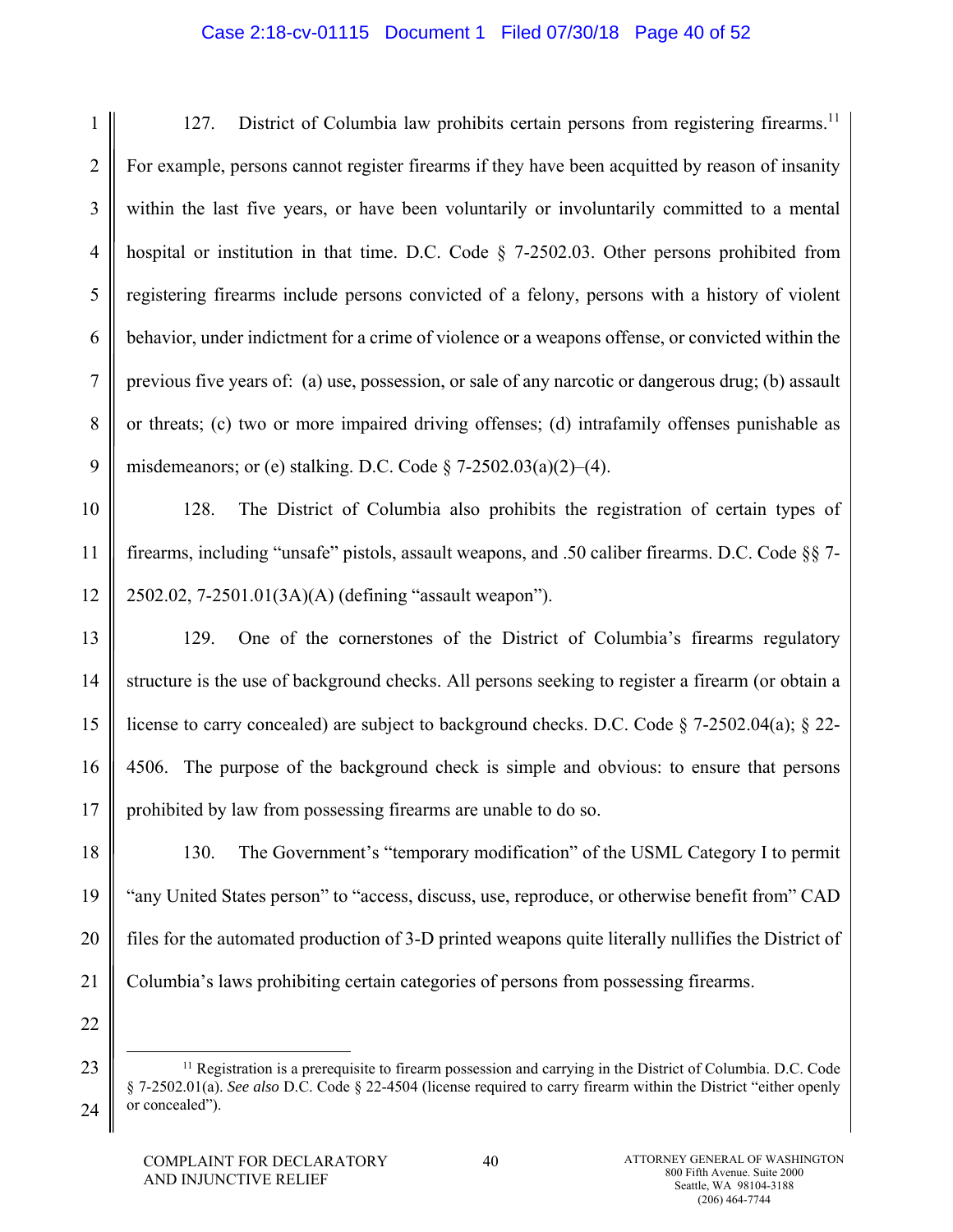## Case 2:18-cv-01115 Document 1 Filed 07/30/18 Page 40 of 52

1 2 3 4 5 6 7 8 9 127. District of Columbia law prohibits certain persons from registering firearms.<sup>11</sup> For example, persons cannot register firearms if they have been acquitted by reason of insanity within the last five years, or have been voluntarily or involuntarily committed to a mental hospital or institution in that time. D.C. Code § 7-2502.03. Other persons prohibited from registering firearms include persons convicted of a felony, persons with a history of violent behavior, under indictment for a crime of violence or a weapons offense, or convicted within the previous five years of: (a) use, possession, or sale of any narcotic or dangerous drug; (b) assault or threats; (c) two or more impaired driving offenses; (d) intrafamily offenses punishable as misdemeanors; or (e) stalking. D.C. Code  $\S$  7-2502.03(a)(2)–(4).

10 11 12 128. The District of Columbia also prohibits the registration of certain types of firearms, including "unsafe" pistols, assault weapons, and .50 caliber firearms. D.C. Code §§ 7- 2502.02, 7-2501.01(3A)(A) (defining "assault weapon").

13 14 15 16 17 129. One of the cornerstones of the District of Columbia's firearms regulatory structure is the use of background checks. All persons seeking to register a firearm (or obtain a license to carry concealed) are subject to background checks. D.C. Code § 7-2502.04(a); § 22- 4506. The purpose of the background check is simple and obvious: to ensure that persons prohibited by law from possessing firearms are unable to do so.

18 19 20 21 130. The Government's "temporary modification" of the USML Category I to permit "any United States person" to "access, discuss, use, reproduce, or otherwise benefit from" CAD files for the automated production of 3-D printed weapons quite literally nullifies the District of Columbia's laws prohibiting certain categories of persons from possessing firearms.

22 23

<sup>&</sup>lt;sup>11</sup> Registration is a prerequisite to firearm possession and carrying in the District of Columbia. D.C. Code § 7-2502.01(a). *See also* D.C. Code § 22-4504 (license required to carry firearm within the District "either openly or concealed").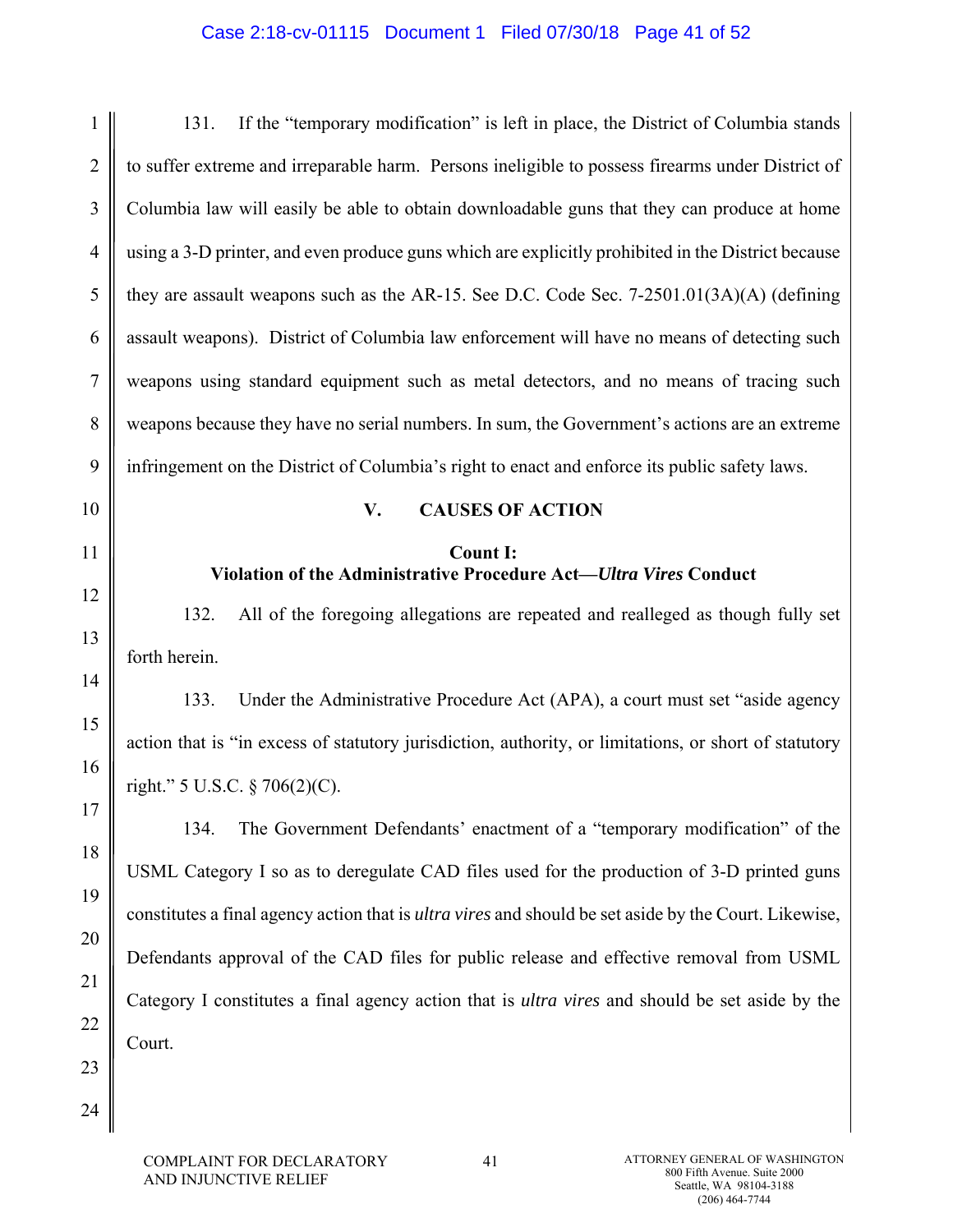# Case 2:18-cv-01115 Document 1 Filed 07/30/18 Page 41 of 52

| 1              | If the "temporary modification" is left in place, the District of Columbia stands<br>131.                    |
|----------------|--------------------------------------------------------------------------------------------------------------|
| $\overline{2}$ | to suffer extreme and irreparable harm. Persons ineligible to possess firearms under District of             |
| 3              | Columbia law will easily be able to obtain downloadable guns that they can produce at home                   |
| $\overline{4}$ | using a 3-D printer, and even produce guns which are explicitly prohibited in the District because           |
| 5              | they are assault weapons such as the AR-15. See D.C. Code Sec. $7-2501.01(3A)(A)$ (defining                  |
| 6              | assault weapons). District of Columbia law enforcement will have no means of detecting such                  |
| 7              | weapons using standard equipment such as metal detectors, and no means of tracing such                       |
| 8              | weapons because they have no serial numbers. In sum, the Government's actions are an extreme                 |
| 9              | infringement on the District of Columbia's right to enact and enforce its public safety laws.                |
| 10             | <b>CAUSES OF ACTION</b><br>V.                                                                                |
| 11             | <b>Count I:</b><br>Violation of the Administrative Procedure Act-Ultra Vires Conduct                         |
| 12             | 132.<br>All of the foregoing allegations are repeated and realleged as though fully set                      |
| 13             | forth herein.                                                                                                |
| 14             | 133.<br>Under the Administrative Procedure Act (APA), a court must set "aside agency                         |
| 15<br>16       | action that is "in excess of statutory jurisdiction, authority, or limitations, or short of statutory        |
| 17             | right." 5 U.S.C. § 706(2)(C).                                                                                |
| 18             | The Government Defendants' enactment of a "temporary modification" of the<br>134.                            |
| 19             | USML Category I so as to deregulate CAD files used for the production of 3-D printed guns                    |
| 20             | constitutes a final agency action that is <i>ultra vires</i> and should be set aside by the Court. Likewise, |
| 21             | Defendants approval of the CAD files for public release and effective removal from USML                      |
| 22             | Category I constitutes a final agency action that is ultra vires and should be set aside by the              |
| 23             | Court.                                                                                                       |
|                |                                                                                                              |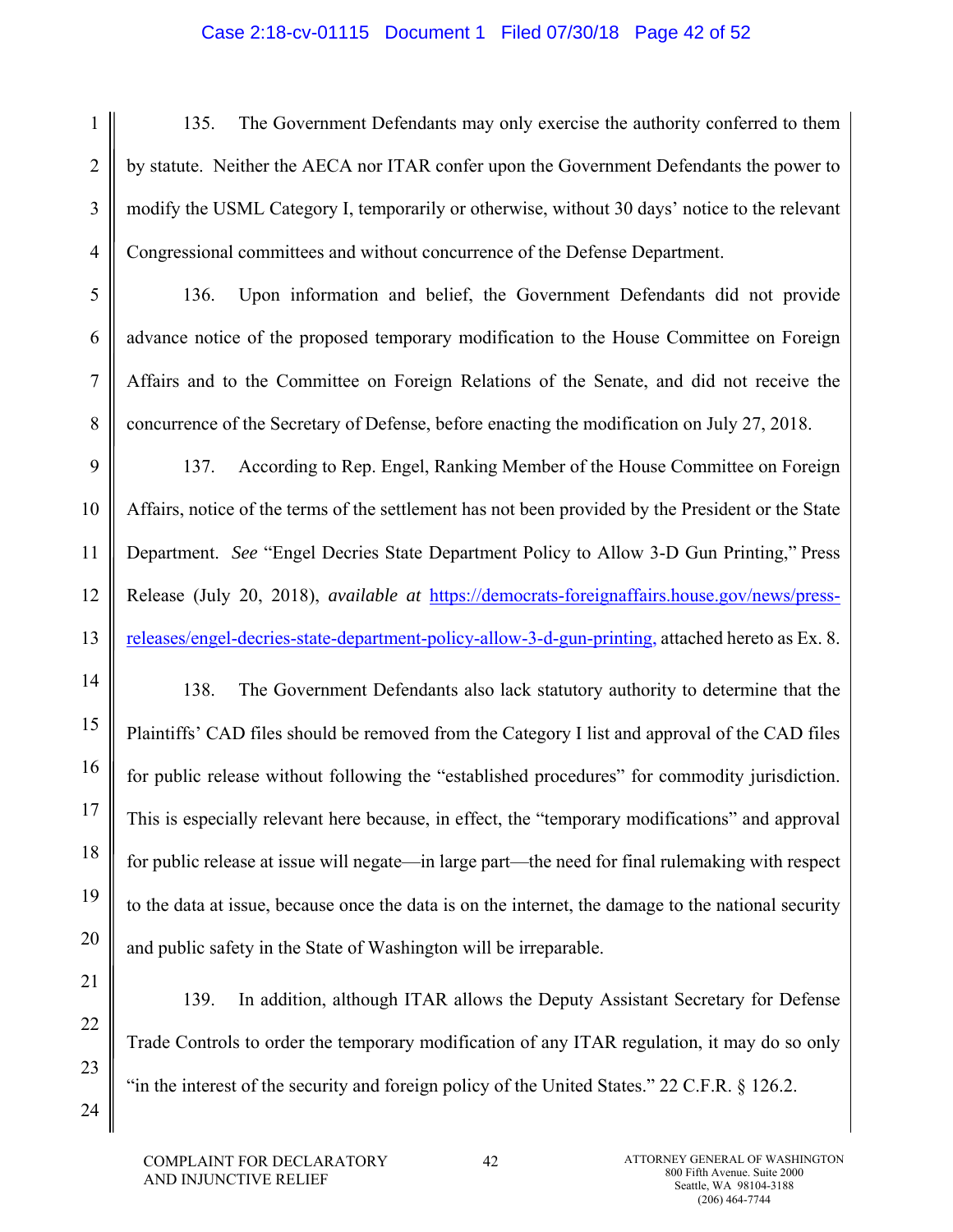## Case 2:18-cv-01115 Document 1 Filed 07/30/18 Page 42 of 52

1 2 3 4 135. The Government Defendants may only exercise the authority conferred to them by statute. Neither the AECA nor ITAR confer upon the Government Defendants the power to modify the USML Category I, temporarily or otherwise, without 30 days' notice to the relevant Congressional committees and without concurrence of the Defense Department.

136. Upon information and belief, the Government Defendants did not provide advance notice of the proposed temporary modification to the House Committee on Foreign Affairs and to the Committee on Foreign Relations of the Senate, and did not receive the concurrence of the Secretary of Defense, before enacting the modification on July 27, 2018.

137. According to Rep. Engel, Ranking Member of the House Committee on Foreign Affairs, notice of the terms of the settlement has not been provided by the President or the State Department. *See* "Engel Decries State Department Policy to Allow 3-D Gun Printing," Press Release (July 20, 2018), *available at* https://democrats-foreignaffairs.house.gov/news/pressreleases/engel-decries-state-department-policy-allow-3-d-gun-printing, attached hereto as Ex. 8.

138. The Government Defendants also lack statutory authority to determine that the Plaintiffs' CAD files should be removed from the Category I list and approval of the CAD files for public release without following the "established procedures" for commodity jurisdiction. This is especially relevant here because, in effect, the "temporary modifications" and approval for public release at issue will negate—in large part—the need for final rulemaking with respect to the data at issue, because once the data is on the internet, the damage to the national security and public safety in the State of Washington will be irreparable.

139. In addition, although ITAR allows the Deputy Assistant Secretary for Defense Trade Controls to order the temporary modification of any ITAR regulation, it may do so only "in the interest of the security and foreign policy of the United States." 22 C.F.R. § 126.2.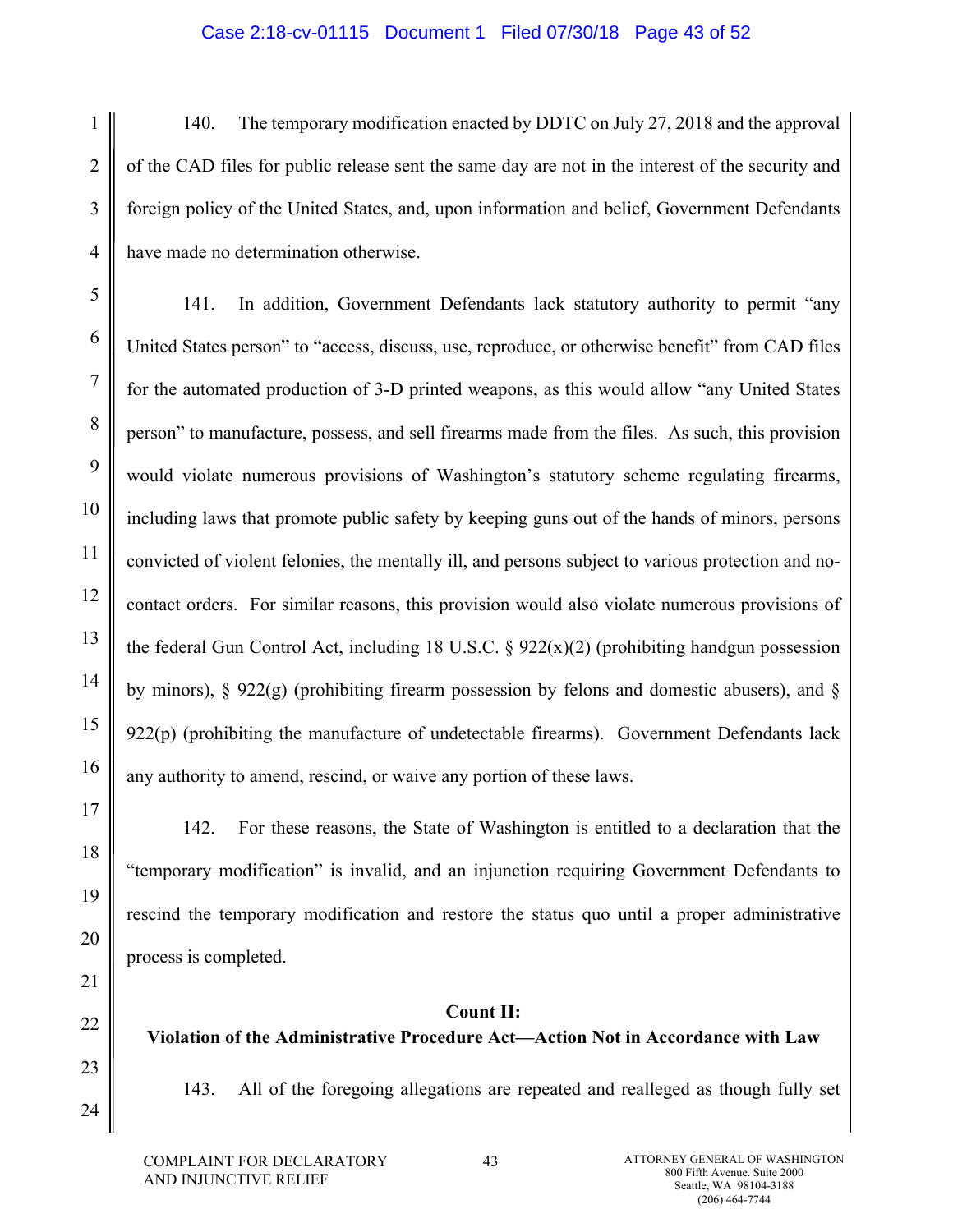## Case 2:18-cv-01115 Document 1 Filed 07/30/18 Page 43 of 52

1 3 4 140. The temporary modification enacted by DDTC on July 27, 2018 and the approval of the CAD files for public release sent the same day are not in the interest of the security and foreign policy of the United States, and, upon information and belief, Government Defendants have made no determination otherwise.

141. In addition, Government Defendants lack statutory authority to permit "any United States person" to "access, discuss, use, reproduce, or otherwise benefit" from CAD files for the automated production of 3-D printed weapons, as this would allow "any United States person" to manufacture, possess, and sell firearms made from the files. As such, this provision would violate numerous provisions of Washington's statutory scheme regulating firearms, including laws that promote public safety by keeping guns out of the hands of minors, persons convicted of violent felonies, the mentally ill, and persons subject to various protection and nocontact orders. For similar reasons, this provision would also violate numerous provisions of the federal Gun Control Act, including 18 U.S.C.  $\S$  922(x)(2) (prohibiting handgun possession by minors),  $\S 922(g)$  (prohibiting firearm possession by felons and domestic abusers), and  $\S$  $922(p)$  (prohibiting the manufacture of undetectable firearms). Government Defendants lack any authority to amend, rescind, or waive any portion of these laws.

23

24

2

5

6

7

8

9

10

11

12

13

14

15

16

142. For these reasons, the State of Washington is entitled to a declaration that the "temporary modification" is invalid, and an injunction requiring Government Defendants to rescind the temporary modification and restore the status quo until a proper administrative process is completed.

## **Count II:**

**Violation of the Administrative Procedure Act—Action Not in Accordance with Law** 

143. All of the foregoing allegations are repeated and realleged as though fully set

43 **ATTORNEY GENERAL OF WASHINGTON** 800 Fifth Avenue. Suite 2000 Seattle, WA 98104-3188 (206) 464-7744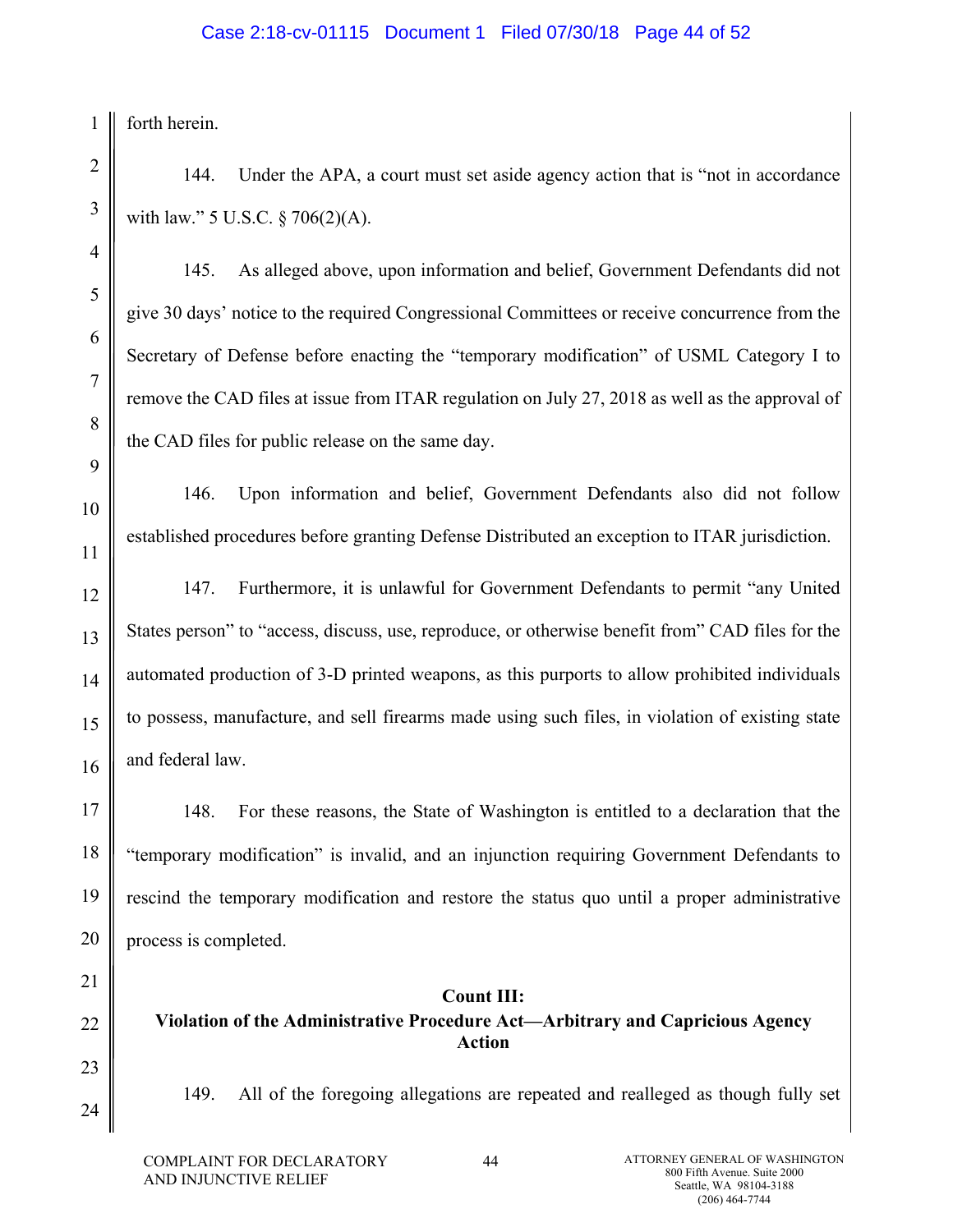## Case 2:18-cv-01115 Document 1 Filed 07/30/18 Page 44 of 52

1 forth herein.

2

3

4

5

6

7

8

9

10

11

12

13

14

15

16

17

18

19

20

144. Under the APA, a court must set aside agency action that is "not in accordance with law." 5 U.S.C. § 706(2)(A).

145. As alleged above, upon information and belief, Government Defendants did not give 30 days' notice to the required Congressional Committees or receive concurrence from the Secretary of Defense before enacting the "temporary modification" of USML Category I to remove the CAD files at issue from ITAR regulation on July 27, 2018 as well as the approval of the CAD files for public release on the same day.

146. Upon information and belief, Government Defendants also did not follow established procedures before granting Defense Distributed an exception to ITAR jurisdiction.

147. Furthermore, it is unlawful for Government Defendants to permit "any United States person" to "access, discuss, use, reproduce, or otherwise benefit from" CAD files for the automated production of 3-D printed weapons, as this purports to allow prohibited individuals to possess, manufacture, and sell firearms made using such files, in violation of existing state and federal law.

148. For these reasons, the State of Washington is entitled to a declaration that the "temporary modification" is invalid, and an injunction requiring Government Defendants to rescind the temporary modification and restore the status quo until a proper administrative process is completed.

21 22

23

24

**Count III: Violation of the Administrative Procedure Act—Arbitrary and Capricious Agency Action** 

149. All of the foregoing allegations are repeated and realleged as though fully set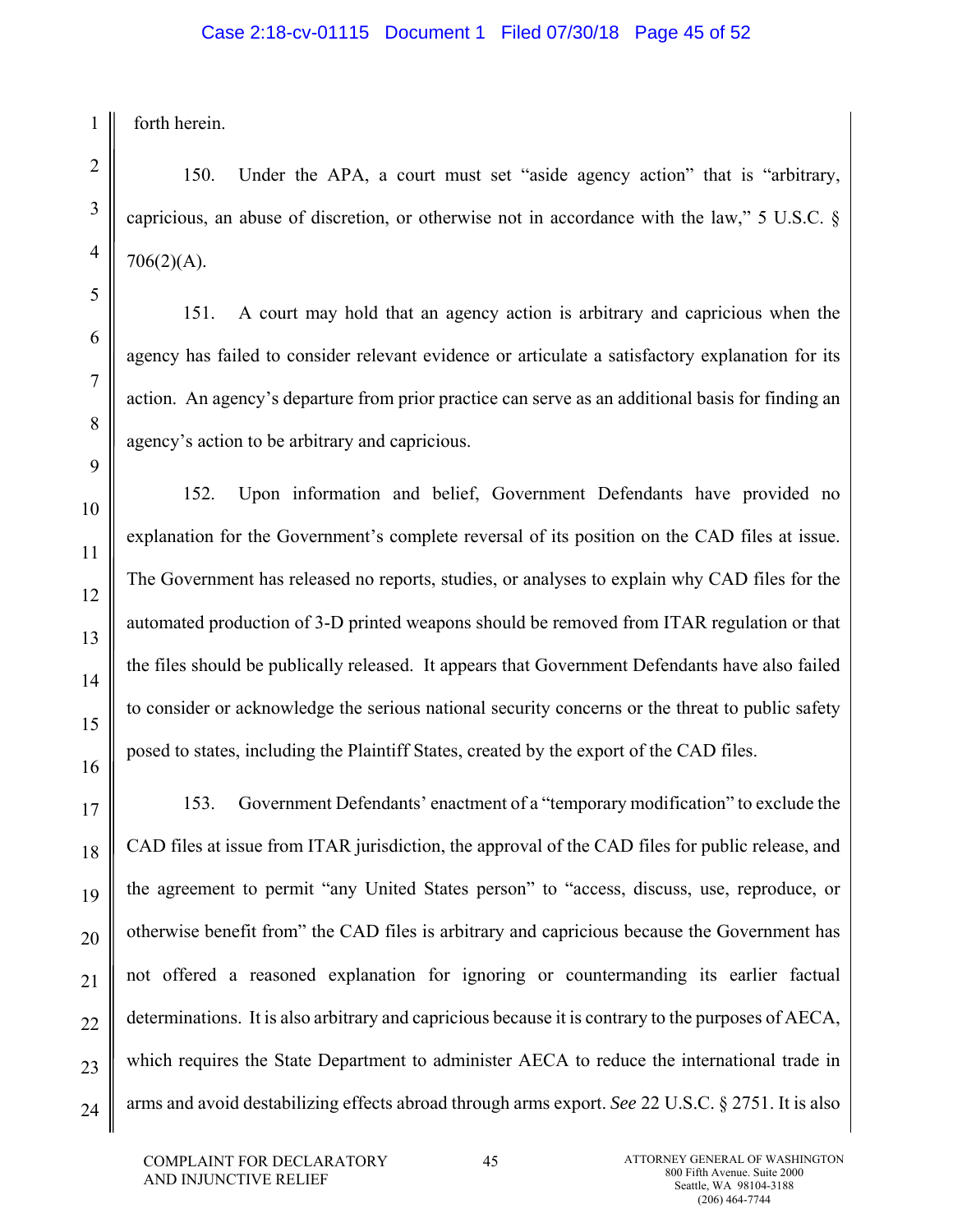forth herein.

1

150. Under the APA, a court must set "aside agency action" that is "arbitrary, capricious, an abuse of discretion, or otherwise not in accordance with the law," 5 U.S.C. § 706(2)(A).

151. A court may hold that an agency action is arbitrary and capricious when the agency has failed to consider relevant evidence or articulate a satisfactory explanation for its action. An agency's departure from prior practice can serve as an additional basis for finding an agency's action to be arbitrary and capricious.

152. Upon information and belief, Government Defendants have provided no explanation for the Government's complete reversal of its position on the CAD files at issue. The Government has released no reports, studies, or analyses to explain why CAD files for the automated production of 3-D printed weapons should be removed from ITAR regulation or that the files should be publically released. It appears that Government Defendants have also failed to consider or acknowledge the serious national security concerns or the threat to public safety posed to states, including the Plaintiff States, created by the export of the CAD files.

153. Government Defendants' enactment of a "temporary modification" to exclude the CAD files at issue from ITAR jurisdiction, the approval of the CAD files for public release, and the agreement to permit "any United States person" to "access, discuss, use, reproduce, or otherwise benefit from" the CAD files is arbitrary and capricious because the Government has not offered a reasoned explanation for ignoring or countermanding its earlier factual determinations. It is also arbitrary and capricious because it is contrary to the purposes of AECA, which requires the State Department to administer AECA to reduce the international trade in arms and avoid destabilizing effects abroad through arms export. *See* 22 U.S.C. § 2751. It is also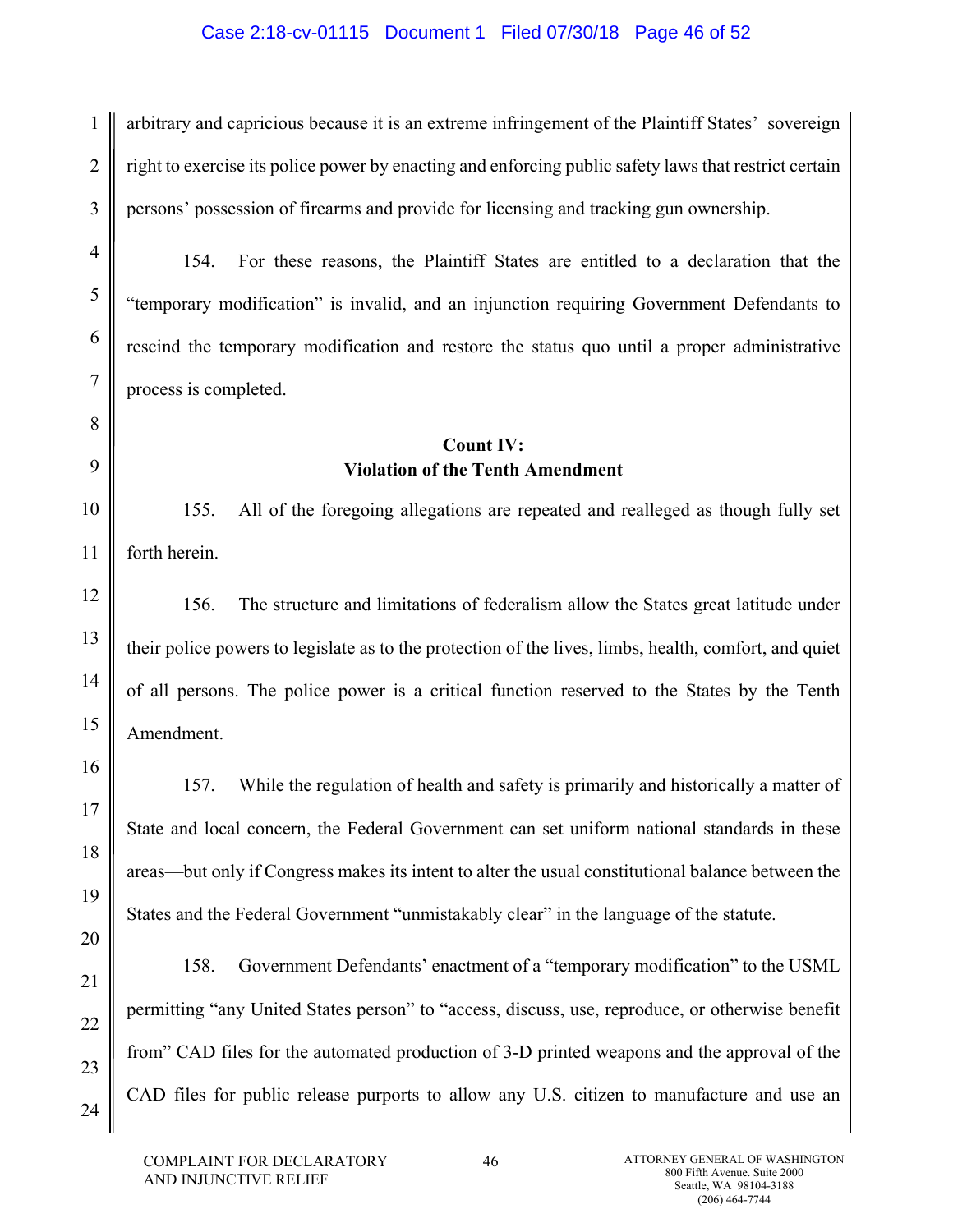## Case 2:18-cv-01115 Document 1 Filed 07/30/18 Page 46 of 52

arbitrary and capricious because it is an extreme infringement of the Plaintiff States' sovereign right to exercise its police power by enacting and enforcing public safety laws that restrict certain persons' possession of firearms and provide for licensing and tracking gun ownership.

154. For these reasons, the Plaintiff States are entitled to a declaration that the "temporary modification" is invalid, and an injunction requiring Government Defendants to rescind the temporary modification and restore the status quo until a proper administrative process is completed.

# **Count IV: Violation of the Tenth Amendment**

10 11 155. All of the foregoing allegations are repeated and realleged as though fully set forth herein.

156. The structure and limitations of federalism allow the States great latitude under their police powers to legislate as to the protection of the lives, limbs, health, comfort, and quiet of all persons. The police power is a critical function reserved to the States by the Tenth Amendment.

157. While the regulation of health and safety is primarily and historically a matter of State and local concern, the Federal Government can set uniform national standards in these areas—but only if Congress makes its intent to alter the usual constitutional balance between the States and the Federal Government "unmistakably clear" in the language of the statute.

158. Government Defendants' enactment of a "temporary modification" to the USML permitting "any United States person" to "access, discuss, use, reproduce, or otherwise benefit from" CAD files for the automated production of 3-D printed weapons and the approval of the CAD files for public release purports to allow any U.S. citizen to manufacture and use an

1

2

3

4

5

6

7

8

9

12

13

14

15

16

17

18

19

20

21

22

23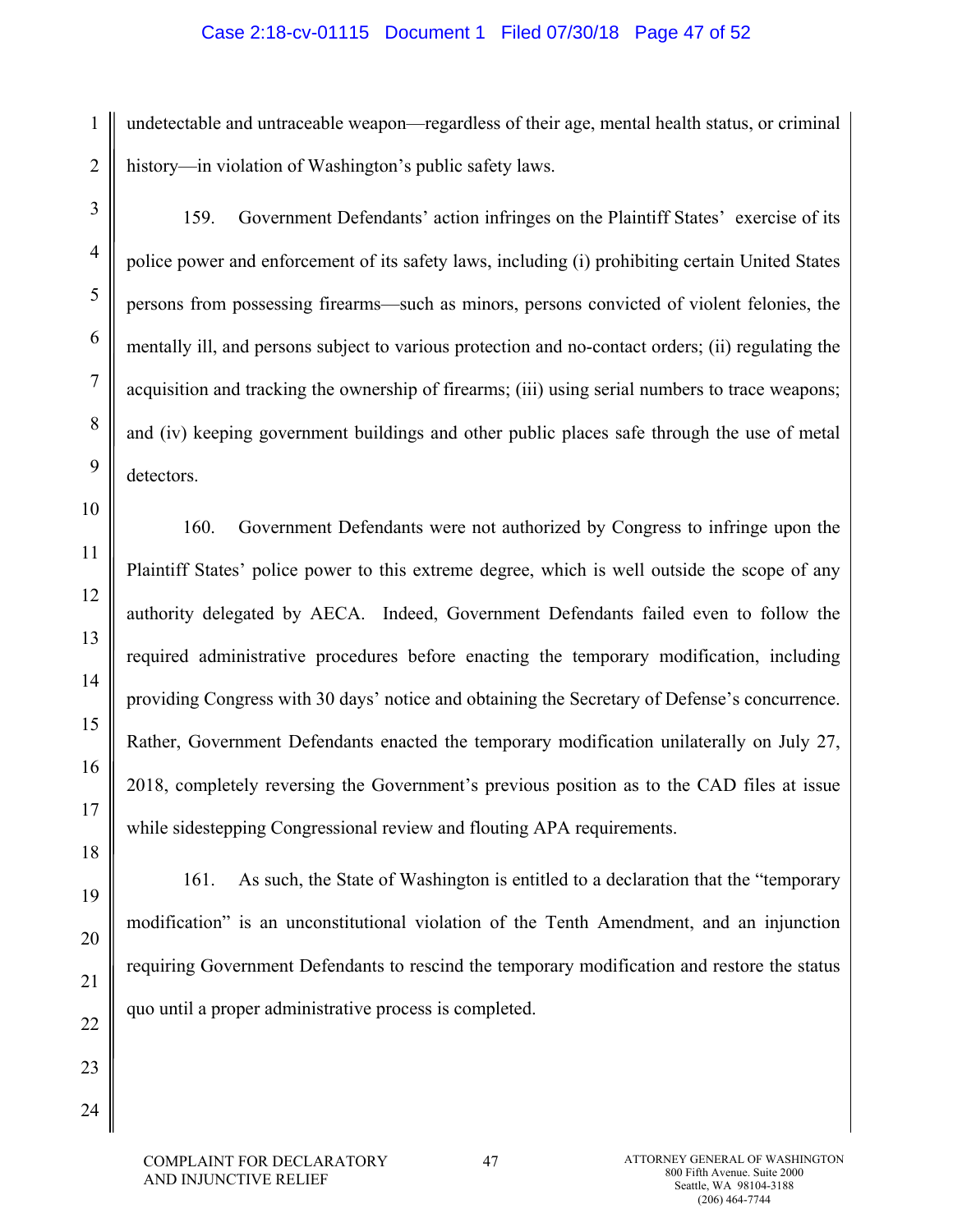### Case 2:18-cv-01115 Document 1 Filed 07/30/18 Page 47 of 52

undetectable and untraceable weapon—regardless of their age, mental health status, or criminal history—in violation of Washington's public safety laws.

3

1

2

159. Government Defendants' action infringes on the Plaintiff States' exercise of its police power and enforcement of its safety laws, including (i) prohibiting certain United States persons from possessing firearms—such as minors, persons convicted of violent felonies, the mentally ill, and persons subject to various protection and no-contact orders; (ii) regulating the acquisition and tracking the ownership of firearms; (iii) using serial numbers to trace weapons; and (iv) keeping government buildings and other public places safe through the use of metal detectors.

160. Government Defendants were not authorized by Congress to infringe upon the Plaintiff States' police power to this extreme degree, which is well outside the scope of any authority delegated by AECA. Indeed, Government Defendants failed even to follow the required administrative procedures before enacting the temporary modification, including providing Congress with 30 days' notice and obtaining the Secretary of Defense's concurrence. Rather, Government Defendants enacted the temporary modification unilaterally on July 27, 2018, completely reversing the Government's previous position as to the CAD files at issue while sidestepping Congressional review and flouting APA requirements.

161. As such, the State of Washington is entitled to a declaration that the "temporary modification" is an unconstitutional violation of the Tenth Amendment, and an injunction requiring Government Defendants to rescind the temporary modification and restore the status quo until a proper administrative process is completed.

COMPLAINT FOR DECLARATORY AND INJUNCTIVE RELIEF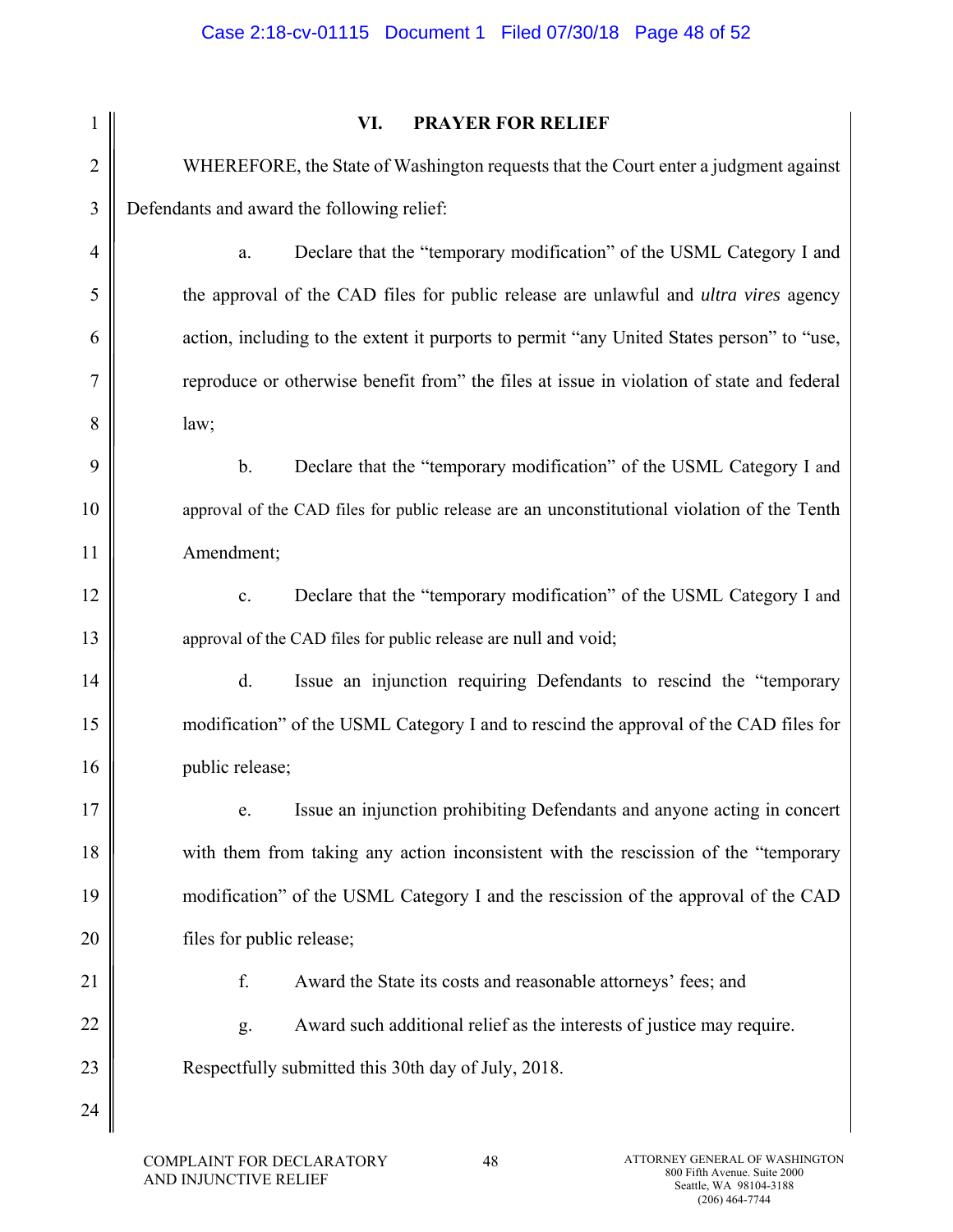|                | VI.<br><b>PRAYER FOR RELIEF</b>                                                             |
|----------------|---------------------------------------------------------------------------------------------|
| $\overline{2}$ | WHEREFORE, the State of Washington requests that the Court enter a judgment against         |
| 3              | Defendants and award the following relief:                                                  |
| $\overline{4}$ | Declare that the "temporary modification" of the USML Category I and<br>a.                  |
| 5              | the approval of the CAD files for public release are unlawful and <i>ultra vires</i> agency |
| 6              | action, including to the extent it purports to permit "any United States person" to "use,   |
| $\overline{7}$ | reproduce or otherwise benefit from" the files at issue in violation of state and federal   |
| 8              | law;                                                                                        |
| 9              | Declare that the "temporary modification" of the USML Category I and<br>b.                  |
| 10             | approval of the CAD files for public release are an unconstitutional violation of the Tenth |
| 11             | Amendment;                                                                                  |
| 12             | Declare that the "temporary modification" of the USML Category I and<br>c.                  |
| 13             | approval of the CAD files for public release are null and void;                             |
| 14             | $\mathbf{d}$ .<br>Issue an injunction requiring Defendants to rescind the "temporary        |
| 15             | modification" of the USML Category I and to rescind the approval of the CAD files for       |
| 16             | public release;                                                                             |
| 17             | Issue an injunction prohibiting Defendants and anyone acting in concert<br>e.               |
| 18             | with them from taking any action inconsistent with the rescission of the "temporary         |
| 19             | modification" of the USML Category I and the rescission of the approval of the CAD          |
| 20             | files for public release;                                                                   |
| 21             | f.<br>Award the State its costs and reasonable attorneys' fees; and                         |
| 22             | Award such additional relief as the interests of justice may require.<br>g.                 |
| 23             | Respectfully submitted this 30th day of July, 2018.                                         |
| 24             |                                                                                             |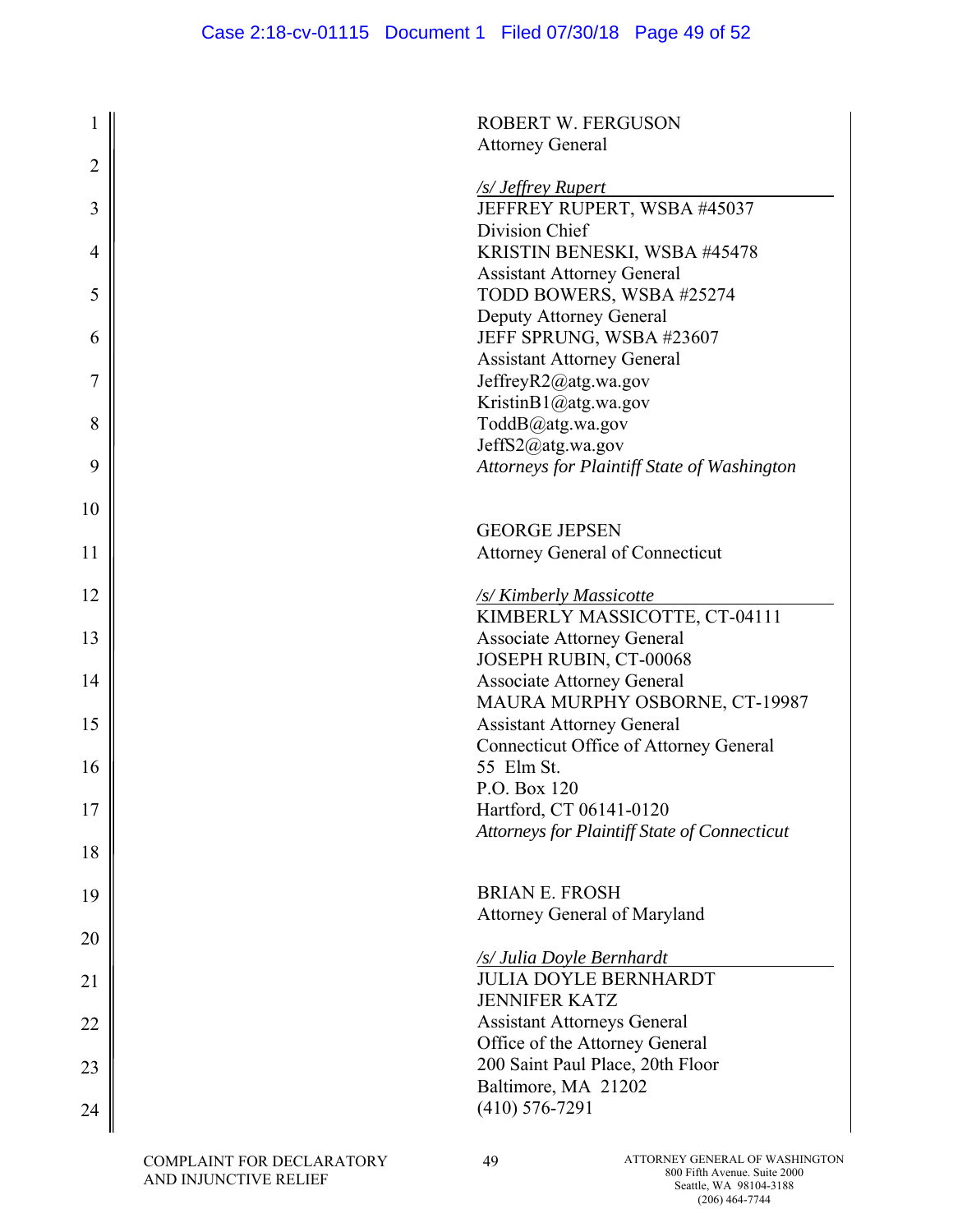|                | <b>ROBERT W. FERGUSON</b>                                           |
|----------------|---------------------------------------------------------------------|
|                | <b>Attorney General</b>                                             |
| $\overline{2}$ |                                                                     |
|                | <b>S</b> Jeffrey Rupert                                             |
| 3              | JEFFREY RUPERT, WSBA #45037                                         |
|                | Division Chief                                                      |
| 4              | KRISTIN BENESKI, WSBA #45478                                        |
|                | <b>Assistant Attorney General</b>                                   |
| 5              | TODD BOWERS, WSBA #25274                                            |
| 6              | Deputy Attorney General<br>JEFF SPRUNG, WSBA #23607                 |
|                | <b>Assistant Attorney General</b>                                   |
| 7              | JeffreyR2@atg.wa.gov                                                |
|                | KristinB1@atg.wa.gov                                                |
| 8              | ToddB@atg.wa.gov                                                    |
|                | JeffS2@atg.wa.gov                                                   |
| 9              | Attorneys for Plaintiff State of Washington                         |
|                |                                                                     |
| 10             |                                                                     |
|                | <b>GEORGE JEPSEN</b>                                                |
| 11             | Attorney General of Connecticut                                     |
|                |                                                                     |
| 12             | /s/Kimberly Massicotte                                              |
|                | KIMBERLY MASSICOTTE, CT-04111                                       |
| 13             | <b>Associate Attorney General</b>                                   |
| 14             | JOSEPH RUBIN, CT-00068                                              |
|                | <b>Associate Attorney General</b><br>MAURA MURPHY OSBORNE, CT-19987 |
| 15             | <b>Assistant Attorney General</b>                                   |
|                | Connecticut Office of Attorney General                              |
| 16             | 55 Elm St.                                                          |
|                | P.O. Box 120                                                        |
| 17             | Hartford, CT 06141-0120                                             |
|                | Attorneys for Plaintiff State of Connecticut                        |
| 18             |                                                                     |
|                |                                                                     |
| 19             | <b>BRIAN E. FROSH</b>                                               |
|                | Attorney General of Maryland                                        |
| 20             |                                                                     |
|                | /s/ Julia Doyle Bernhardt                                           |
| 21             | <b>JULIA DOYLE BERNHARDT</b><br><b>JENNIFER KATZ</b>                |
|                | <b>Assistant Attorneys General</b>                                  |
| 22             | Office of the Attorney General                                      |
| 23             | 200 Saint Paul Place, 20th Floor                                    |
|                | Baltimore, MA 21202                                                 |
| 24             | $(410)$ 576-7291                                                    |
|                |                                                                     |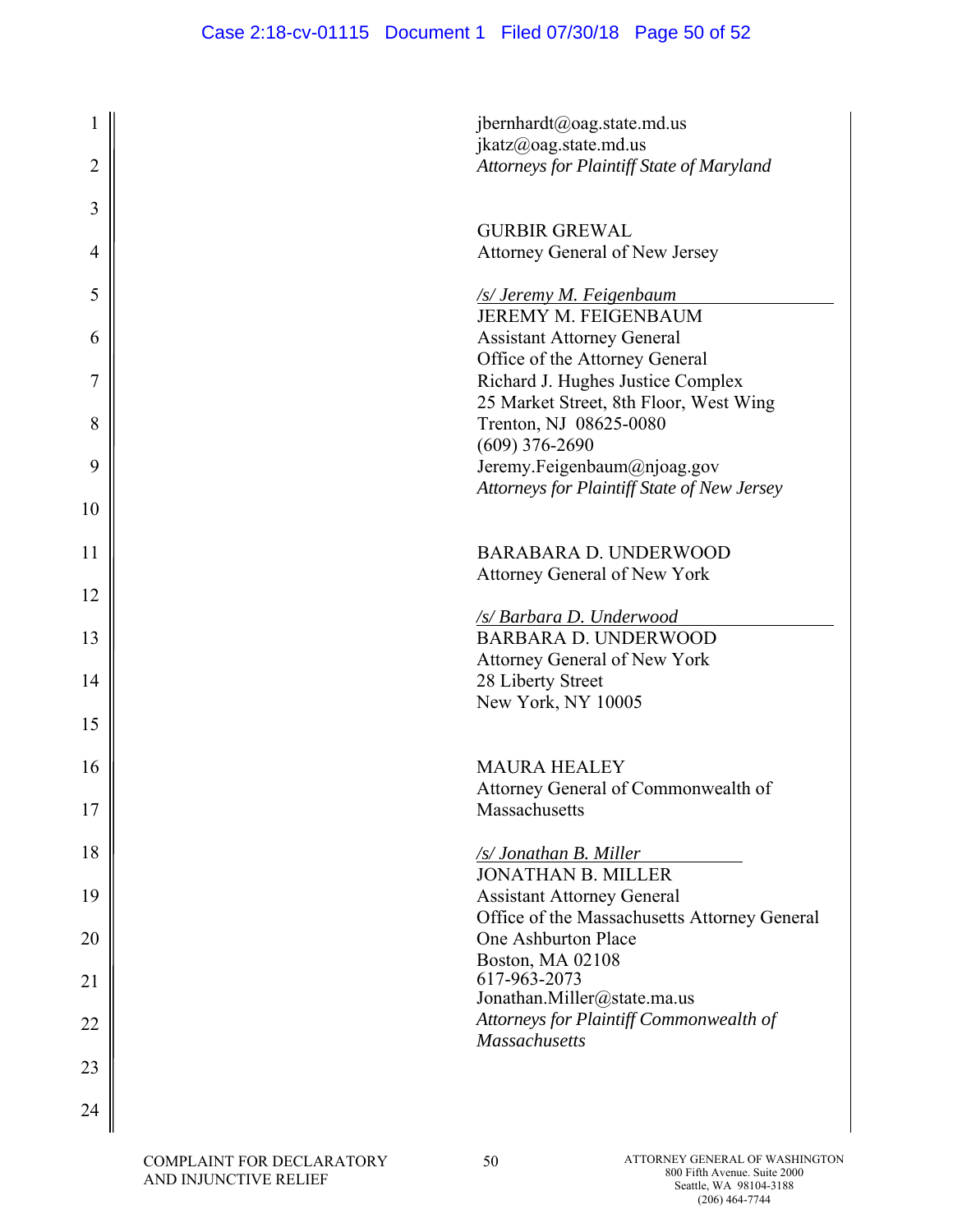| 1              | jbernhardt@oag.state.md.us<br>ikatz@oag. state.md.us                       |
|----------------|----------------------------------------------------------------------------|
| $\overline{2}$ | Attorneys for Plaintiff State of Maryland                                  |
| 3              |                                                                            |
| 4              | <b>GURBIR GREWAL</b><br>Attorney General of New Jersey                     |
| 5              | /s/ Jeremy M. Feigenbaum                                                   |
| 6              | JEREMY M. FEIGENBAUM<br><b>Assistant Attorney General</b>                  |
| 7              | Office of the Attorney General<br>Richard J. Hughes Justice Complex        |
| 8              | 25 Market Street, 8th Floor, West Wing<br>Trenton, NJ 08625-0080           |
|                | $(609)$ 376-2690                                                           |
| 9              | Jeremy.Feigenbaum@njoag.gov<br>Attorneys for Plaintiff State of New Jersey |
| 10             |                                                                            |
| 11             | <b>BARABARA D. UNDERWOOD</b>                                               |
| 12             | Attorney General of New York                                               |
| 13             | /s/ Barbara D. Underwood<br><b>BARBARA D. UNDERWOOD</b>                    |
| 14             | Attorney General of New York<br>28 Liberty Street                          |
| 15             | New York, NY 10005                                                         |
|                |                                                                            |
| 16             | <b>MAURA HEALEY</b><br>Attorney General of Commonwealth of                 |
| 17             | Massachusetts                                                              |
| 18             | /s/ Jonathan B. Miller<br><b>JONATHAN B. MILLER</b>                        |
| 19             | <b>Assistant Attorney General</b>                                          |
| 20             | Office of the Massachusetts Attorney General<br>One Ashburton Place        |
| 21             | Boston, MA 02108<br>617-963-2073                                           |
| 22             | Jonathan.Miller@state.ma.us<br>Attorneys for Plaintiff Commonwealth of     |
|                | <b>Massachusetts</b>                                                       |
| 23             |                                                                            |
| 24             |                                                                            |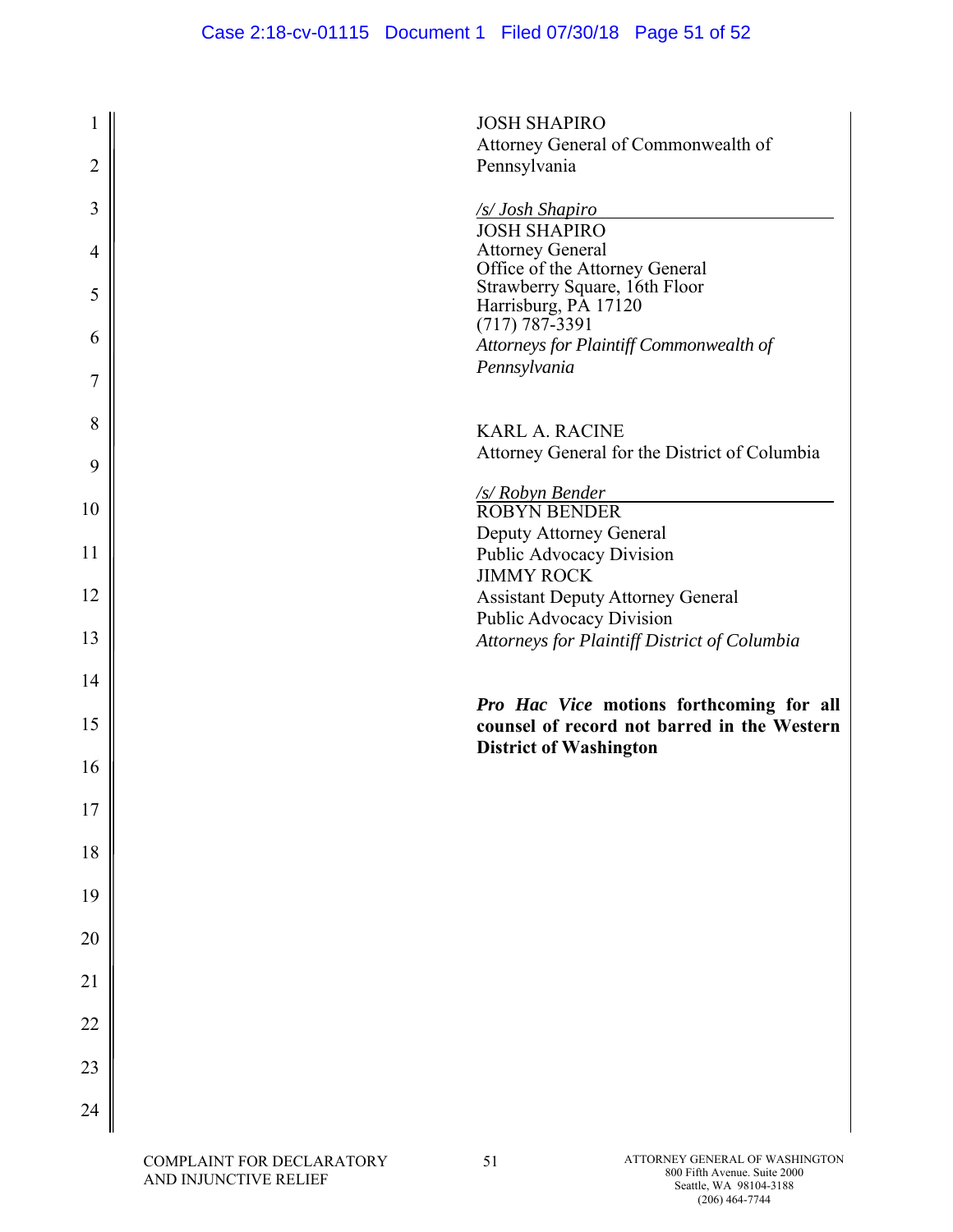|                | <b>JOSH SHAPIRO</b>                                             |
|----------------|-----------------------------------------------------------------|
|                | Attorney General of Commonwealth of                             |
| $\overline{2}$ | Pennsylvania                                                    |
| 3              | <b>S/Josh Shapiro</b>                                           |
|                | <b>JOSH SHAPIRO</b>                                             |
| 4              | <b>Attorney General</b>                                         |
|                | Office of the Attorney General<br>Strawberry Square, 16th Floor |
| 5              | Harrisburg, PA 17120                                            |
| 6              | $(717) 787 - 3391$                                              |
|                | Attorneys for Plaintiff Commonwealth of<br>Pennsylvania         |
| 7              |                                                                 |
|                |                                                                 |
| 8              | <b>KARL A. RACINE</b>                                           |
| 9              | Attorney General for the District of Columbia                   |
|                | /s/ Robyn Bender                                                |
| 10             | <b>ROBYN BENDER</b>                                             |
|                | Deputy Attorney General                                         |
| 11             | Public Advocacy Division<br><b>JIMMY ROCK</b>                   |
| 12             | <b>Assistant Deputy Attorney General</b>                        |
|                | Public Advocacy Division                                        |
| 13             | Attorneys for Plaintiff District of Columbia                    |
|                |                                                                 |
| 14             | Pro Hac Vice motions forthcoming for all                        |
| 15             | counsel of record not barred in the Western                     |
|                | <b>District of Washington</b>                                   |
| 16             |                                                                 |
| 17             |                                                                 |
|                |                                                                 |
| 18             |                                                                 |
|                |                                                                 |
| 19             |                                                                 |
| 20             |                                                                 |
|                |                                                                 |
| 21             |                                                                 |
|                |                                                                 |
| 22             |                                                                 |
| 23             |                                                                 |
|                |                                                                 |
| 24             |                                                                 |